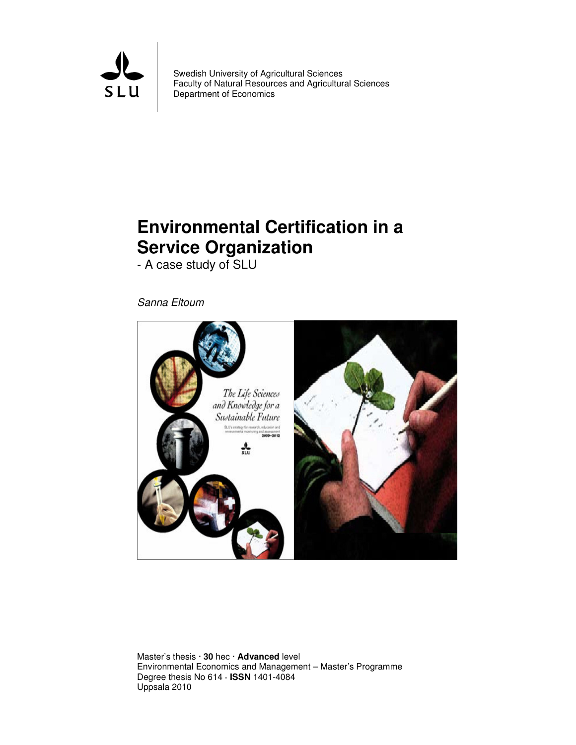

Swedish University of Agricultural Sciences Faculty of Natural Resources and Agricultural Sciences Department of Economics

# **Environmental Certification in a Service Organization**

- A case study of SLU

Sanna Eltoum



Master's thesis · **30** hec · **Advanced** level Environmental Economics and Management – Master's Programme Degree thesis No 614 **· ISSN** 1401-4084 Uppsala 2010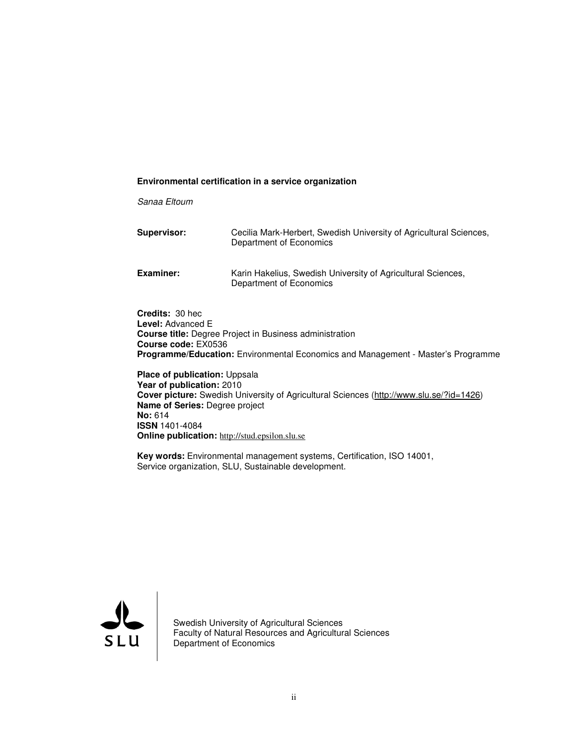#### **Environmental certification in a service organization**

Sanaa Eltoum

| Supervisor: | Cecilia Mark-Herbert, Swedish University of Agricultural Sciences,<br>Department of Economics |  |
|-------------|-----------------------------------------------------------------------------------------------|--|
| Examiner:   | Karin Hakelius, Swedish University of Agricultural Sciences,<br>Department of Economics       |  |

**Credits:** 30 hec **Level:** Advanced E **Course title:** Degree Project in Business administration **Course code:** EX0536 **Programme/Education:** Environmental Economics and Management - Master's Programme

**Place of publication:** Uppsala **Year of publication:** 2010 **Cover picture:** Swedish University of Agricultural Sciences (http://www.slu.se/?id=1426) **Name of Series:** Degree project **No:** 614 **ISSN** 1401-4084 **Online publication:** http://stud.epsilon.slu.se

**Key words:** Environmental management systems, Certification, ISO 14001, Service organization, SLU, Sustainable development.



Swedish University of Agricultural Sciences Faculty of Natural Resources and Agricultural Sciences Department of Economics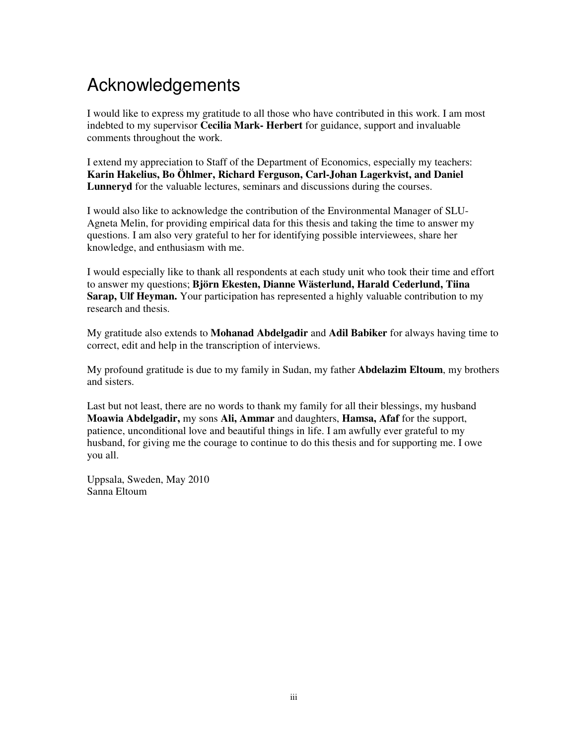# Acknowledgements

I would like to express my gratitude to all those who have contributed in this work. I am most indebted to my supervisor **Cecilia Mark- Herbert** for guidance, support and invaluable comments throughout the work.

I extend my appreciation to Staff of the Department of Economics, especially my teachers: **Karin Hakelius, Bo Öhlmer, Richard Ferguson, Carl-Johan Lagerkvist, and Daniel Lunneryd** for the valuable lectures, seminars and discussions during the courses.

I would also like to acknowledge the contribution of the Environmental Manager of SLU-Agneta Melin, for providing empirical data for this thesis and taking the time to answer my questions. I am also very grateful to her for identifying possible interviewees, share her knowledge, and enthusiasm with me.

I would especially like to thank all respondents at each study unit who took their time and effort to answer my questions; **Björn Ekesten, Dianne Wästerlund, Harald Cederlund, Tiina Sarap, Ulf Heyman.** Your participation has represented a highly valuable contribution to my research and thesis.

My gratitude also extends to **Mohanad Abdelgadir** and **Adil Babiker** for always having time to correct, edit and help in the transcription of interviews.

My profound gratitude is due to my family in Sudan, my father **Abdelazim Eltoum**, my brothers and sisters.

Last but not least, there are no words to thank my family for all their blessings, my husband **Moawia Abdelgadir,** my sons **Ali, Ammar** and daughters, **Hamsa, Afaf** for the support, patience, unconditional love and beautiful things in life. I am awfully ever grateful to my husband, for giving me the courage to continue to do this thesis and for supporting me. I owe you all.

Uppsala, Sweden, May 2010 Sanna Eltoum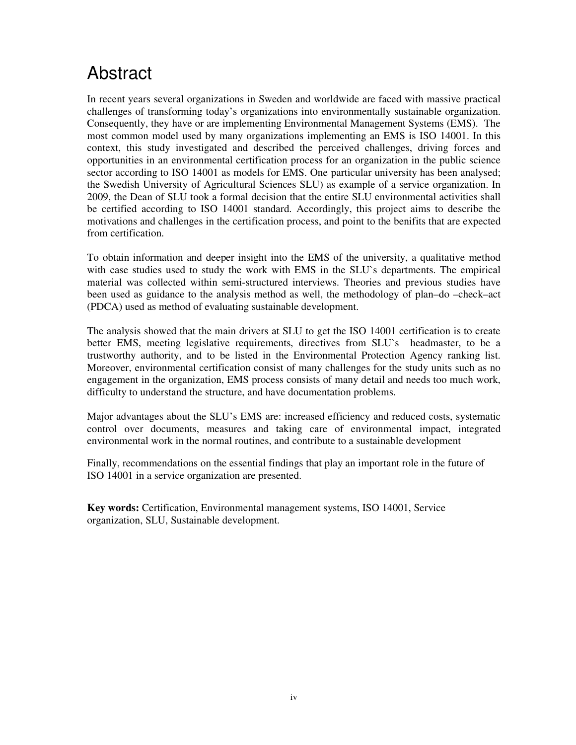# Abstract

In recent years several organizations in Sweden and worldwide are faced with massive practical challenges of transforming today's organizations into environmentally sustainable organization. Consequently, they have or are implementing Environmental Management Systems (EMS). The most common model used by many organizations implementing an EMS is ISO 14001. In this context, this study investigated and described the perceived challenges, driving forces and opportunities in an environmental certification process for an organization in the public science sector according to ISO 14001 as models for EMS. One particular university has been analysed; the Swedish University of Agricultural Sciences SLU) as example of a service organization. In 2009, the Dean of SLU took a formal decision that the entire SLU environmental activities shall be certified according to ISO 14001 standard. Accordingly, this project aims to describe the motivations and challenges in the certification process, and point to the benifits that are expected from certification.

To obtain information and deeper insight into the EMS of the university, a qualitative method with case studies used to study the work with EMS in the SLU`s departments. The empirical material was collected within semi-structured interviews. Theories and previous studies have been used as guidance to the analysis method as well, the methodology of plan–do –check–act (PDCA) used as method of evaluating sustainable development.

The analysis showed that the main drivers at SLU to get the ISO 14001 certification is to create better EMS, meeting legislative requirements, directives from SLU`s headmaster, to be a trustworthy authority, and to be listed in the Environmental Protection Agency ranking list. Moreover, environmental certification consist of many challenges for the study units such as no engagement in the organization, EMS process consists of many detail and needs too much work, difficulty to understand the structure, and have documentation problems.

Major advantages about the SLU's EMS are: increased efficiency and reduced costs, systematic control over documents, measures and taking care of environmental impact, integrated environmental work in the normal routines, and contribute to a sustainable development

Finally, recommendations on the essential findings that play an important role in the future of ISO 14001 in a service organization are presented.

**Key words:** Certification, Environmental management systems, ISO 14001, Service organization, SLU, Sustainable development.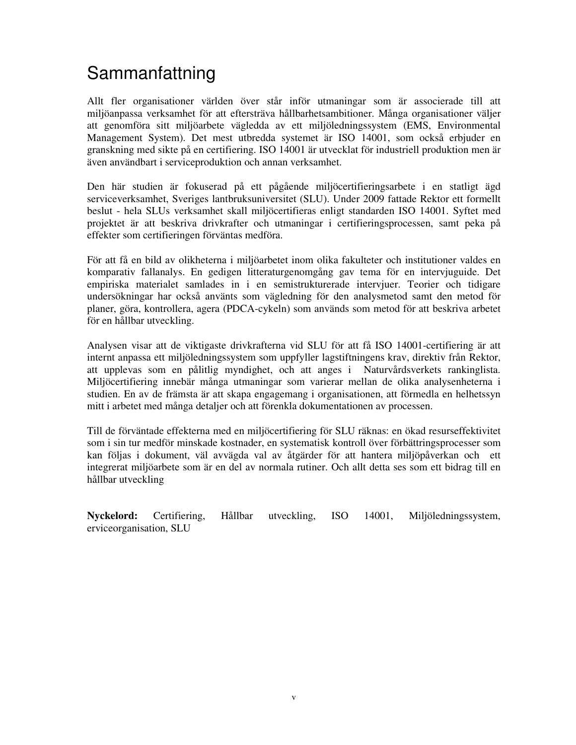# Sammanfattning

Allt fler organisationer världen över står inför utmaningar som är associerade till att miljöanpassa verksamhet för att eftersträva hållbarhetsambitioner. Många organisationer väljer att genomföra sitt miljöarbete vägledda av ett miljöledningssystem (EMS, Environmental Management System). Det mest utbredda systemet är ISO 14001, som också erbjuder en granskning med sikte på en certifiering. ISO 14001 är utvecklat för industriell produktion men är även användbart i serviceproduktion och annan verksamhet.

Den här studien är fokuserad på ett pågående miljöcertifieringsarbete i en statligt ägd serviceverksamhet, Sveriges lantbruksuniversitet (SLU). Under 2009 fattade Rektor ett formellt beslut - hela SLUs verksamhet skall miljöcertifieras enligt standarden ISO 14001. Syftet med projektet är att beskriva drivkrafter och utmaningar i certifieringsprocessen, samt peka på effekter som certifieringen förväntas medföra.

För att få en bild av olikheterna i miljöarbetet inom olika fakulteter och institutioner valdes en komparativ fallanalys. En gedigen litteraturgenomgång gav tema för en intervjuguide. Det empiriska materialet samlades in i en semistrukturerade intervjuer. Teorier och tidigare undersökningar har också använts som vägledning för den analysmetod samt den metod för planer, göra, kontrollera, agera (PDCA-cykeln) som används som metod för att beskriva arbetet för en hållbar utveckling.

Analysen visar att de viktigaste drivkrafterna vid SLU för att få ISO 14001-certifiering är att internt anpassa ett miljöledningssystem som uppfyller lagstiftningens krav, direktiv från Rektor, att upplevas som en pålitlig myndighet, och att anges i Naturvårdsverkets rankinglista. Miljöcertifiering innebär många utmaningar som varierar mellan de olika analysenheterna i studien. En av de främsta är att skapa engagemang i organisationen, att förmedla en helhetssyn mitt i arbetet med många detaljer och att förenkla dokumentationen av processen.

Till de förväntade effekterna med en miljöcertifiering för SLU räknas: en ökad resurseffektivitet som i sin tur medför minskade kostnader, en systematisk kontroll över förbättringsprocesser som kan följas i dokument, väl avvägda val av åtgärder för att hantera miljöpåverkan och ett integrerat miljöarbete som är en del av normala rutiner. Och allt detta ses som ett bidrag till en hållbar utveckling

**Nyckelord:** Certifiering, Hållbar utveckling, ISO 14001, Miljöledningssystem, erviceorganisation, SLU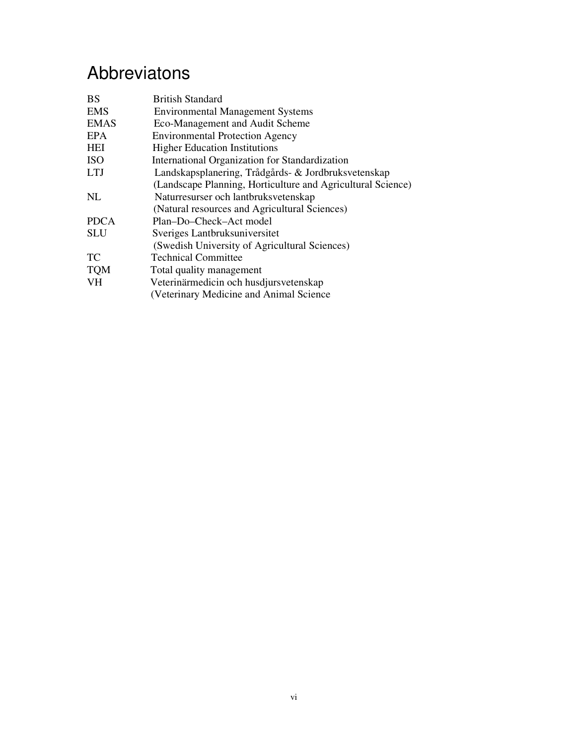# Abbreviatons

| <b>BS</b>                                           | <b>British Standard</b>                                     |  |  |  |
|-----------------------------------------------------|-------------------------------------------------------------|--|--|--|
| <b>EMS</b>                                          | <b>Environmental Management Systems</b>                     |  |  |  |
| <b>EMAS</b>                                         | Eco-Management and Audit Scheme                             |  |  |  |
| EPA                                                 | <b>Environmental Protection Agency</b>                      |  |  |  |
| HEI                                                 | <b>Higher Education Institutions</b>                        |  |  |  |
| <b>ISO</b>                                          | International Organization for Standardization              |  |  |  |
| <b>LTJ</b>                                          | Landskapsplanering, Trådgårds- & Jordbruksvetenskap         |  |  |  |
|                                                     | (Landscape Planning, Horticulture and Agricultural Science) |  |  |  |
| NL                                                  | Naturresurser och lantbruksvetenskap                        |  |  |  |
|                                                     | (Natural resources and Agricultural Sciences)               |  |  |  |
| <b>PDCA</b>                                         | Plan-Do-Check-Act model                                     |  |  |  |
| <b>SLU</b>                                          | Sveriges Lantbruksuniversitet                               |  |  |  |
|                                                     | (Swedish University of Agricultural Sciences)               |  |  |  |
| TC.                                                 | <b>Technical Committee</b>                                  |  |  |  |
| <b>TQM</b>                                          | Total quality management                                    |  |  |  |
| <b>VH</b><br>Veterinärmedicin och husdjursvetenskap |                                                             |  |  |  |
|                                                     | (Veterinary Medicine and Animal Science)                    |  |  |  |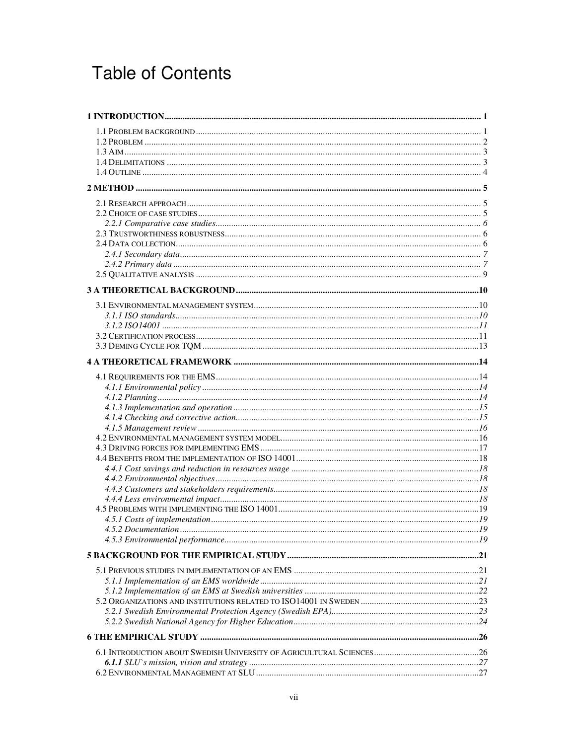# **Table of Contents**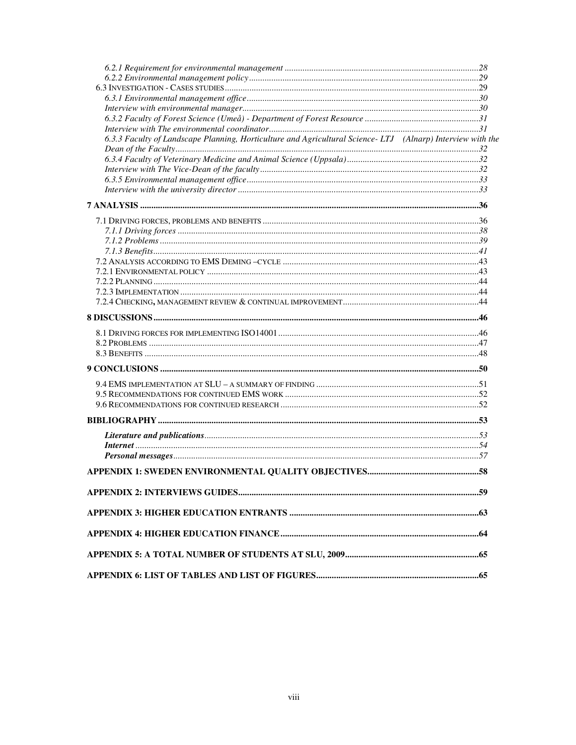| 6.3.3 Faculty of Landscape Planning, Horticulture and Agricultural Science-LTJ (Alnarp) Interview with the |  |
|------------------------------------------------------------------------------------------------------------|--|
|                                                                                                            |  |
|                                                                                                            |  |
|                                                                                                            |  |
|                                                                                                            |  |
|                                                                                                            |  |
|                                                                                                            |  |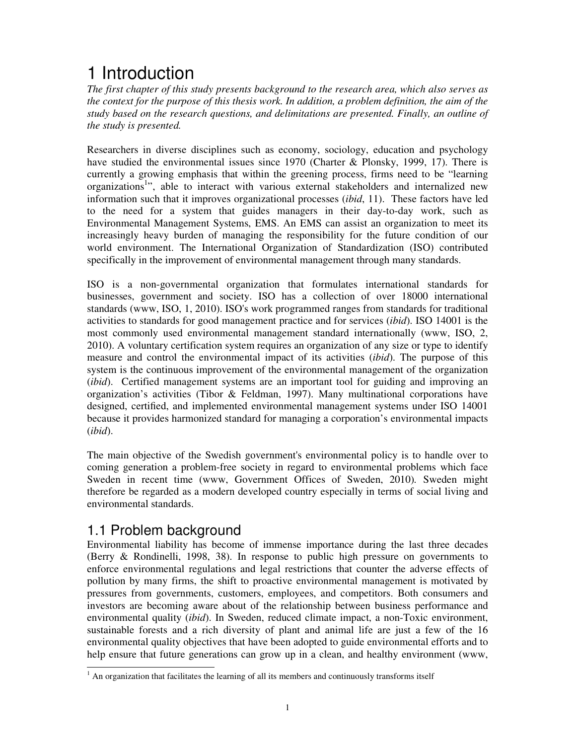# 1 Introduction

*The first chapter of this study presents background to the research area, which also serves as the context for the purpose of this thesis work. In addition, a problem definition, the aim of the study based on the research questions, and delimitations are presented. Finally, an outline of the study is presented.* 

Researchers in diverse disciplines such as economy, sociology, education and psychology have studied the environmental issues since 1970 (Charter & Plonsky, 1999, 17). There is currently a growing emphasis that within the greening process, firms need to be "learning organizations<sup>1</sup>", able to interact with various external stakeholders and internalized new information such that it improves organizational processes (*ibid*, 11). These factors have led to the need for a system that guides managers in their day-to-day work, such as Environmental Management Systems, EMS. An EMS can assist an organization to meet its increasingly heavy burden of managing the responsibility for the future condition of our world environment. The International Organization of Standardization (ISO) contributed specifically in the improvement of environmental management through many standards.

ISO is a non-governmental organization that formulates international standards for businesses, government and society. ISO has a collection of over 18000 international standards (www, ISO, 1, 2010). ISO's work programmed ranges from standards for traditional activities to standards for good management practice and for services (*ibid*). ISO 14001 is the most commonly used environmental management standard internationally (www, ISO, 2, 2010). A voluntary certification system requires an organization of any size or type to identify measure and control the environmental impact of its activities (*ibid*). The purpose of this system is the continuous improvement of the environmental management of the organization (*ibid*). Certified management systems are an important tool for guiding and improving an organization's activities (Tibor & Feldman, 1997). Many multinational corporations have designed, certified, and implemented environmental management systems under ISO 14001 because it provides harmonized standard for managing a corporation's environmental impacts (*ibid*).

The main objective of the Swedish government's environmental policy is to handle over to coming generation a problem-free society in regard to environmental problems which face Sweden in recent time (www, Government Offices of Sweden, 2010)*.* Sweden might therefore be regarded as a modern developed country especially in terms of social living and environmental standards.

### 1.1 Problem background

Environmental liability has become of immense importance during the last three decades (Berry & Rondinelli, 1998, 38). In response to public high pressure on governments to enforce environmental regulations and legal restrictions that counter the adverse effects of pollution by many firms, the shift to proactive environmental management is motivated by pressures from governments, customers, employees, and competitors. Both consumers and investors are becoming aware about of the relationship between business performance and environmental quality (*ibid*). In Sweden, reduced climate impact, a non-Toxic environment, sustainable forests and a rich diversity of plant and animal life are just a few of the 16 environmental quality objectives that have been adopted to guide environmental efforts and to help ensure that future generations can grow up in a clean, and healthy environment (www,

<sup>&</sup>lt;sup>1</sup> An organization that facilitates the learning of all its members and continuously transforms itself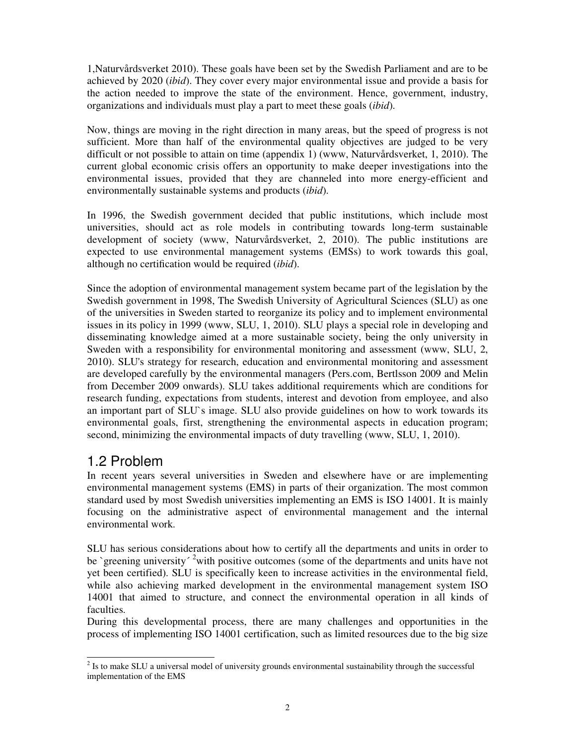1,Naturvårdsverket 2010). These goals have been set by the Swedish Parliament and are to be achieved by 2020 (*ibid*). They cover every major environmental issue and provide a basis for the action needed to improve the state of the environment. Hence, government, industry, organizations and individuals must play a part to meet these goals (*ibid*).

Now, things are moving in the right direction in many areas, but the speed of progress is not sufficient. More than half of the environmental quality objectives are judged to be very difficult or not possible to attain on time (appendix 1) (www, Naturvårdsverket, 1, 2010). The current global economic crisis offers an opportunity to make deeper investigations into the environmental issues, provided that they are channeled into more energy-efficient and environmentally sustainable systems and products (*ibid*).

In 1996, the Swedish government decided that public institutions, which include most universities, should act as role models in contributing towards long-term sustainable development of society (www, Naturvårdsverket, 2, 2010). The public institutions are expected to use environmental management systems (EMSs) to work towards this goal, although no certification would be required (*ibid*).

Since the adoption of environmental management system became part of the legislation by the Swedish government in 1998, The Swedish University of Agricultural Sciences (SLU) as one of the universities in Sweden started to reorganize its policy and to implement environmental issues in its policy in 1999 (www, SLU, 1, 2010). SLU plays a special role in developing and disseminating knowledge aimed at a more sustainable society, being the only university in Sweden with a responsibility for environmental monitoring and assessment (www, SLU, 2, 2010). SLU's strategy for research, education and environmental monitoring and assessment are developed carefully by the environmental managers (Pers.com, Bertlsson 2009 and Melin from December 2009 onwards). SLU takes additional requirements which are conditions for research funding, expectations from students, interest and devotion from employee, and also an important part of SLU`s image. SLU also provide guidelines on how to work towards its environmental goals, first, strengthening the environmental aspects in education program; second, minimizing the environmental impacts of duty travelling (www, SLU, 1, 2010).

## 1.2 Problem

In recent years several universities in Sweden and elsewhere have or are implementing environmental management systems (EMS) in parts of their organization. The most common standard used by most Swedish universities implementing an EMS is ISO 14001. It is mainly focusing on the administrative aspect of environmental management and the internal environmental work.

SLU has serious considerations about how to certify all the departments and units in order to be `greening university<sup> $\textdegree$ 2</sup>with positive outcomes (some of the departments and units have not yet been certified). SLU is specifically keen to increase activities in the environmental field, while also achieving marked development in the environmental management system ISO 14001 that aimed to structure, and connect the environmental operation in all kinds of faculties.

During this developmental process, there are many challenges and opportunities in the process of implementing ISO 14001 certification, such as limited resources due to the big size

 $\overline{\phantom{a}}$  $2^{2}$  Is to make SLU a universal model of university grounds environmental sustainability through the successful implementation of the EMS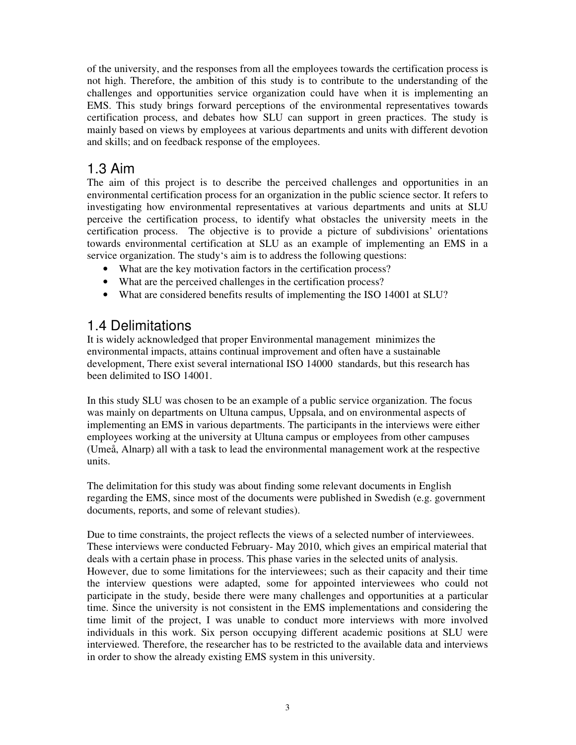of the university, and the responses from all the employees towards the certification process is not high. Therefore, the ambition of this study is to contribute to the understanding of the challenges and opportunities service organization could have when it is implementing an EMS. This study brings forward perceptions of the environmental representatives towards certification process, and debates how SLU can support in green practices. The study is mainly based on views by employees at various departments and units with different devotion and skills; and on feedback response of the employees.

### 1.3 Aim

The aim of this project is to describe the perceived challenges and opportunities in an environmental certification process for an organization in the public science sector. It refers to investigating how environmental representatives at various departments and units at SLU perceive the certification process, to identify what obstacles the university meets in the certification process. The objective is to provide a picture of subdivisions' orientations towards environmental certification at SLU as an example of implementing an EMS in a service organization. The study's aim is to address the following questions:

- What are the key motivation factors in the certification process?
- What are the perceived challenges in the certification process?
- What are considered benefits results of implementing the ISO 14001 at SLU?

### 1.4 Delimitations

It is widely acknowledged that proper Environmental management minimizes the environmental impacts, attains continual improvement and often have a sustainable development, There exist several international ISO 14000 standards, but this research has been delimited to ISO 14001.

In this study SLU was chosen to be an example of a public service organization. The focus was mainly on departments on Ultuna campus, Uppsala, and on environmental aspects of implementing an EMS in various departments. The participants in the interviews were either employees working at the university at Ultuna campus or employees from other campuses (Umeå, Alnarp) all with a task to lead the environmental management work at the respective units.

The delimitation for this study was about finding some relevant documents in English regarding the EMS, since most of the documents were published in Swedish (e.g. government documents, reports, and some of relevant studies).

Due to time constraints, the project reflects the views of a selected number of interviewees. These interviews were conducted February- May 2010, which gives an empirical material that deals with a certain phase in process. This phase varies in the selected units of analysis. However, due to some limitations for the interviewees; such as their capacity and their time the interview questions were adapted, some for appointed interviewees who could not participate in the study, beside there were many challenges and opportunities at a particular time. Since the university is not consistent in the EMS implementations and considering the time limit of the project, I was unable to conduct more interviews with more involved individuals in this work. Six person occupying different academic positions at SLU were interviewed. Therefore, the researcher has to be restricted to the available data and interviews in order to show the already existing EMS system in this university.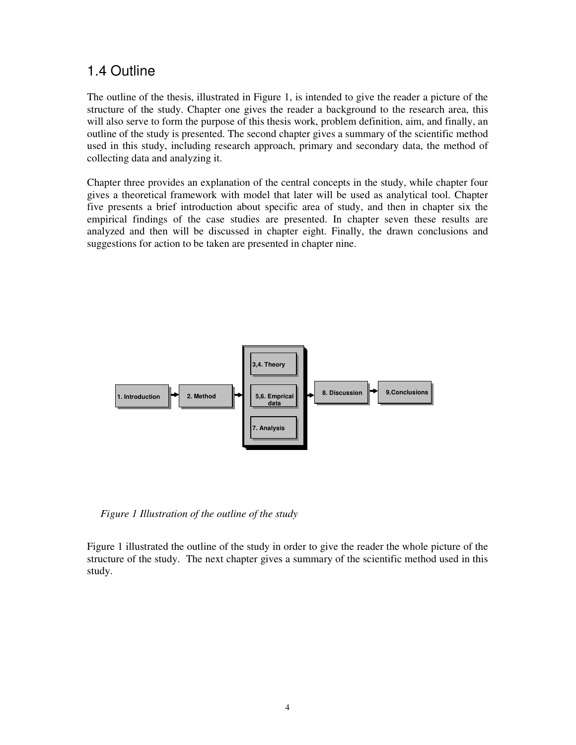### 1.4 Outline

The outline of the thesis, illustrated in Figure 1, is intended to give the reader a picture of the structure of the study. Chapter one gives the reader a background to the research area, this will also serve to form the purpose of this thesis work, problem definition, aim, and finally, an outline of the study is presented. The second chapter gives a summary of the scientific method used in this study, including research approach, primary and secondary data, the method of collecting data and analyzing it.

Chapter three provides an explanation of the central concepts in the study, while chapter four gives a theoretical framework with model that later will be used as analytical tool. Chapter five presents a brief introduction about specific area of study, and then in chapter six the empirical findings of the case studies are presented. In chapter seven these results are analyzed and then will be discussed in chapter eight. Finally, the drawn conclusions and suggestions for action to be taken are presented in chapter nine.



*Figure 1 Illustration of the outline of the study* 

Figure 1 illustrated the outline of the study in order to give the reader the whole picture of the structure of the study. The next chapter gives a summary of the scientific method used in this study.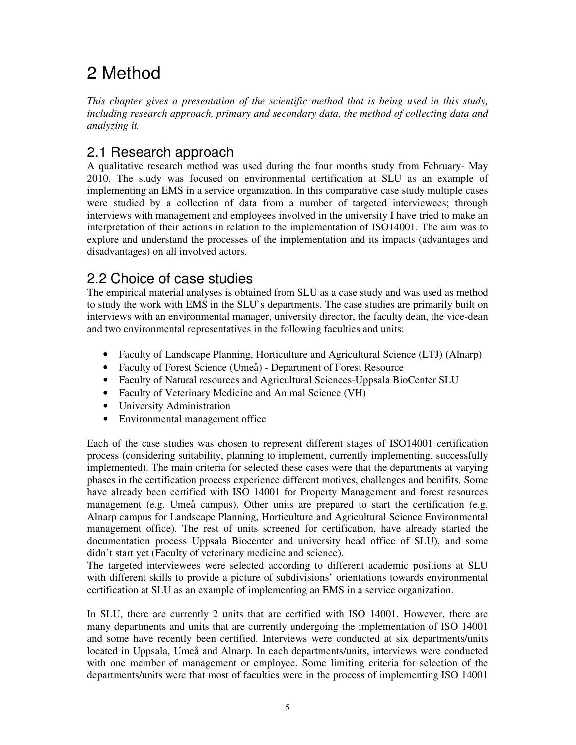# 2 Method

*This chapter gives a presentation of the scientific method that is being used in this study, including research approach, primary and secondary data, the method of collecting data and analyzing it.* 

## 2.1 Research approach

A qualitative research method was used during the four months study from February- May 2010. The study was focused on environmental certification at SLU as an example of implementing an EMS in a service organization. In this comparative case study multiple cases were studied by a collection of data from a number of targeted interviewees; through interviews with management and employees involved in the university I have tried to make an interpretation of their actions in relation to the implementation of ISO14001. The aim was to explore and understand the processes of the implementation and its impacts (advantages and disadvantages) on all involved actors.

## 2.2 Choice of case studies

The empirical material analyses is obtained from SLU as a case study and was used as method to study the work with EMS in the SLU`s departments. The case studies are primarily built on interviews with an environmental manager, university director, the faculty dean, the vice-dean and two environmental representatives in the following faculties and units:

- Faculty of Landscape Planning, Horticulture and Agricultural Science (LTJ) (Alnarp)
- Faculty of Forest Science (Umeå) Department of Forest Resource
- Faculty of Natural resources and Agricultural Sciences-Uppsala BioCenter SLU
- Faculty of Veterinary Medicine and Animal Science (VH)
- University Administration
- Environmental management office

Each of the case studies was chosen to represent different stages of ISO14001 certification process (considering suitability, planning to implement, currently implementing, successfully implemented). The main criteria for selected these cases were that the departments at varying phases in the certification process experience different motives, challenges and benifits. Some have already been certified with ISO 14001 for Property Management and forest resources management (e.g. Umeå campus). Other units are prepared to start the certification (e.g. Alnarp campus for Landscape Planning, Horticulture and Agricultural Science Environmental management office). The rest of units screened for certification, have already started the documentation process Uppsala Biocenter and university head office of SLU), and some didn't start yet (Faculty of veterinary medicine and science).

The targeted interviewees were selected according to different academic positions at SLU with different skills to provide a picture of subdivisions' orientations towards environmental certification at SLU as an example of implementing an EMS in a service organization.

In SLU, there are currently 2 units that are certified with ISO 14001. However, there are many departments and units that are currently undergoing the implementation of ISO 14001 and some have recently been certified. Interviews were conducted at six departments/units located in Uppsala, Umeå and Alnarp. In each departments/units, interviews were conducted with one member of management or employee. Some limiting criteria for selection of the departments/units were that most of faculties were in the process of implementing ISO 14001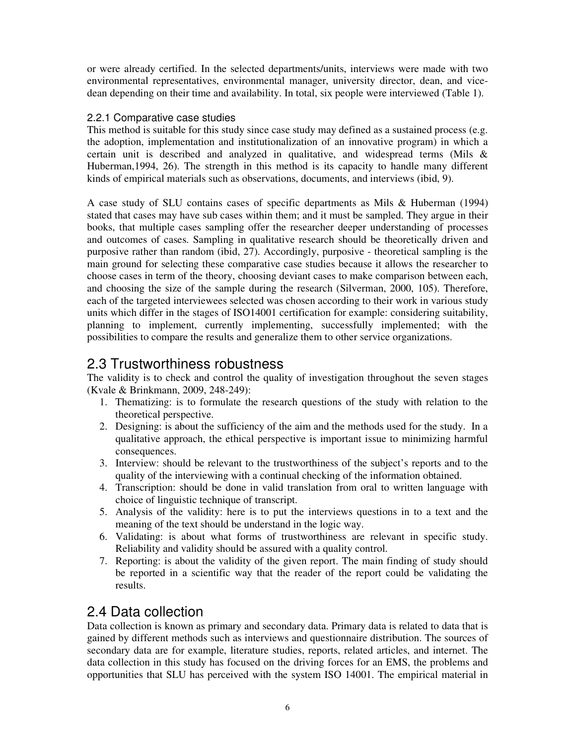or were already certified. In the selected departments/units, interviews were made with two environmental representatives, environmental manager, university director, dean, and vicedean depending on their time and availability. In total, six people were interviewed (Table 1).

#### 2.2.1 Comparative case studies

This method is suitable for this study since case study may defined as a sustained process (e.g. the adoption, implementation and institutionalization of an innovative program) in which a certain unit is described and analyzed in qualitative, and widespread terms (Mils & Huberman,1994, 26). The strength in this method is its capacity to handle many different kinds of empirical materials such as observations, documents, and interviews (ibid, 9).

A case study of SLU contains cases of specific departments as Mils & Huberman (1994) stated that cases may have sub cases within them; and it must be sampled. They argue in their books, that multiple cases sampling offer the researcher deeper understanding of processes and outcomes of cases. Sampling in qualitative research should be theoretically driven and purposive rather than random (ibid, 27). Accordingly, purposive - theoretical sampling is the main ground for selecting these comparative case studies because it allows the researcher to choose cases in term of the theory, choosing deviant cases to make comparison between each, and choosing the size of the sample during the research (Silverman, 2000, 105). Therefore, each of the targeted interviewees selected was chosen according to their work in various study units which differ in the stages of ISO14001 certification for example: considering suitability, planning to implement, currently implementing, successfully implemented; with the possibilities to compare the results and generalize them to other service organizations.

### 2.3 Trustworthiness robustness

The validity is to check and control the quality of investigation throughout the seven stages (Kvale & Brinkmann, 2009, 248-249):

- 1. Thematizing: is to formulate the research questions of the study with relation to the theoretical perspective.
- 2. Designing: is about the sufficiency of the aim and the methods used for the study. In a qualitative approach, the ethical perspective is important issue to minimizing harmful consequences.
- 3. Interview: should be relevant to the trustworthiness of the subject's reports and to the quality of the interviewing with a continual checking of the information obtained.
- 4. Transcription: should be done in valid translation from oral to written language with choice of linguistic technique of transcript.
- 5. Analysis of the validity: here is to put the interviews questions in to a text and the meaning of the text should be understand in the logic way.
- 6. Validating: is about what forms of trustworthiness are relevant in specific study. Reliability and validity should be assured with a quality control.
- 7. Reporting: is about the validity of the given report. The main finding of study should be reported in a scientific way that the reader of the report could be validating the results.

### 2.4 Data collection

Data collection is known as primary and secondary data. Primary data is related to data that is gained by different methods such as interviews and questionnaire distribution. The sources of secondary data are for example, literature studies, reports, related articles, and internet. The data collection in this study has focused on the driving forces for an EMS, the problems and opportunities that SLU has perceived with the system ISO 14001. The empirical material in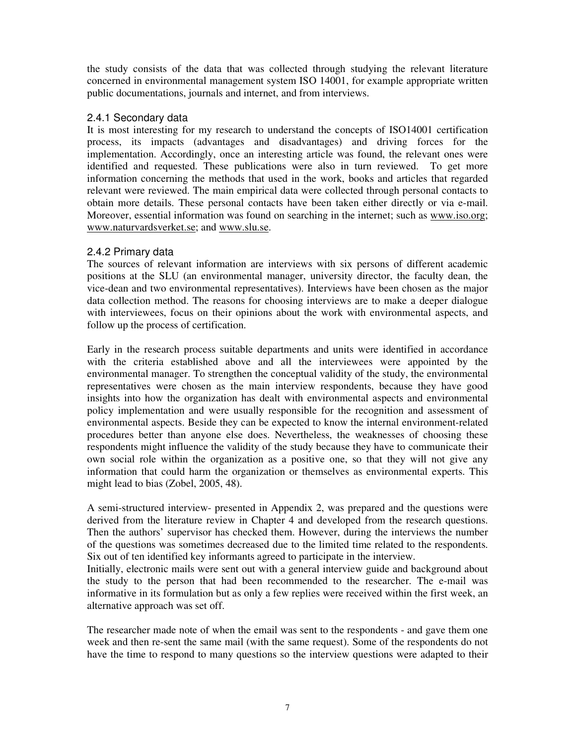the study consists of the data that was collected through studying the relevant literature concerned in environmental management system ISO 14001, for example appropriate written public documentations, journals and internet, and from interviews.

#### 2.4.1 Secondary data

It is most interesting for my research to understand the concepts of ISO14001 certification process, its impacts (advantages and disadvantages) and driving forces for the implementation. Accordingly, once an interesting article was found, the relevant ones were identified and requested. These publications were also in turn reviewed. To get more information concerning the methods that used in the work, books and articles that regarded relevant were reviewed. The main empirical data were collected through personal contacts to obtain more details. These personal contacts have been taken either directly or via e-mail. Moreover, essential information was found on searching in the internet; such as www.iso.org; www.naturvardsverket.se; and www.slu.se.

#### 2.4.2 Primary data

The sources of relevant information are interviews with six persons of different academic positions at the SLU (an environmental manager, university director, the faculty dean, the vice-dean and two environmental representatives). Interviews have been chosen as the major data collection method. The reasons for choosing interviews are to make a deeper dialogue with interviewees, focus on their opinions about the work with environmental aspects, and follow up the process of certification.

Early in the research process suitable departments and units were identified in accordance with the criteria established above and all the interviewees were appointed by the environmental manager. To strengthen the conceptual validity of the study, the environmental representatives were chosen as the main interview respondents, because they have good insights into how the organization has dealt with environmental aspects and environmental policy implementation and were usually responsible for the recognition and assessment of environmental aspects. Beside they can be expected to know the internal environment-related procedures better than anyone else does. Nevertheless, the weaknesses of choosing these respondents might influence the validity of the study because they have to communicate their own social role within the organization as a positive one, so that they will not give any information that could harm the organization or themselves as environmental experts. This might lead to bias (Zobel, 2005, 48).

A semi-structured interview- presented in Appendix 2, was prepared and the questions were derived from the literature review in Chapter 4 and developed from the research questions. Then the authors' supervisor has checked them. However, during the interviews the number of the questions was sometimes decreased due to the limited time related to the respondents. Six out of ten identified key informants agreed to participate in the interview.

Initially, electronic mails were sent out with a general interview guide and background about the study to the person that had been recommended to the researcher. The e-mail was informative in its formulation but as only a few replies were received within the first week, an alternative approach was set off.

The researcher made note of when the email was sent to the respondents - and gave them one week and then re-sent the same mail (with the same request). Some of the respondents do not have the time to respond to many questions so the interview questions were adapted to their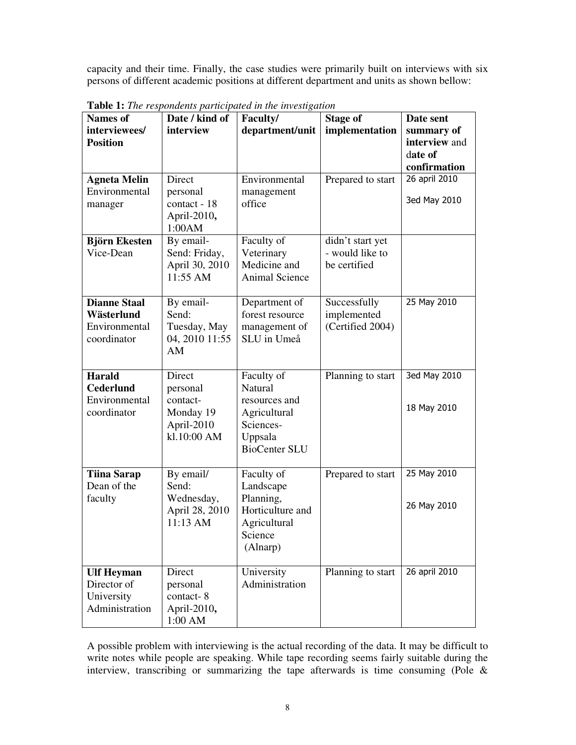capacity and their time. Finally, the case studies were primarily built on interviews with six persons of different academic positions at different department and units as shown bellow:

| <b>Names of</b>                                                   | Date / kind of                                                           | <b>rush 1:</b> The respondents participated in the investigation<br>Faculty/                           | <b>Stage of</b>                                     | Date sent                                              |
|-------------------------------------------------------------------|--------------------------------------------------------------------------|--------------------------------------------------------------------------------------------------------|-----------------------------------------------------|--------------------------------------------------------|
| interviewees/<br><b>Position</b>                                  | interview                                                                | department/unit                                                                                        | implementation                                      | summary of<br>interview and<br>date of<br>confirmation |
| <b>Agneta Melin</b><br>Environmental<br>manager                   | Direct<br>personal<br>contact - 18<br>April-2010,<br>1:00AM              | Environmental<br>management<br>office                                                                  | Prepared to start                                   | 26 april 2010<br>3ed May 2010                          |
| <b>Björn Ekesten</b><br>Vice-Dean                                 | By email-<br>Send: Friday,<br>April 30, 2010<br>11:55 AM                 | Faculty of<br>Veterinary<br>Medicine and<br><b>Animal Science</b>                                      | didn't start yet<br>- would like to<br>be certified |                                                        |
| <b>Dianne Staal</b><br>Wästerlund<br>Environmental<br>coordinator | By email-<br>Send:<br>Tuesday, May<br>04, 2010 11:55<br>AM               | Department of<br>forest resource<br>management of<br>SLU in Umeå                                       | Successfully<br>implemented<br>(Certified 2004)     | 25 May 2010                                            |
| <b>Harald</b><br><b>Cederlund</b><br>Environmental<br>coordinator | Direct<br>personal<br>contact-<br>Monday 19<br>April-2010<br>kl.10:00 AM | Faculty of<br>Natural<br>resources and<br>Agricultural<br>Sciences-<br>Uppsala<br><b>BioCenter SLU</b> | Planning to start                                   | 3ed May 2010<br>18 May 2010                            |
| <b>Tiina Sarap</b><br>Dean of the<br>faculty                      | By email/<br>Send:<br>Wednesday,<br>April 28, 2010<br>11:13 AM           | Faculty of<br>Landscape<br>Planning,<br>Horticulture and<br>Agricultural<br>Science<br>(Alnarp)        | Prepared to start                                   | 25 May 2010<br>26 May 2010                             |
| <b>Ulf Heyman</b><br>Director of<br>University<br>Administration  | Direct<br>personal<br>contact-8<br>April-2010,<br>1:00 AM                | University<br>Administration                                                                           | Planning to start                                   | 26 april 2010                                          |

**Table 1:** *The respondents participated in the investigation*

A possible problem with interviewing is the actual recording of the data. It may be difficult to write notes while people are speaking. While tape recording seems fairly suitable during the interview, transcribing or summarizing the tape afterwards is time consuming (Pole &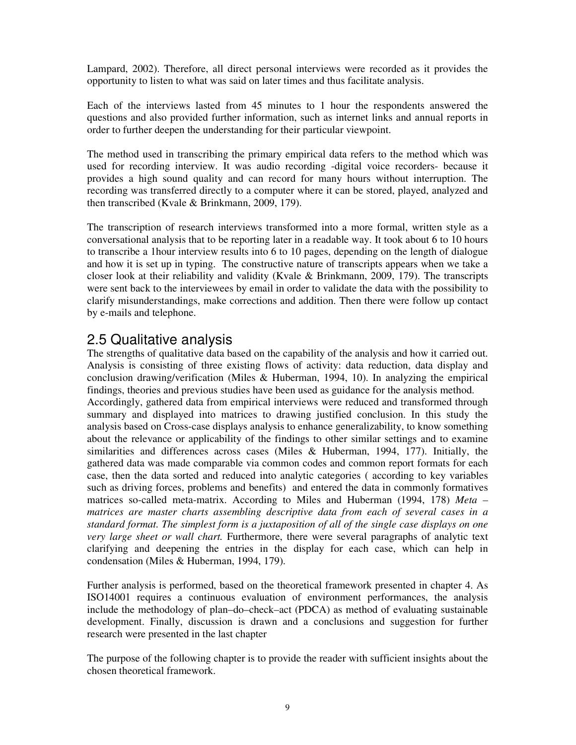Lampard, 2002). Therefore, all direct personal interviews were recorded as it provides the opportunity to listen to what was said on later times and thus facilitate analysis.

Each of the interviews lasted from 45 minutes to 1 hour the respondents answered the questions and also provided further information, such as internet links and annual reports in order to further deepen the understanding for their particular viewpoint.

The method used in transcribing the primary empirical data refers to the method which was used for recording interview. It was audio recording -digital voice recorders- because it provides a high sound quality and can record for many hours without interruption. The recording was transferred directly to a computer where it can be stored, played, analyzed and then transcribed (Kvale & Brinkmann, 2009, 179).

The transcription of research interviews transformed into a more formal, written style as a conversational analysis that to be reporting later in a readable way. It took about 6 to 10 hours to transcribe a 1hour interview results into 6 to 10 pages, depending on the length of dialogue and how it is set up in typing. The constructive nature of transcripts appears when we take a closer look at their reliability and validity (Kvale & Brinkmann, 2009, 179). The transcripts were sent back to the interviewees by email in order to validate the data with the possibility to clarify misunderstandings, make corrections and addition. Then there were follow up contact by e-mails and telephone.

### 2.5 Qualitative analysis

The strengths of qualitative data based on the capability of the analysis and how it carried out. Analysis is consisting of three existing flows of activity: data reduction, data display and conclusion drawing/verification (Miles & Huberman, 1994, 10). In analyzing the empirical findings, theories and previous studies have been used as guidance for the analysis method. Accordingly, gathered data from empirical interviews were reduced and transformed through summary and displayed into matrices to drawing justified conclusion. In this study the analysis based on Cross-case displays analysis to enhance generalizability, to know something about the relevance or applicability of the findings to other similar settings and to examine similarities and differences across cases (Miles & Huberman, 1994, 177). Initially, the gathered data was made comparable via common codes and common report formats for each case, then the data sorted and reduced into analytic categories ( according to key variables such as driving forces, problems and benefits) and entered the data in commonly formatives matrices so-called meta-matrix. According to Miles and Huberman (1994, 178) *Meta – matrices are master charts assembling descriptive data from each of several cases in a standard format. The simplest form is a juxtaposition of all of the single case displays on one very large sheet or wall chart.* Furthermore, there were several paragraphs of analytic text clarifying and deepening the entries in the display for each case, which can help in condensation (Miles & Huberman, 1994, 179).

Further analysis is performed, based on the theoretical framework presented in chapter 4. As ISO14001 requires a continuous evaluation of environment performances, the analysis include the methodology of plan–do–check–act (PDCA) as method of evaluating sustainable development. Finally, discussion is drawn and a conclusions and suggestion for further research were presented in the last chapter

The purpose of the following chapter is to provide the reader with sufficient insights about the chosen theoretical framework.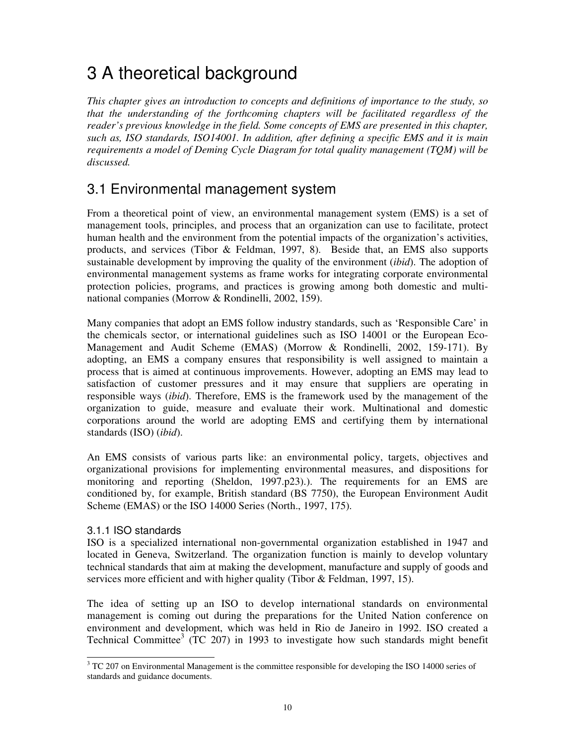# 3 A theoretical background

*This chapter gives an introduction to concepts and definitions of importance to the study, so that the understanding of the forthcoming chapters will be facilitated regardless of the reader's previous knowledge in the field. Some concepts of EMS are presented in this chapter, such as, ISO standards, ISO14001. In addition, after defining a specific EMS and it is main requirements a model of Deming Cycle Diagram for total quality management (TQM) will be discussed.* 

## 3.1 Environmental management system

From a theoretical point of view, an environmental management system (EMS) is a set of management tools, principles, and process that an organization can use to facilitate, protect human health and the environment from the potential impacts of the organization's activities, products, and services (Tibor & Feldman, 1997, 8). Beside that, an EMS also supports sustainable development by improving the quality of the environment (*ibid*). The adoption of environmental management systems as frame works for integrating corporate environmental protection policies, programs, and practices is growing among both domestic and multinational companies (Morrow & Rondinelli, 2002, 159).

Many companies that adopt an EMS follow industry standards, such as 'Responsible Care' in the chemicals sector, or international guidelines such as ISO 14001 or the European Eco-Management and Audit Scheme (EMAS) (Morrow & Rondinelli, 2002, 159-171). By adopting, an EMS a company ensures that responsibility is well assigned to maintain a process that is aimed at continuous improvements. However, adopting an EMS may lead to satisfaction of customer pressures and it may ensure that suppliers are operating in responsible ways (*ibid*). Therefore, EMS is the framework used by the management of the organization to guide, measure and evaluate their work. Multinational and domestic corporations around the world are adopting EMS and certifying them by international standards (ISO) (*ibid*).

An EMS consists of various parts like: an environmental policy, targets, objectives and organizational provisions for implementing environmental measures, and dispositions for monitoring and reporting (Sheldon, 1997.p23).). The requirements for an EMS are conditioned by, for example, British standard (BS 7750), the European Environment Audit Scheme (EMAS) or the ISO 14000 Series (North., 1997, 175).

#### 3.1.1 ISO standards

 $\overline{\phantom{a}}$ 

ISO is a specialized international non-governmental organization established in 1947 and located in Geneva, Switzerland. The organization function is mainly to develop voluntary technical standards that aim at making the development, manufacture and supply of goods and services more efficient and with higher quality (Tibor & Feldman, 1997, 15).

The idea of setting up an ISO to develop international standards on environmental management is coming out during the preparations for the United Nation conference on environment and development, which was held in Rio de Janeiro in 1992. ISO created a Technical Committee<sup>3</sup> (TC 207) in 1993 to investigate how such standards might benefit

 $3$  TC 207 on Environmental Management is the committee responsible for developing the ISO 14000 series of standards and guidance documents.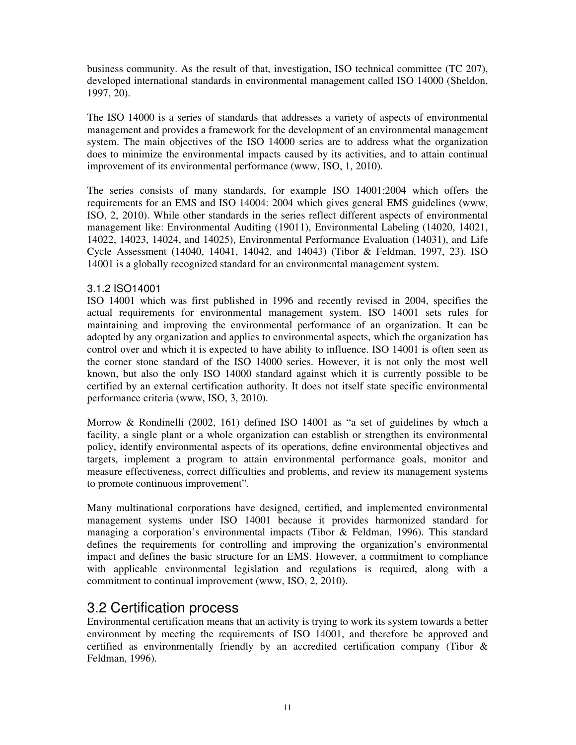business community. As the result of that, investigation, ISO technical committee (TC 207), developed international standards in environmental management called ISO 14000 (Sheldon, 1997, 20).

The ISO 14000 is a series of standards that addresses a variety of aspects of environmental management and provides a framework for the development of an environmental management system. The main objectives of the ISO 14000 series are to address what the organization does to minimize the environmental impacts caused by its activities, and to attain continual improvement of its environmental performance (www, ISO, 1, 2010).

The series consists of many standards, for example ISO 14001:2004 which offers the requirements for an EMS and ISO 14004: 2004 which gives general EMS guidelines (www, ISO, 2, 2010). While other standards in the series reflect different aspects of environmental management like: Environmental Auditing (19011), Environmental Labeling (14020, 14021, 14022, 14023, 14024, and 14025), Environmental Performance Evaluation (14031), and Life Cycle Assessment (14040, 14041, 14042, and 14043) (Tibor & Feldman, 1997, 23). ISO 14001 is a globally recognized standard for an environmental management system.

#### 3.1.2 ISO14001

ISO 14001 which was first published in 1996 and recently revised in 2004, specifies the actual requirements for environmental management system. ISO 14001 sets rules for maintaining and improving the environmental performance of an organization. It can be adopted by any organization and applies to environmental aspects, which the organization has control over and which it is expected to have ability to influence. ISO 14001 is often seen as the corner stone standard of the ISO 14000 series. However, it is not only the most well known, but also the only ISO 14000 standard against which it is currently possible to be certified by an external certification authority. It does not itself state specific environmental performance criteria (www, ISO, 3, 2010).

Morrow & Rondinelli (2002, 161) defined ISO 14001 as "a set of guidelines by which a facility, a single plant or a whole organization can establish or strengthen its environmental policy, identify environmental aspects of its operations, define environmental objectives and targets, implement a program to attain environmental performance goals, monitor and measure effectiveness, correct difficulties and problems, and review its management systems to promote continuous improvement".

Many multinational corporations have designed, certified, and implemented environmental management systems under ISO 14001 because it provides harmonized standard for managing a corporation's environmental impacts (Tibor & Feldman, 1996). This standard defines the requirements for controlling and improving the organization's environmental impact and defines the basic structure for an EMS. However, a commitment to compliance with applicable environmental legislation and regulations is required, along with a commitment to continual improvement (www, ISO, 2, 2010).

### 3.2 Certification process

Environmental certification means that an activity is trying to work its system towards a better environment by meeting the requirements of ISO 14001, and therefore be approved and certified as environmentally friendly by an accredited certification company (Tibor & Feldman, 1996).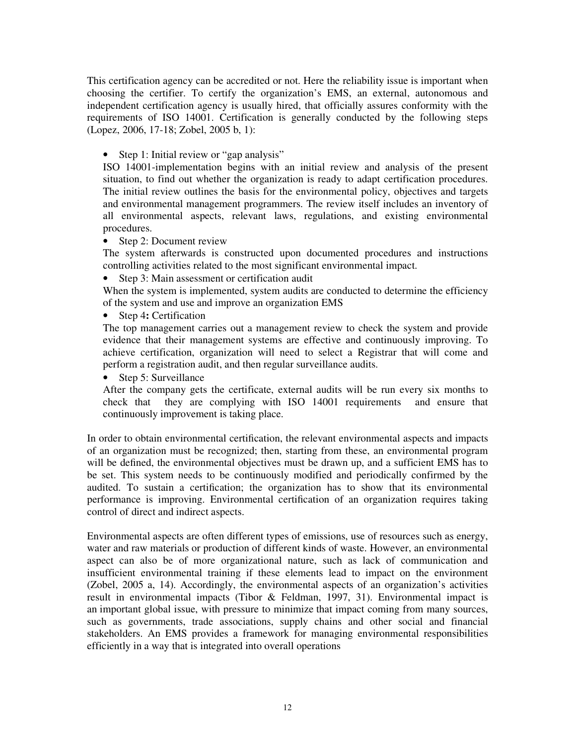This certification agency can be accredited or not. Here the reliability issue is important when choosing the certifier. To certify the organization's EMS, an external, autonomous and independent certification agency is usually hired, that officially assures conformity with the requirements of ISO 14001. Certification is generally conducted by the following steps (Lopez, 2006, 17-18; Zobel, 2005 b, 1):

#### • Step 1: Initial review or "gap analysis"

ISO 14001-implementation begins with an initial review and analysis of the present situation, to find out whether the organization is ready to adapt certification procedures. The initial review outlines the basis for the environmental policy, objectives and targets and environmental management programmers. The review itself includes an inventory of all environmental aspects, relevant laws, regulations, and existing environmental procedures.

#### • Step 2: Document review

The system afterwards is constructed upon documented procedures and instructions controlling activities related to the most significant environmental impact.

#### • Step 3: Main assessment or certification audit

When the system is implemented, system audits are conducted to determine the efficiency of the system and use and improve an organization EMS

• Step 4**:** Certification

The top management carries out a management review to check the system and provide evidence that their management systems are effective and continuously improving. To achieve certification, organization will need to select a Registrar that will come and perform a registration audit, and then regular surveillance audits.

• Step 5: Surveillance

After the company gets the certificate, external audits will be run every six months to check that they are complying with ISO 14001 requirements and ensure that continuously improvement is taking place.

In order to obtain environmental certification, the relevant environmental aspects and impacts of an organization must be recognized; then, starting from these, an environmental program will be defined, the environmental objectives must be drawn up, and a sufficient EMS has to be set. This system needs to be continuously modified and periodically confirmed by the audited. To sustain a certification; the organization has to show that its environmental performance is improving. Environmental certification of an organization requires taking control of direct and indirect aspects.

Environmental aspects are often different types of emissions, use of resources such as energy, water and raw materials or production of different kinds of waste. However, an environmental aspect can also be of more organizational nature, such as lack of communication and insufficient environmental training if these elements lead to impact on the environment (Zobel, 2005 a, 14). Accordingly, the environmental aspects of an organization's activities result in environmental impacts (Tibor & Feldman, 1997, 31). Environmental impact is an important global issue, with pressure to minimize that impact coming from many sources, such as governments, trade associations, supply chains and other social and financial stakeholders. An EMS provides a framework for managing environmental responsibilities efficiently in a way that is integrated into overall operations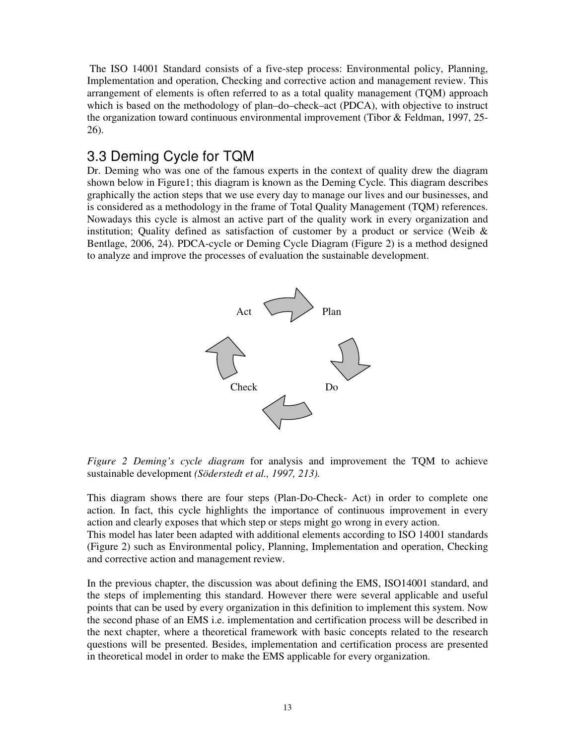The ISO 14001 Standard consists of a five-step process: Environmental policy, Planning, Implementation and operation, Checking and corrective action and management review. This arrangement of elements is often referred to as a total quality management (TQM) approach which is based on the methodology of plan–do–check–act (PDCA), with objective to instruct the organization toward continuous environmental improvement (Tibor & Feldman, 1997, 25- 26).

### 3.3 Deming Cycle for TQM

Dr. Deming who was one of the famous experts in the context of quality drew the diagram shown below in Figure1; this diagram is known as the Deming Cycle. This diagram describes graphically the action steps that we use every day to manage our lives and our businesses, and is considered as a methodology in the frame of Total Quality Management (TQM) references. Nowadays this cycle is almost an active part of the quality work in every organization and institution; Quality defined as satisfaction of customer by a product or service (Weib  $\&$ Bentlage, 2006, 24). PDCA-cycle or Deming Cycle Diagram (Figure 2) is a method designed to analyze and improve the processes of evaluation the sustainable development.



*Figure 2 Deming's cycle diagram* for analysis and improvement the TQM to achieve sustainable development *(Söderstedt et al., 1997, 213).* 

This diagram shows there are four steps (Plan-Do-Check- Act) in order to complete one action. In fact, this cycle highlights the importance of continuous improvement in every action and clearly exposes that which step or steps might go wrong in every action.

This model has later been adapted with additional elements according to ISO 14001 standards (Figure 2) such as Environmental policy, Planning, Implementation and operation, Checking and corrective action and management review.

In the previous chapter, the discussion was about defining the EMS, ISO14001 standard, and the steps of implementing this standard. However there were several applicable and useful points that can be used by every organization in this definition to implement this system. Now the second phase of an EMS i.e. implementation and certification process will be described in the next chapter, where a theoretical framework with basic concepts related to the research questions will be presented. Besides, implementation and certification process are presented in theoretical model in order to make the EMS applicable for every organization.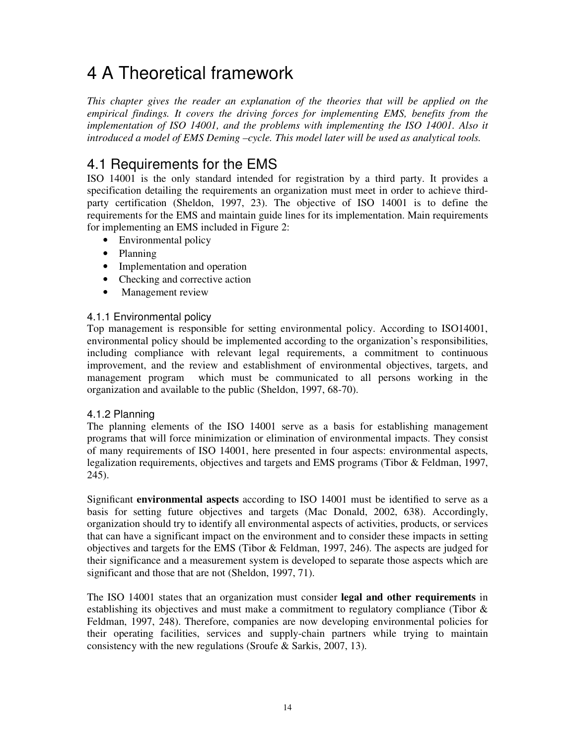# 4 A Theoretical framework

*This chapter gives the reader an explanation of the theories that will be applied on the empirical findings. It covers the driving forces for implementing EMS, benefits from the implementation of ISO 14001, and the problems with implementing the ISO 14001. Also it introduced a model of EMS Deming –cycle. This model later will be used as analytical tools.* 

## 4.1 Requirements for the EMS

ISO 14001 is the only standard intended for registration by a third party. It provides a specification detailing the requirements an organization must meet in order to achieve thirdparty certification (Sheldon, 1997, 23). The objective of ISO 14001 is to define the requirements for the EMS and maintain guide lines for its implementation. Main requirements for implementing an EMS included in Figure 2:

- Environmental policy
- Planning
- Implementation and operation
- Checking and corrective action
- Management review

#### 4.1.1 Environmental policy

Top management is responsible for setting environmental policy. According to ISO14001, environmental policy should be implemented according to the organization's responsibilities, including compliance with relevant legal requirements, a commitment to continuous improvement, and the review and establishment of environmental objectives, targets, and management program which must be communicated to all persons working in the organization and available to the public (Sheldon, 1997, 68-70).

#### 4.1.2 Planning

The planning elements of the ISO 14001 serve as a basis for establishing management programs that will force minimization or elimination of environmental impacts. They consist of many requirements of ISO 14001, here presented in four aspects: environmental aspects, legalization requirements, objectives and targets and EMS programs (Tibor & Feldman, 1997, 245).

Significant **environmental aspects** according to ISO 14001 must be identified to serve as a basis for setting future objectives and targets (Mac Donald, 2002, 638). Accordingly, organization should try to identify all environmental aspects of activities, products, or services that can have a significant impact on the environment and to consider these impacts in setting objectives and targets for the EMS (Tibor & Feldman, 1997, 246). The aspects are judged for their significance and a measurement system is developed to separate those aspects which are significant and those that are not (Sheldon, 1997, 71).

The ISO 14001 states that an organization must consider **legal and other requirements** in establishing its objectives and must make a commitment to regulatory compliance (Tibor & Feldman, 1997, 248). Therefore, companies are now developing environmental policies for their operating facilities, services and supply-chain partners while trying to maintain consistency with the new regulations (Sroufe & Sarkis, 2007, 13).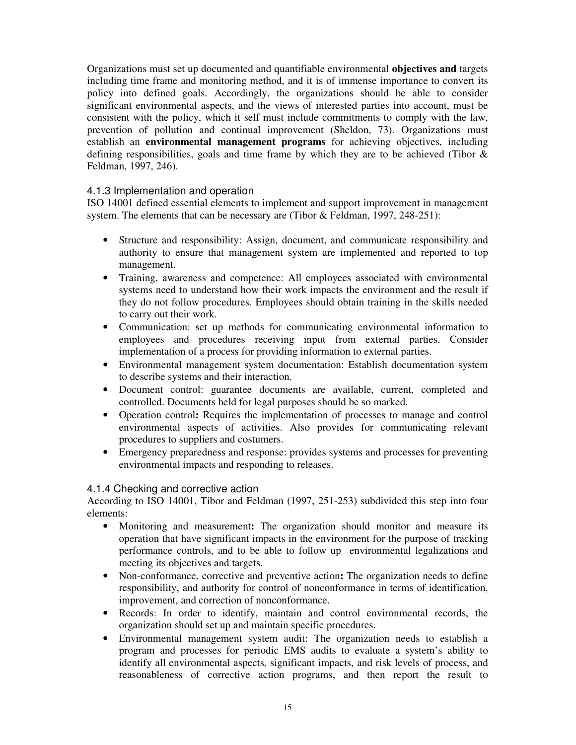Organizations must set up documented and quantifiable environmental **objectives and** targets including time frame and monitoring method, and it is of immense importance to convert its policy into defined goals. Accordingly, the organizations should be able to consider significant environmental aspects, and the views of interested parties into account, must be consistent with the policy, which it self must include commitments to comply with the law, prevention of pollution and continual improvement (Sheldon, 73). Organizations must establish an **environmental management programs** for achieving objectives, including defining responsibilities, goals and time frame by which they are to be achieved (Tibor & Feldman, 1997, 246).

#### 4.1.3 Implementation and operation

ISO 14001 defined essential elements to implement and support improvement in management system. The elements that can be necessary are (Tibor & Feldman, 1997, 248-251):

- Structure and responsibility: Assign, document, and communicate responsibility and authority to ensure that management system are implemented and reported to top management.
- Training, awareness and competence: All employees associated with environmental systems need to understand how their work impacts the environment and the result if they do not follow procedures. Employees should obtain training in the skills needed to carry out their work.
- Communication: set up methods for communicating environmental information to employees and procedures receiving input from external parties. Consider implementation of a process for providing information to external parties.
- Environmental management system documentation: Establish documentation system to describe systems and their interaction.
- Document control: guarantee documents are available, current, completed and controlled. Documents held for legal purposes should be so marked.
- Operation control**:** Requires the implementation of processes to manage and control environmental aspects of activities. Also provides for communicating relevant procedures to suppliers and costumers.
- Emergency preparedness and response: provides systems and processes for preventing environmental impacts and responding to releases.

#### 4.1.4 Checking and corrective action

According to ISO 14001, Tibor and Feldman (1997, 251-253) subdivided this step into four elements:

- Monitoring and measurement**:** The organization should monitor and measure its operation that have significant impacts in the environment for the purpose of tracking performance controls, and to be able to follow up environmental legalizations and meeting its objectives and targets.
- Non-conformance, corrective and preventive action**:** The organization needs to define responsibility, and authority for control of nonconformance in terms of identification, improvement, and correction of nonconformance.
- Records: In order to identify, maintain and control environmental records, the organization should set up and maintain specific procedures.
- Environmental management system audit: The organization needs to establish a program and processes for periodic EMS audits to evaluate a system's ability to identify all environmental aspects, significant impacts, and risk levels of process, and reasonableness of corrective action programs, and then report the result to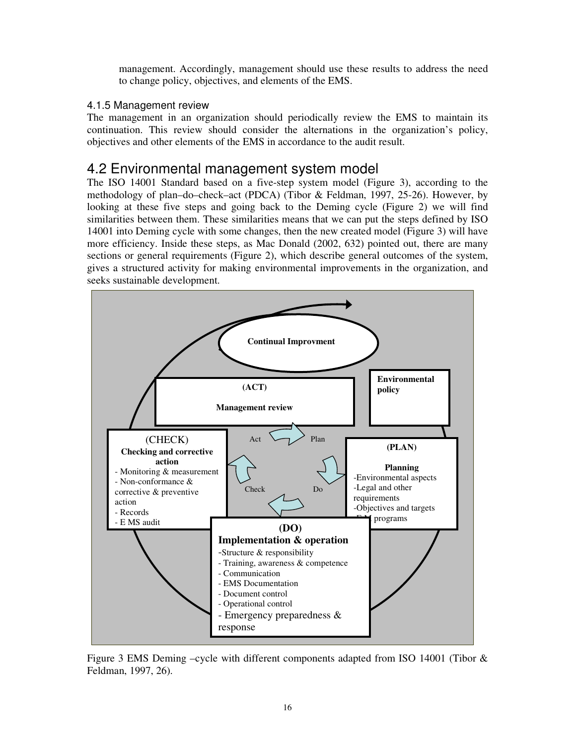management. Accordingly, management should use these results to address the need to change policy, objectives, and elements of the EMS.

#### 4.1.5 Management review

The management in an organization should periodically review the EMS to maintain its continuation. This review should consider the alternations in the organization's policy, objectives and other elements of the EMS in accordance to the audit result.

### 4.2 Environmental management system model

The ISO 14001 Standard based on a five-step system model (Figure 3), according to the methodology of plan–do–check–act (PDCA) (Tibor & Feldman, 1997, 25-26). However, by looking at these five steps and going back to the Deming cycle (Figure 2) we will find similarities between them. These similarities means that we can put the steps defined by ISO 14001 into Deming cycle with some changes, then the new created model (Figure 3) will have more efficiency. Inside these steps, as Mac Donald (2002, 632) pointed out, there are many sections or general requirements (Figure 2), which describe general outcomes of the system, gives a structured activity for making environmental improvements in the organization, and seeks sustainable development.



Figure 3 EMS Deming –cycle with different components adapted from ISO 14001 (Tibor & Feldman, 1997, 26).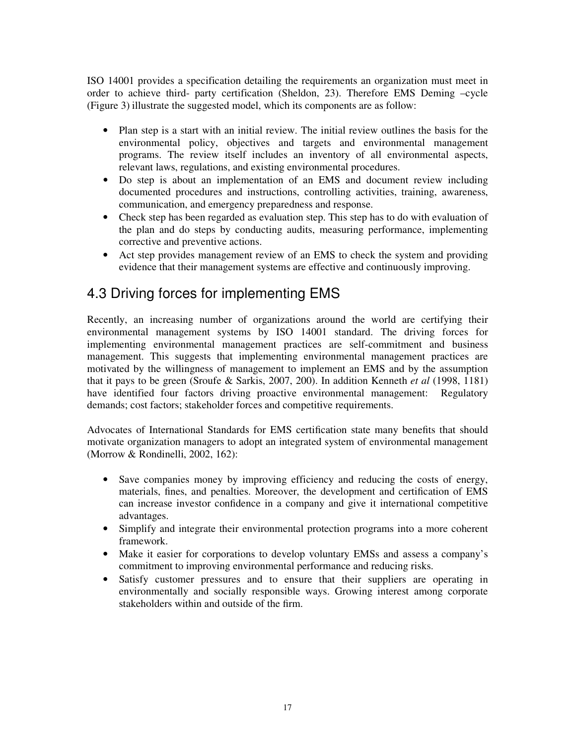ISO 14001 provides a specification detailing the requirements an organization must meet in order to achieve third- party certification (Sheldon, 23). Therefore EMS Deming –cycle (Figure 3) illustrate the suggested model, which its components are as follow:

- Plan step is a start with an initial review. The initial review outlines the basis for the environmental policy, objectives and targets and environmental management programs. The review itself includes an inventory of all environmental aspects, relevant laws, regulations, and existing environmental procedures.
- Do step is about an implementation of an EMS and document review including documented procedures and instructions, controlling activities, training, awareness, communication, and emergency preparedness and response.
- Check step has been regarded as evaluation step. This step has to do with evaluation of the plan and do steps by conducting audits, measuring performance, implementing corrective and preventive actions.
- Act step provides management review of an EMS to check the system and providing evidence that their management systems are effective and continuously improving.

### 4.3 Driving forces for implementing EMS

Recently, an increasing number of organizations around the world are certifying their environmental management systems by ISO 14001 standard. The driving forces for implementing environmental management practices are self-commitment and business management. This suggests that implementing environmental management practices are motivated by the willingness of management to implement an EMS and by the assumption that it pays to be green (Sroufe & Sarkis, 2007, 200). In addition Kenneth *et al* (1998, 1181) have identified four factors driving proactive environmental management: Regulatory demands; cost factors; stakeholder forces and competitive requirements.

Advocates of International Standards for EMS certification state many benefits that should motivate organization managers to adopt an integrated system of environmental management (Morrow & Rondinelli, 2002, 162):

- Save companies money by improving efficiency and reducing the costs of energy, materials, fines, and penalties. Moreover, the development and certification of EMS can increase investor confidence in a company and give it international competitive advantages.
- Simplify and integrate their environmental protection programs into a more coherent framework.
- Make it easier for corporations to develop voluntary EMSs and assess a company's commitment to improving environmental performance and reducing risks.
- Satisfy customer pressures and to ensure that their suppliers are operating in environmentally and socially responsible ways. Growing interest among corporate stakeholders within and outside of the firm.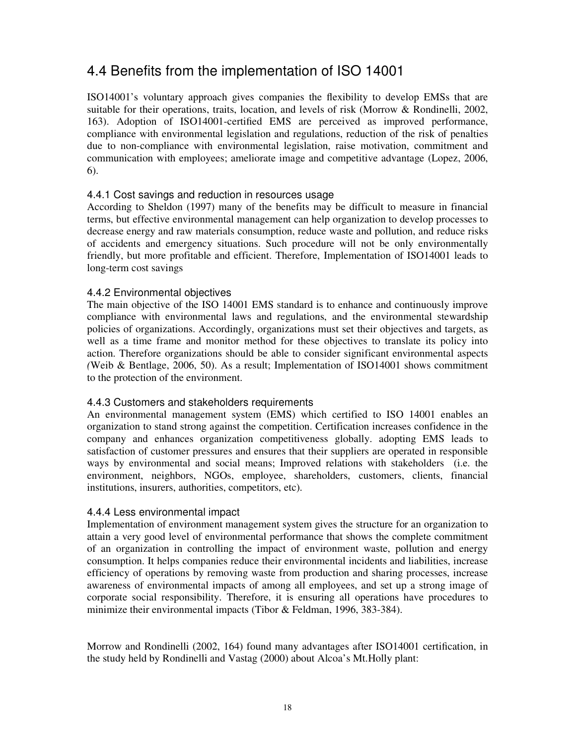## 4.4 Benefits from the implementation of ISO 14001

ISO14001's voluntary approach gives companies the flexibility to develop EMSs that are suitable for their operations, traits, location, and levels of risk (Morrow & Rondinelli, 2002, 163). Adoption of ISO14001-certified EMS are perceived as improved performance, compliance with environmental legislation and regulations, reduction of the risk of penalties due to non-compliance with environmental legislation, raise motivation, commitment and communication with employees; ameliorate image and competitive advantage (Lopez, 2006, 6).

#### 4.4.1 Cost savings and reduction in resources usage

According to Sheldon (1997) many of the benefits may be difficult to measure in financial terms, but effective environmental management can help organization to develop processes to decrease energy and raw materials consumption, reduce waste and pollution, and reduce risks of accidents and emergency situations. Such procedure will not be only environmentally friendly, but more profitable and efficient. Therefore, Implementation of ISO14001 leads to long-term cost savings

#### 4.4.2 Environmental objectives

The main objective of the ISO 14001 EMS standard is to enhance and continuously improve compliance with environmental laws and regulations, and the environmental stewardship policies of organizations. Accordingly, organizations must set their objectives and targets, as well as a time frame and monitor method for these objectives to translate its policy into action. Therefore organizations should be able to consider significant environmental aspects *(*Weib & Bentlage, 2006, 50). As a result; Implementation of ISO14001 shows commitment to the protection of the environment.

#### 4.4.3 Customers and stakeholders requirements

An environmental management system (EMS) which certified to ISO 14001 enables an organization to stand strong against the competition. Certification increases confidence in the company and enhances organization competitiveness globally. adopting EMS leads to satisfaction of customer pressures and ensures that their suppliers are operated in responsible ways by environmental and social means; Improved relations with stakeholders (i.e. the environment, neighbors, NGOs, employee, shareholders, customers, clients, financial institutions, insurers, authorities, competitors, etc).

#### 4.4.4 Less environmental impact

Implementation of environment management system gives the structure for an organization to attain a very good level of environmental performance that shows the complete commitment of an organization in controlling the impact of environment waste, pollution and energy consumption. It helps companies reduce their environmental incidents and liabilities, increase efficiency of operations by removing waste from production and sharing processes, increase awareness of environmental impacts of among all employees, and set up a strong image of corporate social responsibility. Therefore, it is ensuring all operations have procedures to minimize their environmental impacts (Tibor & Feldman, 1996, 383-384).

Morrow and Rondinelli (2002, 164) found many advantages after ISO14001 certification, in the study held by Rondinelli and Vastag (2000) about Alcoa's Mt.Holly plant: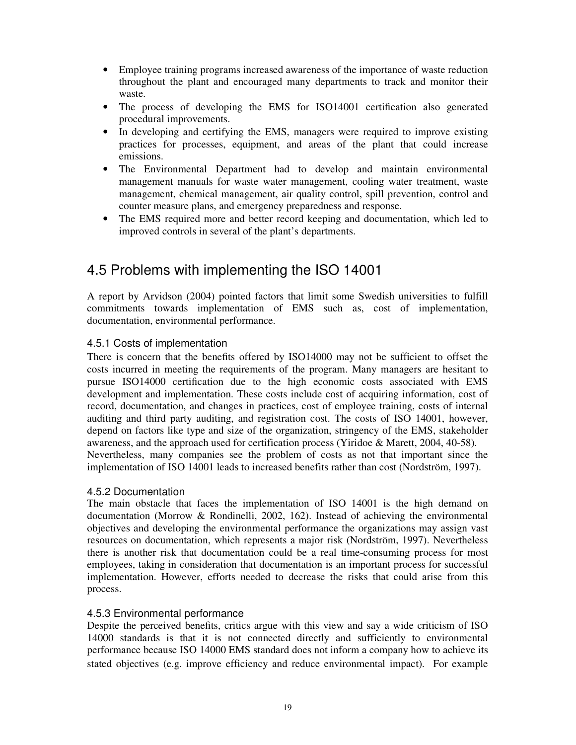- Employee training programs increased awareness of the importance of waste reduction throughout the plant and encouraged many departments to track and monitor their waste.
- The process of developing the EMS for ISO14001 certification also generated procedural improvements.
- In developing and certifying the EMS, managers were required to improve existing practices for processes, equipment, and areas of the plant that could increase emissions.
- The Environmental Department had to develop and maintain environmental management manuals for waste water management, cooling water treatment, waste management, chemical management, air quality control, spill prevention, control and counter measure plans, and emergency preparedness and response.
- The EMS required more and better record keeping and documentation, which led to improved controls in several of the plant's departments.

## 4.5 Problems with implementing the ISO 14001

A report by Arvidson (2004) pointed factors that limit some Swedish universities to fulfill commitments towards implementation of EMS such as, cost of implementation, documentation, environmental performance.

#### 4.5.1 Costs of implementation

There is concern that the benefits offered by ISO14000 may not be sufficient to offset the costs incurred in meeting the requirements of the program. Many managers are hesitant to pursue ISO14000 certification due to the high economic costs associated with EMS development and implementation. These costs include cost of acquiring information, cost of record, documentation, and changes in practices, cost of employee training, costs of internal auditing and third party auditing, and registration cost. The costs of ISO 14001, however, depend on factors like type and size of the organization, stringency of the EMS, stakeholder awareness, and the approach used for certification process (Yiridoe & Marett, 2004, 40-58). Nevertheless, many companies see the problem of costs as not that important since the implementation of ISO 14001 leads to increased benefits rather than cost (Nordström, 1997).

#### 4.5.2 Documentation

The main obstacle that faces the implementation of ISO 14001 is the high demand on documentation (Morrow & Rondinelli, 2002, 162). Instead of achieving the environmental objectives and developing the environmental performance the organizations may assign vast resources on documentation, which represents a major risk (Nordström, 1997). Nevertheless there is another risk that documentation could be a real time-consuming process for most employees, taking in consideration that documentation is an important process for successful implementation. However, efforts needed to decrease the risks that could arise from this process.

#### 4.5.3 Environmental performance

Despite the perceived benefits, critics argue with this view and say a wide criticism of ISO 14000 standards is that it is not connected directly and sufficiently to environmental performance because ISO 14000 EMS standard does not inform a company how to achieve its stated objectives (e.g. improve efficiency and reduce environmental impact). For example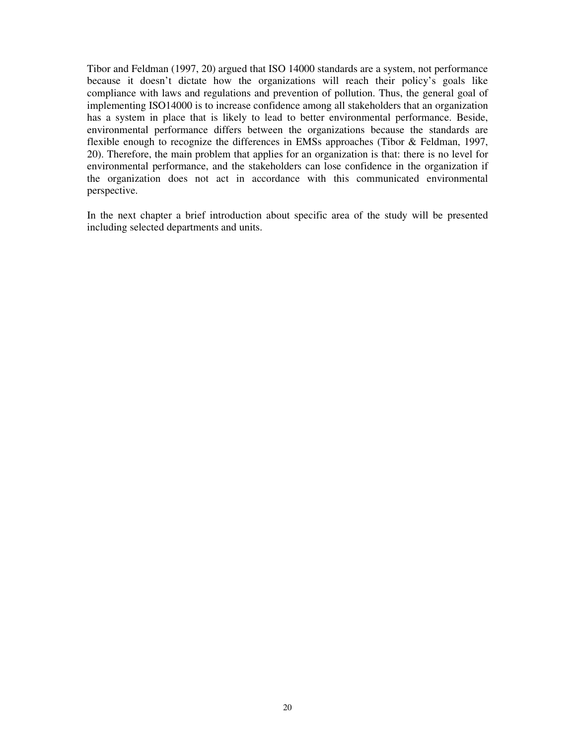Tibor and Feldman (1997, 20) argued that ISO 14000 standards are a system, not performance because it doesn't dictate how the organizations will reach their policy's goals like compliance with laws and regulations and prevention of pollution. Thus, the general goal of implementing ISO14000 is to increase confidence among all stakeholders that an organization has a system in place that is likely to lead to better environmental performance. Beside, environmental performance differs between the organizations because the standards are flexible enough to recognize the differences in EMSs approaches (Tibor & Feldman, 1997, 20). Therefore, the main problem that applies for an organization is that: there is no level for environmental performance, and the stakeholders can lose confidence in the organization if the organization does not act in accordance with this communicated environmental perspective.

In the next chapter a brief introduction about specific area of the study will be presented including selected departments and units.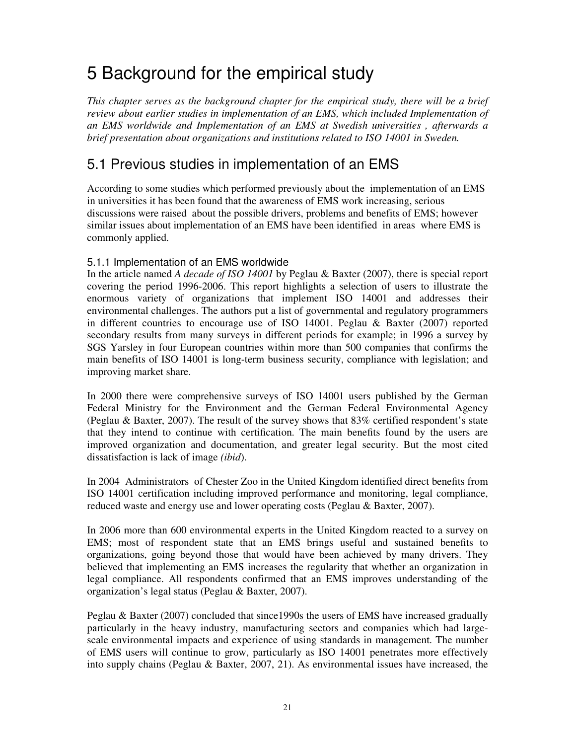# 5 Background for the empirical study

*This chapter serves as the background chapter for the empirical study, there will be a brief review about earlier studies in implementation of an EMS, which included Implementation of an EMS worldwide and Implementation of an EMS at Swedish universities , afterwards a brief presentation about organizations and institutions related to ISO 14001 in Sweden.* 

## 5.1 Previous studies in implementation of an EMS

According to some studies which performed previously about the implementation of an EMS in universities it has been found that the awareness of EMS work increasing, serious discussions were raised about the possible drivers, problems and benefits of EMS; however similar issues about implementation of an EMS have been identified in areas where EMS is commonly applied.

#### 5.1.1 Implementation of an EMS worldwide

In the article named *A decade of ISO 14001* by Peglau & Baxter (2007), there is special report covering the period 1996-2006. This report highlights a selection of users to illustrate the enormous variety of organizations that implement ISO 14001 and addresses their environmental challenges. The authors put a list of governmental and regulatory programmers in different countries to encourage use of ISO 14001. Peglau & Baxter (2007) reported secondary results from many surveys in different periods for example; in 1996 a survey by SGS Yarsley in four European countries within more than 500 companies that confirms the main benefits of ISO 14001 is long-term business security, compliance with legislation; and improving market share.

In 2000 there were comprehensive surveys of ISO 14001 users published by the German Federal Ministry for the Environment and the German Federal Environmental Agency (Peglau & Baxter, 2007). The result of the survey shows that 83% certified respondent's state that they intend to continue with certification. The main benefits found by the users are improved organization and documentation, and greater legal security. But the most cited dissatisfaction is lack of image *(ibid*).

In 2004 Administrators of Chester Zoo in the United Kingdom identified direct benefits from ISO 14001 certification including improved performance and monitoring, legal compliance, reduced waste and energy use and lower operating costs (Peglau & Baxter, 2007).

In 2006 more than 600 environmental experts in the United Kingdom reacted to a survey on EMS; most of respondent state that an EMS brings useful and sustained benefits to organizations, going beyond those that would have been achieved by many drivers. They believed that implementing an EMS increases the regularity that whether an organization in legal compliance. All respondents confirmed that an EMS improves understanding of the organization's legal status (Peglau & Baxter, 2007).

Peglau & Baxter (2007) concluded that since1990s the users of EMS have increased gradually particularly in the heavy industry, manufacturing sectors and companies which had largescale environmental impacts and experience of using standards in management. The number of EMS users will continue to grow, particularly as ISO 14001 penetrates more effectively into supply chains (Peglau & Baxter, 2007, 21). As environmental issues have increased, the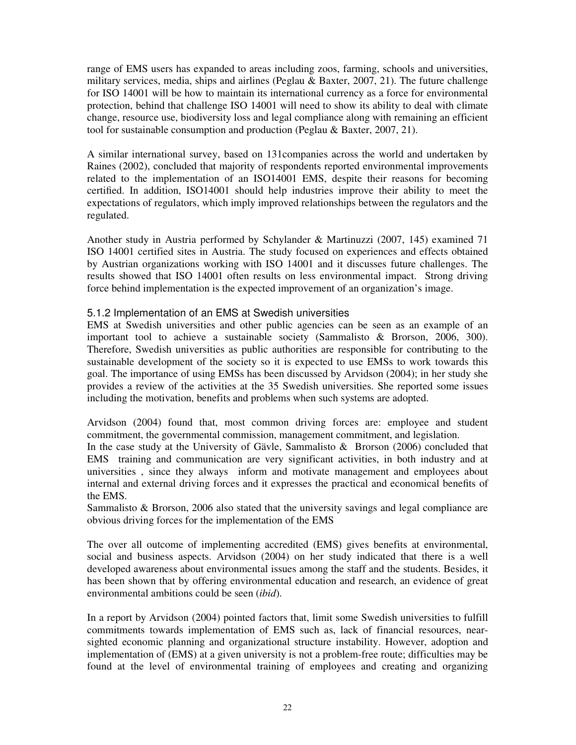range of EMS users has expanded to areas including zoos, farming, schools and universities, military services, media, ships and airlines (Peglau & Baxter, 2007, 21). The future challenge for ISO 14001 will be how to maintain its international currency as a force for environmental protection, behind that challenge ISO 14001 will need to show its ability to deal with climate change, resource use, biodiversity loss and legal compliance along with remaining an efficient tool for sustainable consumption and production (Peglau & Baxter, 2007, 21).

A similar international survey, based on 131companies across the world and undertaken by Raines (2002), concluded that majority of respondents reported environmental improvements related to the implementation of an ISO14001 EMS, despite their reasons for becoming certified. In addition, ISO14001 should help industries improve their ability to meet the expectations of regulators, which imply improved relationships between the regulators and the regulated.

Another study in Austria performed by Schylander & Martinuzzi (2007, 145) examined 71 ISO 14001 certified sites in Austria. The study focused on experiences and effects obtained by Austrian organizations working with ISO 14001 and it discusses future challenges. The results showed that ISO 14001 often results on less environmental impact. Strong driving force behind implementation is the expected improvement of an organization's image.

#### 5.1.2 Implementation of an EMS at Swedish universities

EMS at Swedish universities and other public agencies can be seen as an example of an important tool to achieve a sustainable society (Sammalisto & Brorson, 2006, 300). Therefore, Swedish universities as public authorities are responsible for contributing to the sustainable development of the society so it is expected to use EMSs to work towards this goal. The importance of using EMSs has been discussed by Arvidson (2004); in her study she provides a review of the activities at the 35 Swedish universities. She reported some issues including the motivation, benefits and problems when such systems are adopted.

Arvidson (2004) found that, most common driving forces are: employee and student commitment, the governmental commission, management commitment, and legislation.

In the case study at the University of Gävle, Sammalisto & Brorson (2006) concluded that EMS training and communication are very significant activities, in both industry and at universities , since they always inform and motivate management and employees about internal and external driving forces and it expresses the practical and economical benefits of the EMS.

Sammalisto & Brorson, 2006 also stated that the university savings and legal compliance are obvious driving forces for the implementation of the EMS

The over all outcome of implementing accredited (EMS) gives benefits at environmental, social and business aspects. Arvidson (2004) on her study indicated that there is a well developed awareness about environmental issues among the staff and the students. Besides, it has been shown that by offering environmental education and research, an evidence of great environmental ambitions could be seen (*ibid*).

In a report by Arvidson (2004) pointed factors that, limit some Swedish universities to fulfill commitments towards implementation of EMS such as, lack of financial resources, nearsighted economic planning and organizational structure instability. However, adoption and implementation of (EMS) at a given university is not a problem-free route; difficulties may be found at the level of environmental training of employees and creating and organizing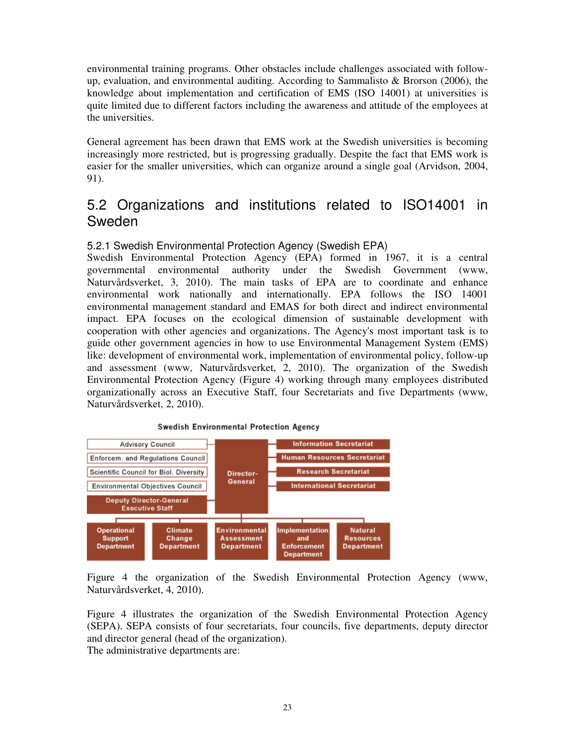environmental training programs. Other obstacles include challenges associated with followup, evaluation, and environmental auditing. According to Sammalisto & Brorson (2006), the knowledge about implementation and certification of EMS (ISO 14001) at universities is quite limited due to different factors including the awareness and attitude of the employees at the universities.

General agreement has been drawn that EMS work at the Swedish universities is becoming increasingly more restricted, but is progressing gradually. Despite the fact that EMS work is easier for the smaller universities, which can organize around a single goal (Arvidson, 2004, 91).

## 5.2 Organizations and institutions related to ISO14001 in Sweden

#### 5.2.1 Swedish Environmental Protection Agency (Swedish EPA)

Swedish Environmental Protection Agency (EPA) formed in 1967, it is a central governmental environmental authority under the Swedish Government (www, Naturvårdsverket, 3, 2010). The main tasks of EPA are to coordinate and enhance environmental work nationally and internationally. EPA follows the ISO 14001 environmental management standard and EMAS for both direct and indirect environmental impact. EPA focuses on the ecological dimension of sustainable development with cooperation with other agencies and organizations. The Agency's most important task is to guide other government agencies in how to use Environmental Management System (EMS) like: development of environmental work, implementation of environmental policy, follow-up and assessment (www, Naturvårdsverket, 2, 2010). The organization of the Swedish Environmental Protection Agency (Figure 4) working through many employees distributed organizationally across an Executive Staff, four Secretariats and five Departments (www, Naturvårdsverket, 2, 2010).



Swedish Environmental Protection Agency

Figure 4 the organization of the Swedish Environmental Protection Agency (www, Naturvårdsverket, 4, 2010).

Figure 4 illustrates the organization of the Swedish Environmental Protection Agency (SEPA). SEPA consists of four secretariats, four councils, five departments, deputy director and director general (head of the organization). The administrative departments are: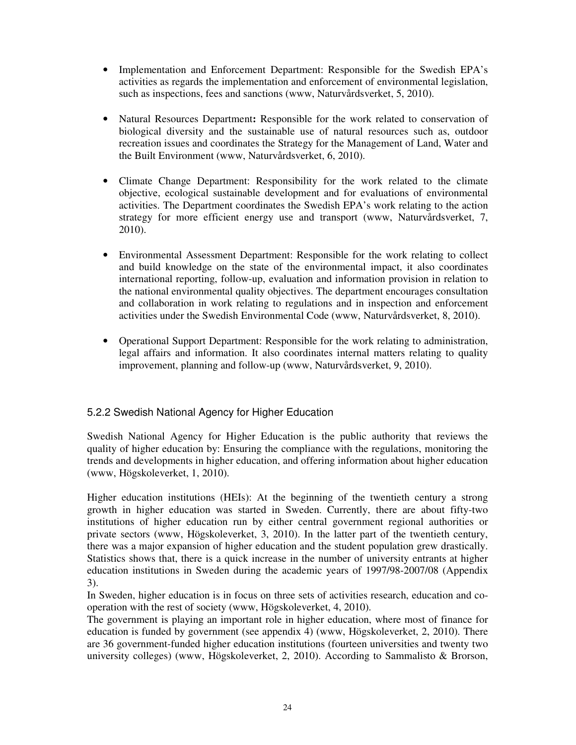- Implementation and Enforcement Department: Responsible for the Swedish EPA's activities as regards the implementation and enforcement of environmental legislation, such as inspections, fees and sanctions (www, Naturvårdsverket, 5, 2010).
- Natural Resources Department**:** Responsible for the work related to conservation of biological diversity and the sustainable use of natural resources such as, outdoor recreation issues and coordinates the Strategy for the Management of Land, Water and the Built Environment (www, Naturvårdsverket, 6, 2010).
- Climate Change Department: Responsibility for the work related to the climate objective, ecological sustainable development and for evaluations of environmental activities. The Department coordinates the Swedish EPA's work relating to the action strategy for more efficient energy use and transport (www, Naturvårdsverket, 7, 2010).
- Environmental Assessment Department: Responsible for the work relating to collect and build knowledge on the state of the environmental impact, it also coordinates international reporting, follow-up, evaluation and information provision in relation to the national environmental quality objectives. The department encourages consultation and collaboration in work relating to regulations and in inspection and enforcement activities under the Swedish Environmental Code (www, Naturvårdsverket, 8, 2010).
- Operational Support Department: Responsible for the work relating to administration, legal affairs and information. It also coordinates internal matters relating to quality improvement, planning and follow-up (www, Naturvårdsverket, 9, 2010).

#### 5.2.2 Swedish National Agency for Higher Education

Swedish National Agency for Higher Education is the public authority that reviews the quality of higher education by: Ensuring the compliance with the regulations, monitoring the trends and developments in higher education, and offering information about higher education (www, Högskoleverket, 1, 2010).

Higher education institutions (HEIs): At the beginning of the twentieth century a strong growth in higher education was started in Sweden. Currently, there are about fifty-two institutions of higher education run by either central government regional authorities or private sectors (www, Högskoleverket, 3, 2010). In the latter part of the twentieth century, there was a major expansion of higher education and the student population grew drastically. Statistics shows that, there is a quick increase in the number of university entrants at higher education institutions in Sweden during the academic years of 1997/98-2007/08 (Appendix 3).

In Sweden, higher education is in focus on three sets of activities research, education and cooperation with the rest of society (www, Högskoleverket, 4, 2010).

The government is playing an important role in higher education, where most of finance for education is funded by government (see appendix 4) (www, Högskoleverket, 2, 2010). There are 36 government-funded higher education institutions (fourteen universities and twenty two university colleges) (www, Högskoleverket, 2, 2010). According to Sammalisto & Brorson,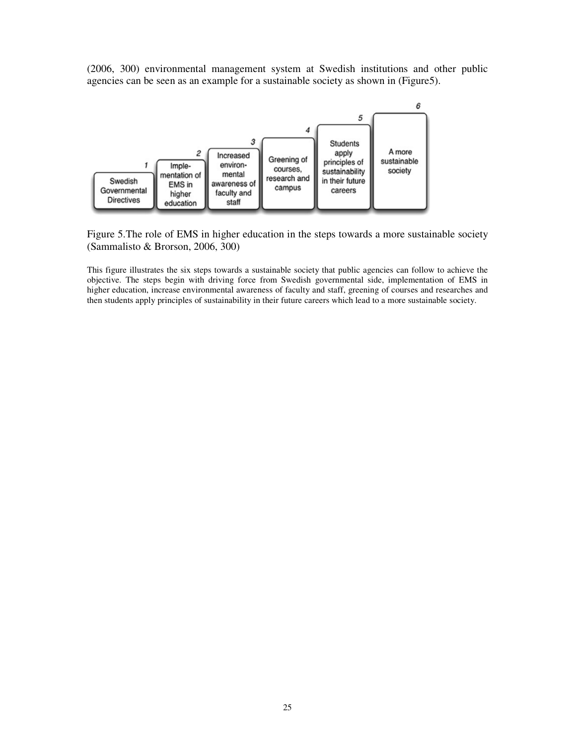(2006, 300) environmental management system at Swedish institutions and other public agencies can be seen as an example for a sustainable society as shown in (Figure5).



Figure 5.The role of EMS in higher education in the steps towards a more sustainable society (Sammalisto & Brorson, 2006, 300)

This figure illustrates the six steps towards a sustainable society that public agencies can follow to achieve the objective. The steps begin with driving force from Swedish governmental side, implementation of EMS in higher education, increase environmental awareness of faculty and staff, greening of courses and researches and then students apply principles of sustainability in their future careers which lead to a more sustainable society.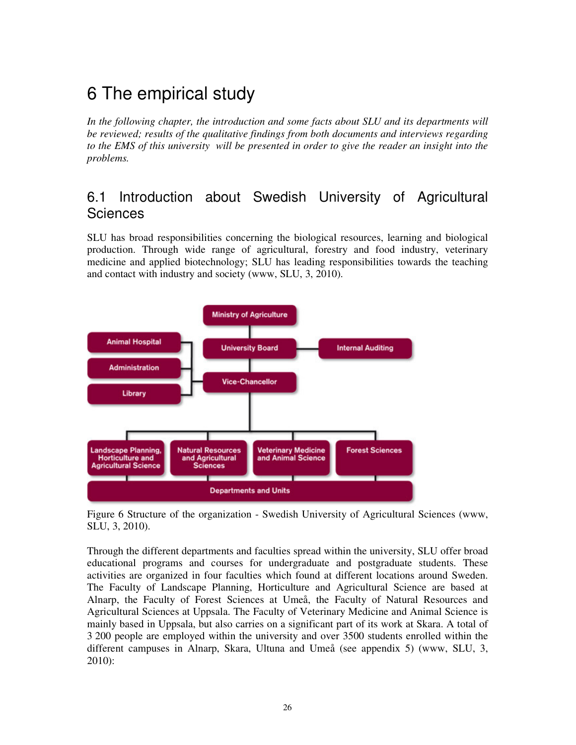# 6 The empirical study

In the following chapter, the introduction and some facts about SLU and its departments will *be reviewed; results of the qualitative findings from both documents and interviews regarding to the EMS of this university will be presented in order to give the reader an insight into the problems.* 

## 6.1 Introduction about Swedish University of Agricultural **Sciences**

SLU has broad responsibilities concerning the biological resources, learning and biological production. Through wide range of agricultural, forestry and food industry, veterinary medicine and applied biotechnology; SLU has leading responsibilities towards the teaching and contact with industry and society (www, SLU, 3, 2010).



Figure 6 Structure of the organization - Swedish University of Agricultural Sciences (www, SLU, 3, 2010).

Through the different departments and faculties spread within the university, SLU offer broad educational programs and courses for undergraduate and postgraduate students. These activities are organized in four faculties which found at different locations around Sweden. The Faculty of Landscape Planning, Horticulture and Agricultural Science are based at Alnarp, the Faculty of Forest Sciences at Umeå, the Faculty of Natural Resources and Agricultural Sciences at Uppsala. The Faculty of Veterinary Medicine and Animal Science is mainly based in Uppsala, but also carries on a significant part of its work at Skara. A total of 3 200 people are employed within the university and over 3500 students enrolled within the different campuses in Alnarp, Skara, Ultuna and Umeå (see appendix 5) (www, SLU, 3, 2010):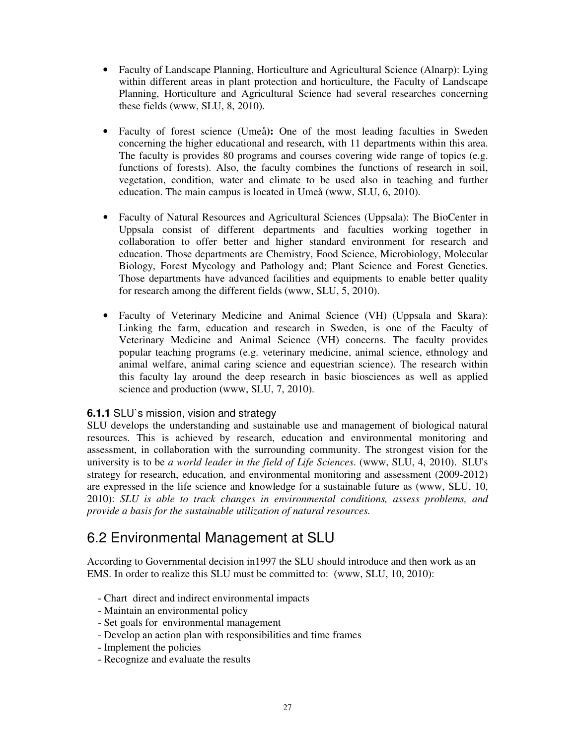- Faculty of Landscape Planning, Horticulture and Agricultural Science (Alnarp): Lying within different areas in plant protection and horticulture, the Faculty of Landscape Planning, Horticulture and Agricultural Science had several researches concerning these fields (www, SLU, 8, 2010).
- Faculty of forest science (Umeå): One of the most leading faculties in Sweden concerning the higher educational and research, with 11 departments within this area. The faculty is provides 80 programs and courses covering wide range of topics (e.g. functions of forests). Also, the faculty combines the functions of research in soil, vegetation, condition, water and climate to be used also in teaching and further education. The main campus is located in Umeå (www, SLU, 6, 2010).
- Faculty of Natural Resources and Agricultural Sciences (Uppsala): The BioCenter in Uppsala consist of different departments and faculties working together in collaboration to offer better and higher standard environment for research and education. Those departments are Chemistry, Food Science, Microbiology, Molecular Biology, Forest Mycology and Pathology and; Plant Science and Forest Genetics. Those departments have advanced facilities and equipments to enable better quality for research among the different fields (www, SLU, 5, 2010).
- Faculty of Veterinary Medicine and Animal Science (VH) (Uppsala and Skara): Linking the farm, education and research in Sweden, is one of the Faculty of Veterinary Medicine and Animal Science (VH) concerns. The faculty provides popular teaching programs (e.g. veterinary medicine, animal science, ethnology and animal welfare, animal caring science and equestrian science). The research within this faculty lay around the deep research in basic biosciences as well as applied science and production (www, SLU, 7, 2010).

#### **6.1.1** SLU`s mission, vision and strategy

SLU develops the understanding and sustainable use and management of biological natural resources. This is achieved by research, education and environmental monitoring and assessment, in collaboration with the surrounding community. The strongest vision for the university is to be *a world leader in the field of Life Sciences*. (www, SLU, 4, 2010). SLU's strategy for research, education, and environmental monitoring and assessment (2009-2012) are expressed in the life science and knowledge for a sustainable future as (www, SLU, 10, 2010): *SLU is able to track changes in environmental conditions, assess problems, and provide a basis for the sustainable utilization of natural resources.* 

## 6.2 Environmental Management at SLU

According to Governmental decision in1997 the SLU should introduce and then work as an EMS. In order to realize this SLU must be committed to: (www, SLU, 10, 2010):

- Chart direct and indirect environmental impacts
- Maintain an environmental policy
- Set goals for environmental management
- Develop an action plan with responsibilities and time frames
- Implement the policies
- Recognize and evaluate the results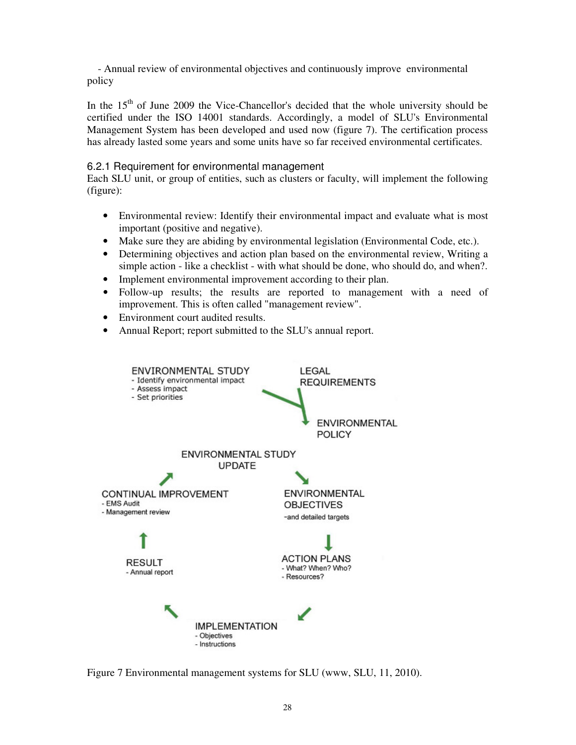- Annual review of environmental objectives and continuously improve environmental policy

In the  $15<sup>th</sup>$  of June 2009 the Vice-Chancellor's decided that the whole university should be certified under the ISO 14001 standards. Accordingly, a model of SLU's Environmental Management System has been developed and used now (figure 7). The certification process has already lasted some years and some units have so far received environmental certificates.

#### 6.2.1 Requirement for environmental management

Each SLU unit, or group of entities, such as clusters or faculty, will implement the following (figure):

- Environmental review: Identify their environmental impact and evaluate what is most important (positive and negative).
- Make sure they are abiding by environmental legislation (Environmental Code, etc.).
- Determining objectives and action plan based on the environmental review, Writing a simple action - like a checklist - with what should be done, who should do, and when?.
- Implement environmental improvement according to their plan.
- Follow-up results; the results are reported to management with a need of improvement. This is often called "management review".
- Environment court audited results.
- Annual Report; report submitted to the SLU's annual report.



Figure 7 Environmental management systems for SLU (www, SLU, 11, 2010).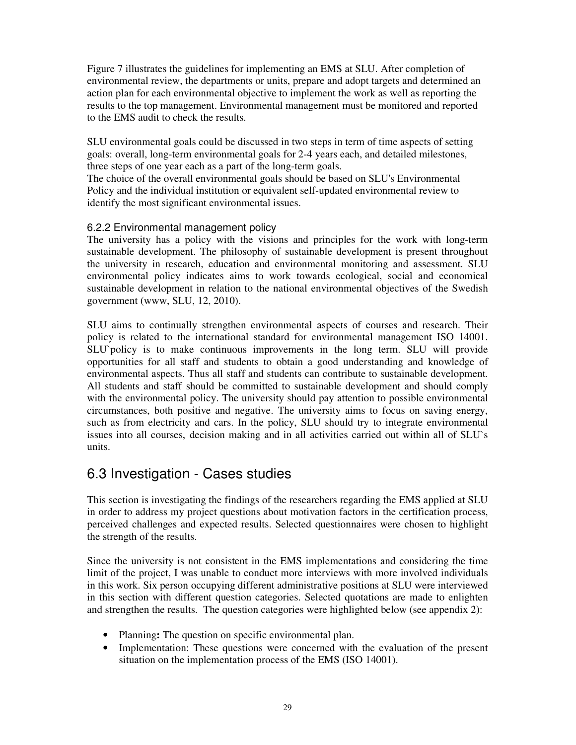Figure 7 illustrates the guidelines for implementing an EMS at SLU. After completion of environmental review, the departments or units, prepare and adopt targets and determined an action plan for each environmental objective to implement the work as well as reporting the results to the top management. Environmental management must be monitored and reported to the EMS audit to check the results.

SLU environmental goals could be discussed in two steps in term of time aspects of setting goals: overall, long-term environmental goals for 2-4 years each, and detailed milestones, three steps of one year each as a part of the long-term goals.

The choice of the overall environmental goals should be based on SLU's Environmental Policy and the individual institution or equivalent self-updated environmental review to identify the most significant environmental issues.

#### 6.2.2 Environmental management policy

The university has a policy with the visions and principles for the work with long-term sustainable development. The philosophy of sustainable development is present throughout the university in research, education and environmental monitoring and assessment. SLU environmental policy indicates aims to work towards ecological, social and economical sustainable development in relation to the national environmental objectives of the Swedish government (www, SLU, 12, 2010).

SLU aims to continually strengthen environmental aspects of courses and research. Their policy is related to the international standard for environmental management ISO 14001. SLU`policy is to make continuous improvements in the long term. SLU will provide opportunities for all staff and students to obtain a good understanding and knowledge of environmental aspects. Thus all staff and students can contribute to sustainable development. All students and staff should be committed to sustainable development and should comply with the environmental policy. The university should pay attention to possible environmental circumstances, both positive and negative. The university aims to focus on saving energy, such as from electricity and cars. In the policy, SLU should try to integrate environmental issues into all courses, decision making and in all activities carried out within all of SLU`s units.

## 6.3 Investigation - Cases studies

This section is investigating the findings of the researchers regarding the EMS applied at SLU in order to address my project questions about motivation factors in the certification process, perceived challenges and expected results. Selected questionnaires were chosen to highlight the strength of the results.

Since the university is not consistent in the EMS implementations and considering the time limit of the project, I was unable to conduct more interviews with more involved individuals in this work. Six person occupying different administrative positions at SLU were interviewed in this section with different question categories. Selected quotations are made to enlighten and strengthen the results. The question categories were highlighted below (see appendix 2):

- Planning**:** The question on specific environmental plan.
- Implementation: These questions were concerned with the evaluation of the present situation on the implementation process of the EMS (ISO 14001).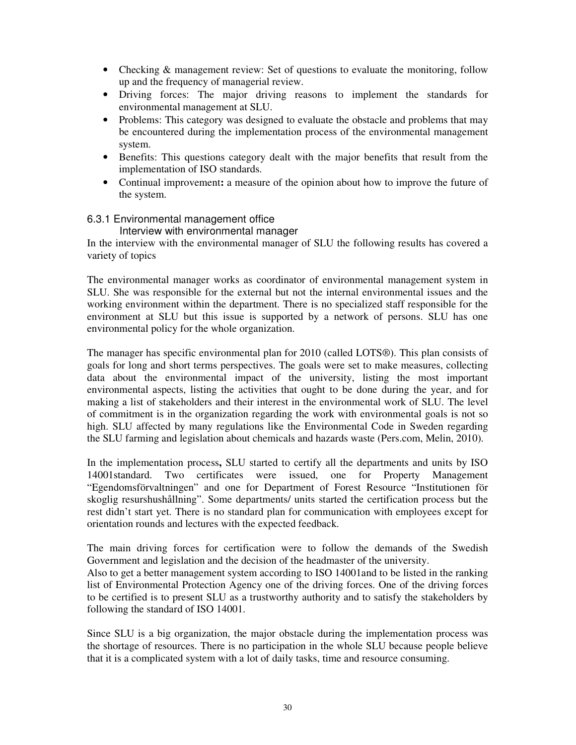- Checking & management review: Set of questions to evaluate the monitoring, follow up and the frequency of managerial review.
- Driving forces: The major driving reasons to implement the standards for environmental management at SLU.
- Problems: This category was designed to evaluate the obstacle and problems that may be encountered during the implementation process of the environmental management system.
- Benefits: This questions category dealt with the major benefits that result from the implementation of ISO standards.
- Continual improvement**:** a measure of the opinion about how to improve the future of the system.

#### 6.3.1 Environmental management office

#### Interview with environmental manager

In the interview with the environmental manager of SLU the following results has covered a variety of topics

The environmental manager works as coordinator of environmental management system in SLU. She was responsible for the external but not the internal environmental issues and the working environment within the department. There is no specialized staff responsible for the environment at SLU but this issue is supported by a network of persons. SLU has one environmental policy for the whole organization.

The manager has specific environmental plan for 2010 (called LOTS®). This plan consists of goals for long and short terms perspectives. The goals were set to make measures, collecting data about the environmental impact of the university, listing the most important environmental aspects, listing the activities that ought to be done during the year, and for making a list of stakeholders and their interest in the environmental work of SLU. The level of commitment is in the organization regarding the work with environmental goals is not so high. SLU affected by many regulations like the Environmental Code in Sweden regarding the SLU farming and legislation about chemicals and hazards waste (Pers.com, Melin, 2010).

In the implementation process**,** SLU started to certify all the departments and units by ISO 14001standard. Two certificates were issued, one for Property Management "Egendomsförvaltningen" and one for Department of Forest Resource "Institutionen för skoglig resurshushållning". Some departments/ units started the certification process but the rest didn't start yet. There is no standard plan for communication with employees except for orientation rounds and lectures with the expected feedback.

The main driving forces for certification were to follow the demands of the Swedish Government and legislation and the decision of the headmaster of the university.

Also to get a better management system according to ISO 14001and to be listed in the ranking list of Environmental Protection Agency one of the driving forces. One of the driving forces to be certified is to present SLU as a trustworthy authority and to satisfy the stakeholders by following the standard of ISO 14001.

Since SLU is a big organization, the major obstacle during the implementation process was the shortage of resources. There is no participation in the whole SLU because people believe that it is a complicated system with a lot of daily tasks, time and resource consuming.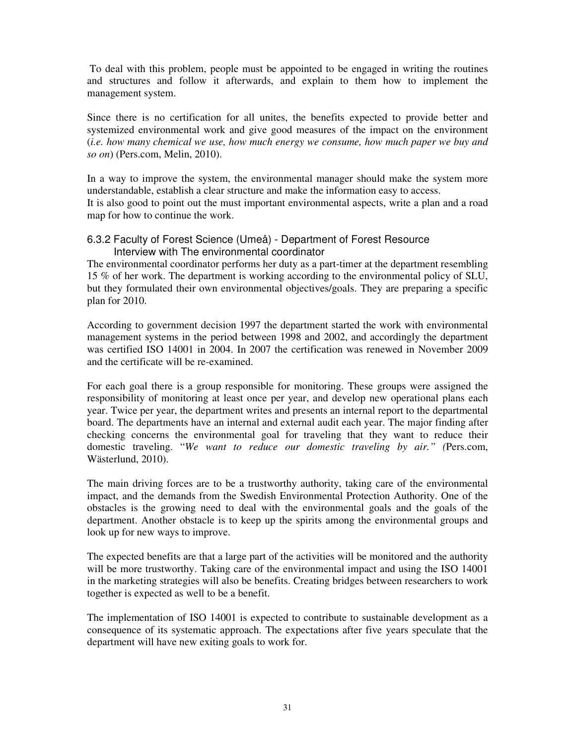To deal with this problem, people must be appointed to be engaged in writing the routines and structures and follow it afterwards, and explain to them how to implement the management system.

Since there is no certification for all unites, the benefits expected to provide better and systemized environmental work and give good measures of the impact on the environment (*i.e. how many chemical we use, how much energy we consume, how much paper we buy and so on*) (Pers.com, Melin, 2010).

In a way to improve the system, the environmental manager should make the system more understandable, establish a clear structure and make the information easy to access. It is also good to point out the must important environmental aspects, write a plan and a road map for how to continue the work.

#### 6.3.2 Faculty of Forest Science (Umeå) - Department of Forest Resource Interview with The environmental coordinator

The environmental coordinator performs her duty as a part-timer at the department resembling 15 % of her work. The department is working according to the environmental policy of SLU, but they formulated their own environmental objectives/goals. They are preparing a specific plan for 2010.

According to government decision 1997 the department started the work with environmental management systems in the period between 1998 and 2002, and accordingly the department was certified ISO 14001 in 2004. In 2007 the certification was renewed in November 2009 and the certificate will be re-examined.

For each goal there is a group responsible for monitoring. These groups were assigned the responsibility of monitoring at least once per year, and develop new operational plans each year. Twice per year, the department writes and presents an internal report to the departmental board. The departments have an internal and external audit each year. The major finding after checking concerns the environmental goal for traveling that they want to reduce their domestic traveling. "*We want to reduce our domestic traveling by air." (*Pers.com, Wästerlund, 2010).

The main driving forces are to be a trustworthy authority, taking care of the environmental impact, and the demands from the Swedish Environmental Protection Authority. One of the obstacles is the growing need to deal with the environmental goals and the goals of the department. Another obstacle is to keep up the spirits among the environmental groups and look up for new ways to improve.

The expected benefits are that a large part of the activities will be monitored and the authority will be more trustworthy. Taking care of the environmental impact and using the ISO 14001 in the marketing strategies will also be benefits. Creating bridges between researchers to work together is expected as well to be a benefit.

The implementation of ISO 14001 is expected to contribute to sustainable development as a consequence of its systematic approach. The expectations after five years speculate that the department will have new exiting goals to work for.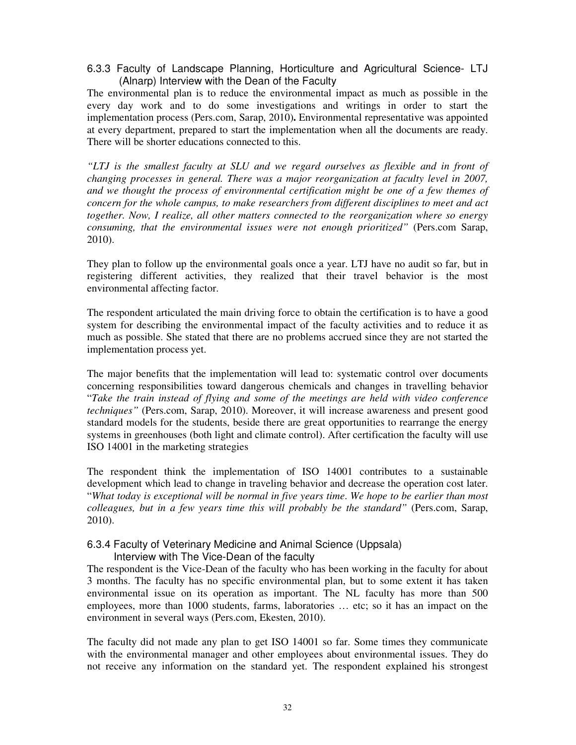#### 6.3.3 Faculty of Landscape Planning, Horticulture and Agricultural Science- LTJ (Alnarp) Interview with the Dean of the Faculty

The environmental plan is to reduce the environmental impact as much as possible in the every day work and to do some investigations and writings in order to start the implementation process (Pers.com, Sarap, 2010)**.** Environmental representative was appointed at every department, prepared to start the implementation when all the documents are ready. There will be shorter educations connected to this.

*"LTJ is the smallest faculty at SLU and we regard ourselves as flexible and in front of changing processes in general. There was a major reorganization at faculty level in 2007, and we thought the process of environmental certification might be one of a few themes of concern for the whole campus, to make researchers from different disciplines to meet and act together. Now, I realize, all other matters connected to the reorganization where so energy consuming, that the environmental issues were not enough prioritized"* (Pers.com Sarap, 2010).

They plan to follow up the environmental goals once a year. LTJ have no audit so far, but in registering different activities, they realized that their travel behavior is the most environmental affecting factor.

The respondent articulated the main driving force to obtain the certification is to have a good system for describing the environmental impact of the faculty activities and to reduce it as much as possible. She stated that there are no problems accrued since they are not started the implementation process yet.

The major benefits that the implementation will lead to: systematic control over documents concerning responsibilities toward dangerous chemicals and changes in travelling behavior "*Take the train instead of flying and some of the meetings are held with video conference techniques"* (Pers.com, Sarap, 2010). Moreover, it will increase awareness and present good standard models for the students, beside there are great opportunities to rearrange the energy systems in greenhouses (both light and climate control). After certification the faculty will use ISO 14001 in the marketing strategies

The respondent think the implementation of ISO 14001 contributes to a sustainable development which lead to change in traveling behavior and decrease the operation cost later. "*What today is exceptional will be normal in five years time*. *We hope to be earlier than most colleagues, but in a few years time this will probably be the standard"* (Pers.com, Sarap, 2010).

#### 6.3.4 Faculty of Veterinary Medicine and Animal Science (Uppsala) Interview with The Vice-Dean of the faculty

The respondent is the Vice-Dean of the faculty who has been working in the faculty for about 3 months. The faculty has no specific environmental plan, but to some extent it has taken environmental issue on its operation as important. The NL faculty has more than 500 employees, more than 1000 students, farms, laboratories … etc; so it has an impact on the environment in several ways (Pers.com, Ekesten, 2010).

The faculty did not made any plan to get ISO 14001 so far. Some times they communicate with the environmental manager and other employees about environmental issues. They do not receive any information on the standard yet. The respondent explained his strongest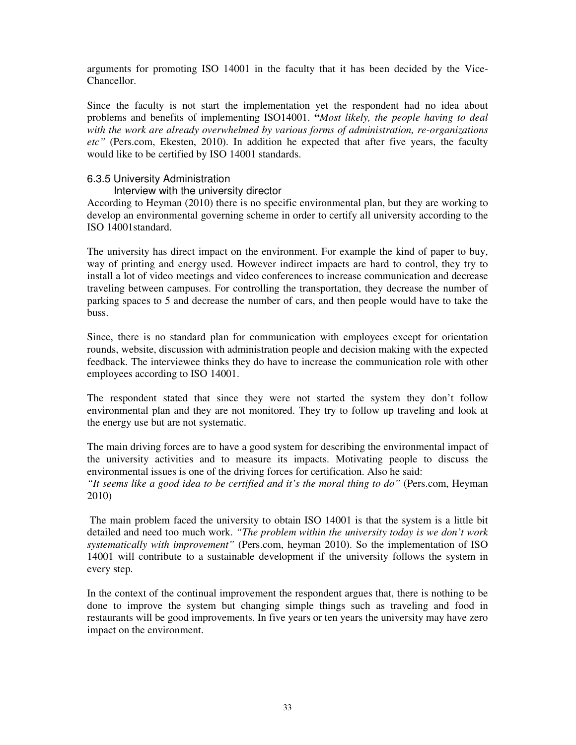arguments for promoting ISO 14001 in the faculty that it has been decided by the Vice-Chancellor.

Since the faculty is not start the implementation yet the respondent had no idea about problems and benefits of implementing ISO14001. **"***Most likely, the people having to deal with the work are already overwhelmed by various forms of administration, re-organizations etc"* (Pers.com, Ekesten, 2010). In addition he expected that after five years, the faculty would like to be certified by ISO 14001 standards.

#### 6.3.5 University Administration

#### Interview with the university director

According to Heyman (2010) there is no specific environmental plan, but they are working to develop an environmental governing scheme in order to certify all university according to the ISO 14001standard.

The university has direct impact on the environment. For example the kind of paper to buy, way of printing and energy used. However indirect impacts are hard to control, they try to install a lot of video meetings and video conferences to increase communication and decrease traveling between campuses. For controlling the transportation, they decrease the number of parking spaces to 5 and decrease the number of cars, and then people would have to take the buss.

Since, there is no standard plan for communication with employees except for orientation rounds, website, discussion with administration people and decision making with the expected feedback. The interviewee thinks they do have to increase the communication role with other employees according to ISO 14001.

The respondent stated that since they were not started the system they don't follow environmental plan and they are not monitored. They try to follow up traveling and look at the energy use but are not systematic.

The main driving forces are to have a good system for describing the environmental impact of the university activities and to measure its impacts. Motivating people to discuss the environmental issues is one of the driving forces for certification. Also he said:

*"It seems like a good idea to be certified and it's the moral thing to do"* (Pers.com, Heyman 2010)

 The main problem faced the university to obtain ISO 14001 is that the system is a little bit detailed and need too much work. *"The problem within the university today is we don't work systematically with improvement"* (Pers.com, heyman 2010). So the implementation of ISO 14001 will contribute to a sustainable development if the university follows the system in every step.

In the context of the continual improvement the respondent argues that, there is nothing to be done to improve the system but changing simple things such as traveling and food in restaurants will be good improvements. In five years or ten years the university may have zero impact on the environment.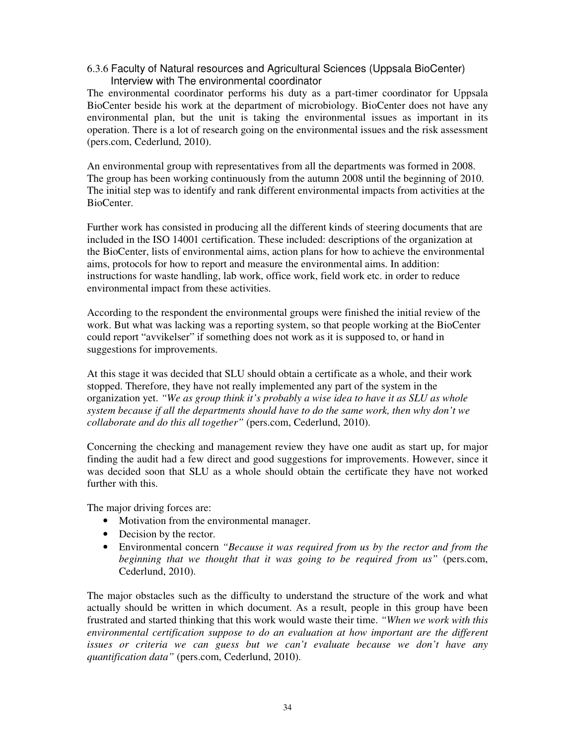#### 6.3.6 Faculty of Natural resources and Agricultural Sciences (Uppsala BioCenter) Interview with The environmental coordinator

The environmental coordinator performs his duty as a part-timer coordinator for Uppsala BioCenter beside his work at the department of microbiology. BioCenter does not have any environmental plan, but the unit is taking the environmental issues as important in its operation. There is a lot of research going on the environmental issues and the risk assessment (pers.com, Cederlund, 2010).

An environmental group with representatives from all the departments was formed in 2008. The group has been working continuously from the autumn 2008 until the beginning of 2010. The initial step was to identify and rank different environmental impacts from activities at the BioCenter.

Further work has consisted in producing all the different kinds of steering documents that are included in the ISO 14001 certification. These included: descriptions of the organization at the BioCenter, lists of environmental aims, action plans for how to achieve the environmental aims, protocols for how to report and measure the environmental aims. In addition: instructions for waste handling, lab work, office work, field work etc. in order to reduce environmental impact from these activities.

According to the respondent the environmental groups were finished the initial review of the work. But what was lacking was a reporting system, so that people working at the BioCenter could report "avvikelser" if something does not work as it is supposed to, or hand in suggestions for improvements.

At this stage it was decided that SLU should obtain a certificate as a whole, and their work stopped. Therefore, they have not really implemented any part of the system in the organization yet. *"We as group think it's probably a wise idea to have it as SLU as whole system because if all the departments should have to do the same work, then why don't we collaborate and do this all together"* (pers.com, Cederlund, 2010).

Concerning the checking and management review they have one audit as start up, for major finding the audit had a few direct and good suggestions for improvements. However, since it was decided soon that SLU as a whole should obtain the certificate they have not worked further with this.

The major driving forces are:

- Motivation from the environmental manager.
- Decision by the rector.
- Environmental concern *"Because it was required from us by the rector and from the beginning that we thought that it was going to be required from us"* (pers.com, Cederlund, 2010).

The major obstacles such as the difficulty to understand the structure of the work and what actually should be written in which document. As a result, people in this group have been frustrated and started thinking that this work would waste their time. *"When we work with this environmental certification suppose to do an evaluation at how important are the different issues or criteria we can guess but we can't evaluate because we don't have any quantification data"* (pers.com, Cederlund, 2010).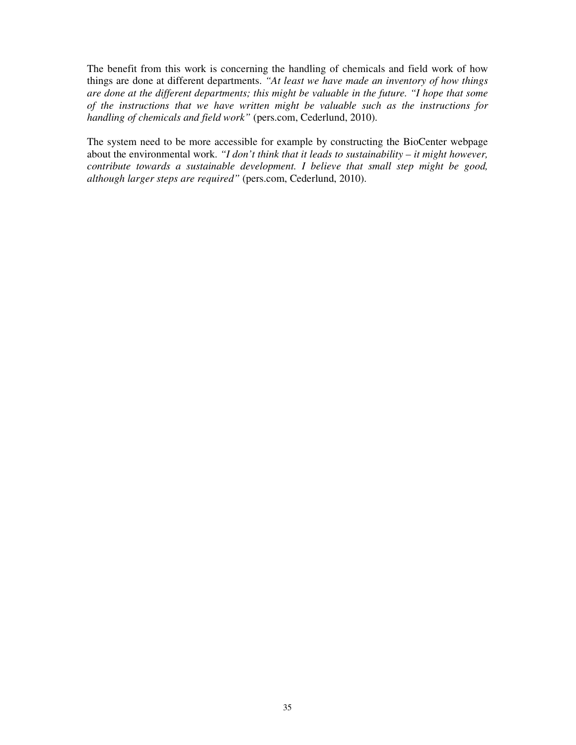The benefit from this work is concerning the handling of chemicals and field work of how things are done at different departments. *"At least we have made an inventory of how things are done at the different departments; this might be valuable in the future. "I hope that some of the instructions that we have written might be valuable such as the instructions for handling of chemicals and field work"* (pers.com, Cederlund, 2010).

The system need to be more accessible for example by constructing the BioCenter webpage about the environmental work. *"I don't think that it leads to sustainability – it might however, contribute towards a sustainable development. I believe that small step might be good, although larger steps are required"* (pers.com, Cederlund, 2010).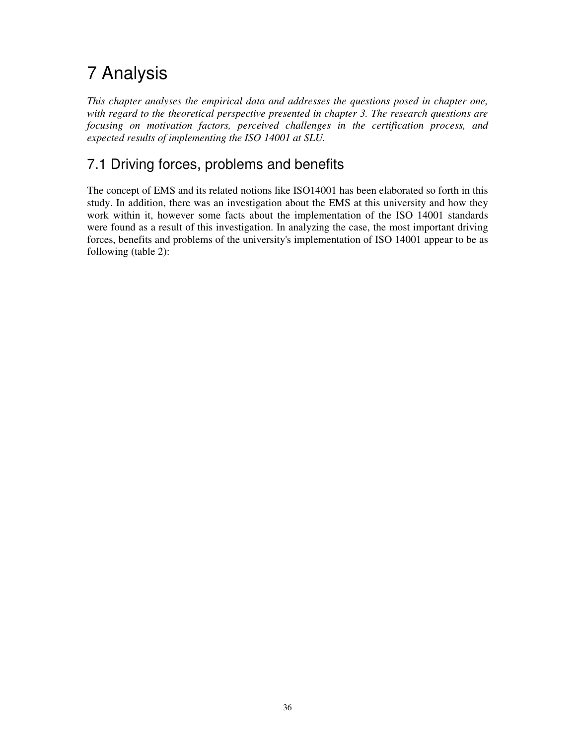# 7 Analysis

*This chapter analyses the empirical data and addresses the questions posed in chapter one, with regard to the theoretical perspective presented in chapter 3. The research questions are focusing on motivation factors, perceived challenges in the certification process, and expected results of implementing the ISO 14001 at SLU.* 

## 7.1 Driving forces, problems and benefits

The concept of EMS and its related notions like ISO14001 has been elaborated so forth in this study. In addition, there was an investigation about the EMS at this university and how they work within it, however some facts about the implementation of the ISO 14001 standards were found as a result of this investigation. In analyzing the case, the most important driving forces, benefits and problems of the university's implementation of ISO 14001 appear to be as following (table 2):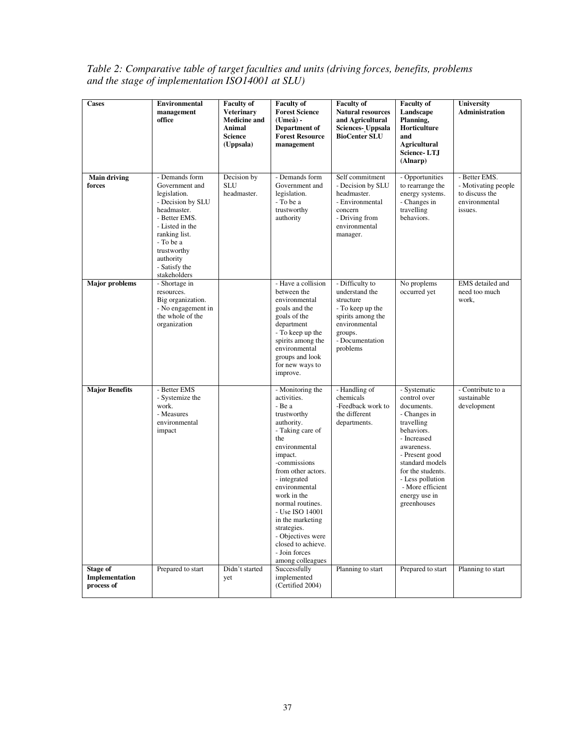| Table 2: Comparative table of target faculties and units (driving forces, benefits, problems |  |
|----------------------------------------------------------------------------------------------|--|
| and the stage of implementation ISO14001 at SLU)                                             |  |

| <b>Cases</b>                             | Environmental<br>management<br>office                                                                                                                                                                               | <b>Faculty of</b><br><b>Veterinary</b><br><b>Medicine and</b><br>Animal<br><b>Science</b><br>(Uppsala) | <b>Faculty of</b><br><b>Forest Science</b><br>$(Ume\aa)$ -<br>Department of<br><b>Forest Resource</b><br>management                                                                                                                                                                                                                                                           | <b>Faculty of</b><br><b>Natural resources</b><br>and Agricultural<br>Sciences- Uppsala<br><b>BioCenter SLU</b>                                     | <b>Faculty of</b><br>Landscape<br>Planning,<br>Horticulture<br>and<br><b>Agricultural</b><br><b>Science-LTJ</b><br>(Alnarp)                                                                                                                           | University<br><b>Administration</b>                                                |
|------------------------------------------|---------------------------------------------------------------------------------------------------------------------------------------------------------------------------------------------------------------------|--------------------------------------------------------------------------------------------------------|-------------------------------------------------------------------------------------------------------------------------------------------------------------------------------------------------------------------------------------------------------------------------------------------------------------------------------------------------------------------------------|----------------------------------------------------------------------------------------------------------------------------------------------------|-------------------------------------------------------------------------------------------------------------------------------------------------------------------------------------------------------------------------------------------------------|------------------------------------------------------------------------------------|
| <b>Main driving</b><br>forces            | - Demands form<br>Government and<br>legislation.<br>- Decision by SLU<br>headmaster.<br>- Better EMS.<br>- Listed in the<br>ranking list.<br>- To be a<br>trustworthy<br>authority<br>- Satisfy the<br>stakeholders | Decision by<br><b>SLU</b><br>headmaster.                                                               | - Demands form<br>Government and<br>legislation.<br>- To be a<br>trustworthy<br>authority                                                                                                                                                                                                                                                                                     | Self commitment<br>- Decision by SLU<br>headmaster.<br>- Environmental<br>concern<br>- Driving from<br>environmental<br>manager.                   | - Opportunities<br>to rearrange the<br>energy systems.<br>- Changes in<br>travelling<br>behaviors.                                                                                                                                                    | - Better EMS.<br>- Motivating people<br>to discuss the<br>environmental<br>issues. |
| <b>Major</b> problems                    | - Shortage in<br>resources.<br>Big organization.<br>- No engagement in<br>the whole of the<br>organization                                                                                                          |                                                                                                        | - Have a collision<br>between the<br>environmental<br>goals and the<br>goals of the<br>department<br>- To keep up the<br>spirits among the<br>environmental<br>groups and look<br>for new ways to<br>improve.                                                                                                                                                                 | - Difficulty to<br>understand the<br>structure<br>- To keep up the<br>spirits among the<br>environmental<br>groups.<br>- Documentation<br>problems | No proplems<br>occurred yet                                                                                                                                                                                                                           | EMS detailed and<br>need too much<br>work,                                         |
| <b>Major Benefits</b>                    | - Better EMS<br>- Systemize the<br>work.<br>- Measures<br>environmental<br>impact                                                                                                                                   |                                                                                                        | - Monitoring the<br>activities.<br>- Be a<br>trustworthy<br>authority.<br>- Taking care of<br>the<br>environmental<br>impact.<br>-commissions<br>from other actors.<br>- integrated<br>environmental<br>work in the<br>normal routines.<br>- Use ISO 14001<br>in the marketing<br>strategies.<br>- Objectives were<br>closed to achieve.<br>- Join forces<br>among colleagues | - Handling of<br>chemicals<br>-Feedback work to<br>the different<br>departments.                                                                   | - Systematic<br>control over<br>documents.<br>- Changes in<br>travelling<br>behaviors.<br>- Increased<br>awareness.<br>- Present good<br>standard models<br>for the students.<br>- Less pollution<br>- More efficient<br>energy use in<br>greenhouses | - Contribute to a<br>sustainable<br>development                                    |
| Stage of<br>Implementation<br>process of | Prepared to start                                                                                                                                                                                                   | Didn't started<br>yet                                                                                  | Successfully<br>implemented<br>(Certified 2004)                                                                                                                                                                                                                                                                                                                               | Planning to start                                                                                                                                  | Prepared to start                                                                                                                                                                                                                                     | Planning to start                                                                  |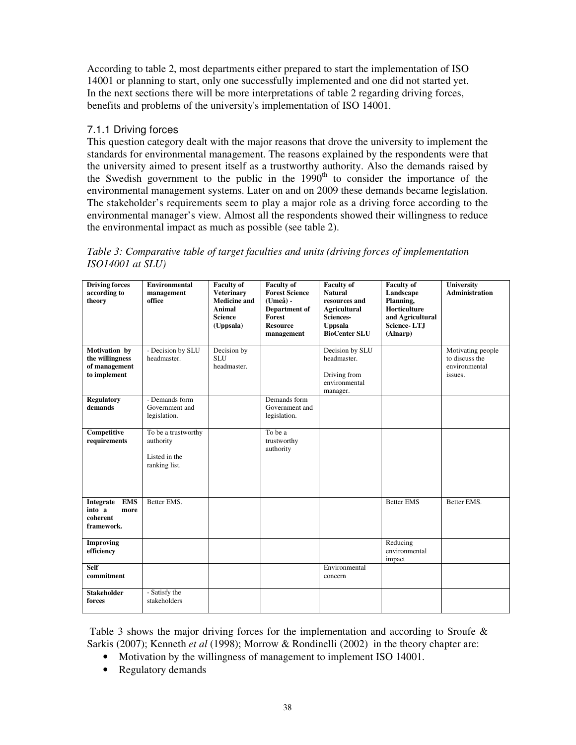According to table 2, most departments either prepared to start the implementation of ISO 14001 or planning to start, only one successfully implemented and one did not started yet. In the next sections there will be more interpretations of table 2 regarding driving forces, benefits and problems of the university's implementation of ISO 14001.

#### 7.1.1 Driving forces

This question category dealt with the major reasons that drove the university to implement the standards for environmental management. The reasons explained by the respondents were that the university aimed to present itself as a trustworthy authority. Also the demands raised by the Swedish government to the public in the  $1990<sup>th</sup>$  to consider the importance of the environmental management systems. Later on and on 2009 these demands became legislation. The stakeholder's requirements seem to play a major role as a driving force according to the environmental manager's view. Almost all the respondents showed their willingness to reduce the environmental impact as much as possible (see table 2).

*Table 3: Comparative table of target faculties and units (driving forces of implementation ISO14001 at SLU)* 

| <b>Driving forces</b><br>according to<br>theory                     | <b>Environmental</b><br>management<br>office                       | <b>Faculty of</b><br><b>Veterinary</b><br><b>Medicine and</b><br><b>Animal</b><br><b>Science</b><br>(Uppsala) | <b>Faculty of</b><br><b>Forest Science</b><br>(Umeå) -<br>Department of<br>Forest<br><b>Resource</b><br>management | <b>Faculty of</b><br><b>Natural</b><br>resources and<br><b>Agricultural</b><br>Sciences-<br><b>Uppsala</b><br><b>BioCenter SLU</b> | <b>Faculty of</b><br>Landscape<br>Planning,<br>Horticulture<br>and Agricultural<br><b>Science-LTJ</b><br>(Alnarp) | University<br><b>Administration</b>                             |
|---------------------------------------------------------------------|--------------------------------------------------------------------|---------------------------------------------------------------------------------------------------------------|--------------------------------------------------------------------------------------------------------------------|------------------------------------------------------------------------------------------------------------------------------------|-------------------------------------------------------------------------------------------------------------------|-----------------------------------------------------------------|
| Motivation by<br>the willingness<br>of management<br>to implement   | - Decision by SLU<br>headmaster.                                   | Decision by<br><b>SLU</b><br>headmaster.                                                                      |                                                                                                                    | Decision by SLU<br>headmaster.<br>Driving from<br>environmental<br>manager.                                                        |                                                                                                                   | Motivating people<br>to discuss the<br>environmental<br>issues. |
| <b>Regulatory</b><br>demands                                        | - Demands form<br>Government and<br>legislation.                   |                                                                                                               | Demands form<br>Government and<br>legislation.                                                                     |                                                                                                                                    |                                                                                                                   |                                                                 |
| Competitive<br>requirements                                         | To be a trustworthy<br>authority<br>Listed in the<br>ranking list. |                                                                                                               | To be a<br>trustworthy<br>authority                                                                                |                                                                                                                                    |                                                                                                                   |                                                                 |
| <b>EMS</b><br>Integrate<br>into a<br>more<br>coherent<br>framework. | Better EMS.                                                        |                                                                                                               |                                                                                                                    |                                                                                                                                    | <b>Better EMS</b>                                                                                                 | Better EMS.                                                     |
| <b>Improving</b><br>efficiency                                      |                                                                    |                                                                                                               |                                                                                                                    |                                                                                                                                    | Reducing<br>environmental<br>impact                                                                               |                                                                 |
| <b>Self</b><br>commitment                                           |                                                                    |                                                                                                               |                                                                                                                    | Environmental<br>concern                                                                                                           |                                                                                                                   |                                                                 |
| <b>Stakeholder</b><br>forces                                        | - Satisfy the<br>stakeholders                                      |                                                                                                               |                                                                                                                    |                                                                                                                                    |                                                                                                                   |                                                                 |

Table 3 shows the major driving forces for the implementation and according to Sroufe & Sarkis (2007); Kenneth *et al* (1998); Morrow & Rondinelli (2002) in the theory chapter are:

- Motivation by the willingness of management to implement ISO 14001.
- Regulatory demands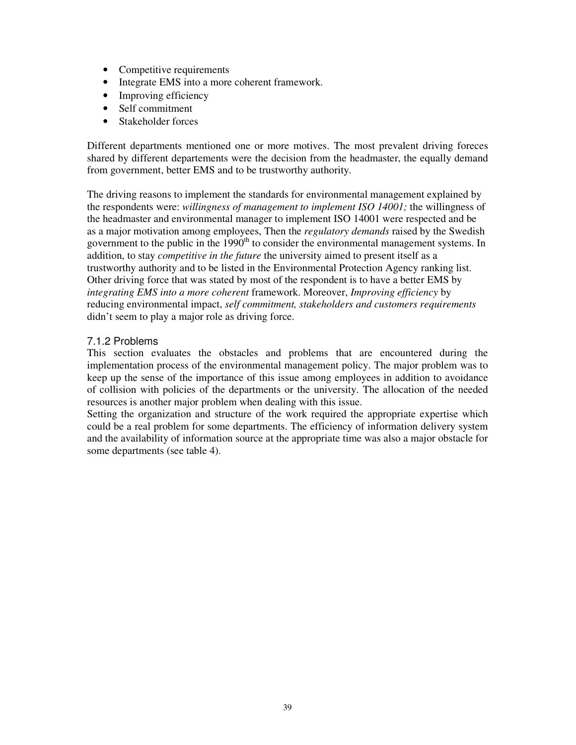- Competitive requirements
- Integrate EMS into a more coherent framework.
- Improving efficiency
- Self commitment
- Stakeholder forces

Different departments mentioned one or more motives. The most prevalent driving foreces shared by different departements were the decision from the headmaster, the equally demand from government, better EMS and to be trustworthy authority.

The driving reasons to implement the standards for environmental management explained by the respondents were: *willingness of management to implement ISO 14001;* the willingness of the headmaster and environmental manager to implement ISO 14001 were respected and be as a major motivation among employees, Then the *regulatory demands* raised by the Swedish government to the public in the  $1990<sup>th</sup>$  to consider the environmental management systems. In addition, to stay *competitive in the future* the university aimed to present itself as a trustworthy authority and to be listed in the Environmental Protection Agency ranking list. Other driving force that was stated by most of the respondent is to have a better EMS by *integrating EMS into a more coherent* framework. Moreover, *Improving efficiency* by reducing environmental impact, *self commitment, stakeholders and customers requirements*  didn't seem to play a major role as driving force.

#### 7.1.2 Problems

This section evaluates the obstacles and problems that are encountered during the implementation process of the environmental management policy. The major problem was to keep up the sense of the importance of this issue among employees in addition to avoidance of collision with policies of the departments or the university. The allocation of the needed resources is another major problem when dealing with this issue.

Setting the organization and structure of the work required the appropriate expertise which could be a real problem for some departments. The efficiency of information delivery system and the availability of information source at the appropriate time was also a major obstacle for some departments (see table 4).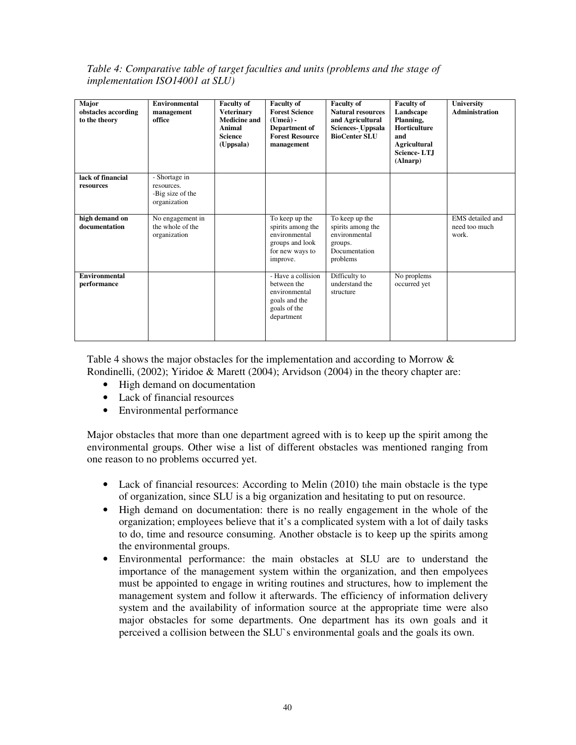*Table 4: Comparative table of target faculties and units (problems and the stage of implementation ISO14001 at SLU)* 

| Major<br>obstacles according<br>to the theory | <b>Environmental</b><br>management<br>office                    | <b>Faculty of</b><br><b>Veterinary</b><br><b>Medicine and</b><br>Animal<br><b>Science</b><br>(Uppsala) | <b>Faculty of</b><br><b>Forest Science</b><br>$Umea$ ) -<br>Department of<br><b>Forest Resource</b><br>management | <b>Faculty of</b><br><b>Natural resources</b><br>and Agricultural<br><b>Sciences-</b> Uppsala<br><b>BioCenter SLU</b> | <b>Faculty of</b><br>Landscape<br>Planning,<br><b>Horticulture</b><br>and<br><b>Agricultural</b><br>Science-LTJ<br>(Alnarp) | University<br><b>Administration</b>        |
|-----------------------------------------------|-----------------------------------------------------------------|--------------------------------------------------------------------------------------------------------|-------------------------------------------------------------------------------------------------------------------|-----------------------------------------------------------------------------------------------------------------------|-----------------------------------------------------------------------------------------------------------------------------|--------------------------------------------|
| lack of financial<br>resources                | - Shortage in<br>resources.<br>-Big size of the<br>organization |                                                                                                        |                                                                                                                   |                                                                                                                       |                                                                                                                             |                                            |
| high demand on<br>documentation               | No engagement in<br>the whole of the<br>organization            |                                                                                                        | To keep up the<br>spirits among the<br>environmental<br>groups and look<br>for new ways to<br>improve.            | To keep up the<br>spirits among the<br>environmental<br>groups.<br>Documentation<br>problems                          |                                                                                                                             | EMS detailed and<br>need too much<br>work. |
| Environmental<br>performance                  |                                                                 |                                                                                                        | - Have a collision<br>between the<br>environmental<br>goals and the<br>goals of the<br>department                 | Difficulty to<br>understand the<br>structure                                                                          | No proplems<br>occurred yet                                                                                                 |                                            |

Table 4 shows the major obstacles for the implementation and according to Morrow & Rondinelli, (2002); Yiridoe & Marett (2004); Arvidson (2004) in the theory chapter are:

- High demand on documentation
- Lack of financial resources
- Environmental performance

Major obstacles that more than one department agreed with is to keep up the spirit among the environmental groups. Other wise a list of different obstacles was mentioned ranging from one reason to no problems occurred yet.

- Lack of financial resources: According to Melin (2010) the main obstacle is the type of organization, since SLU is a big organization and hesitating to put on resource.
- High demand on documentation: there is no really engagement in the whole of the organization; employees believe that it's a complicated system with a lot of daily tasks to do, time and resource consuming. Another obstacle is to keep up the spirits among the environmental groups.
- Environmental performance: the main obstacles at SLU are to understand the importance of the management system within the organization, and then empolyees must be appointed to engage in writing routines and structures, how to implement the management system and follow it afterwards. The efficiency of information delivery system and the availability of information source at the appropriate time were also major obstacles for some departments. One department has its own goals and it perceived a collision between the SLU`s environmental goals and the goals its own.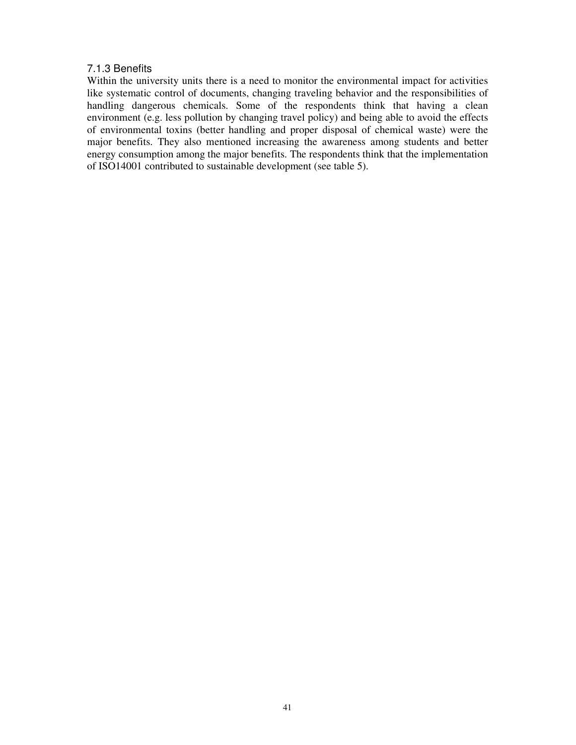#### 7.1.3 Benefits

Within the university units there is a need to monitor the environmental impact for activities like systematic control of documents, changing traveling behavior and the responsibilities of handling dangerous chemicals. Some of the respondents think that having a clean environment (e.g. less pollution by changing travel policy) and being able to avoid the effects of environmental toxins (better handling and proper disposal of chemical waste) were the major benefits. They also mentioned increasing the awareness among students and better energy consumption among the major benefits. The respondents think that the implementation of ISO14001 contributed to sustainable development (see table 5).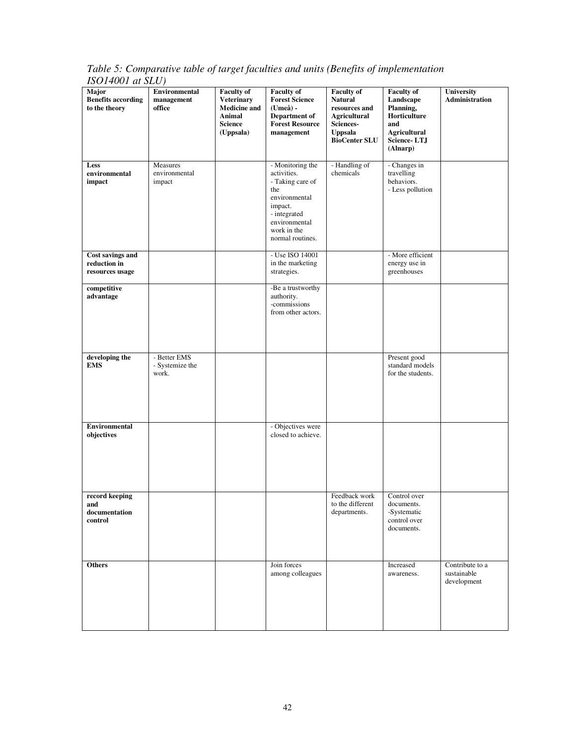*Table 5: Comparative table of target faculties and units (Benefits of implementation ISO14001 at SLU)* 

| $10011001$ $\mu$ $000/$<br>Major<br><b>Benefits according</b><br>to the theory | <b>Environmental</b><br>management<br>office | <b>Faculty of</b><br><b>Veterinary</b><br><b>Medicine and</b><br>Animal<br><b>Science</b><br>(Uppsala) | <b>Faculty of</b><br><b>Forest Science</b><br>(Umeå) -<br>Department of<br><b>Forest Resource</b><br>management                                            | <b>Faculty of</b><br><b>Natural</b><br>resources and<br><b>Agricultural</b><br>Sciences-<br><b>Uppsala</b><br><b>BioCenter SLU</b> | <b>Faculty of</b><br>Landscape<br>Planning,<br>Horticulture<br>and<br><b>Agricultural</b><br>Science-LTJ<br>(Alnarp) | University<br>Administration                  |
|--------------------------------------------------------------------------------|----------------------------------------------|--------------------------------------------------------------------------------------------------------|------------------------------------------------------------------------------------------------------------------------------------------------------------|------------------------------------------------------------------------------------------------------------------------------------|----------------------------------------------------------------------------------------------------------------------|-----------------------------------------------|
| Less<br>environmental<br>impact                                                | Measures<br>environmental<br>impact          |                                                                                                        | - Monitoring the<br>activities.<br>- Taking care of<br>the<br>environmental<br>impact.<br>- integrated<br>environmental<br>work in the<br>normal routines. | - Handling of<br>chemicals                                                                                                         | - Changes in<br>travelling<br>behaviors.<br>- Less pollution                                                         |                                               |
| Cost savings and<br>reduction in<br>resources usage                            |                                              |                                                                                                        | - Use ISO 14001<br>in the marketing<br>strategies.                                                                                                         |                                                                                                                                    | - More efficient<br>energy use in<br>greenhouses                                                                     |                                               |
| competitive<br>advantage                                                       |                                              |                                                                                                        | -Be a trustworthy<br>authority.<br>-commissions<br>from other actors.                                                                                      |                                                                                                                                    |                                                                                                                      |                                               |
| developing the<br><b>EMS</b>                                                   | - Better EMS<br>- Systemize the<br>work.     |                                                                                                        |                                                                                                                                                            |                                                                                                                                    | Present good<br>standard models<br>for the students.                                                                 |                                               |
| <b>Environmental</b><br>objectives                                             |                                              |                                                                                                        | - Objectives were<br>closed to achieve.                                                                                                                    |                                                                                                                                    |                                                                                                                      |                                               |
| record keeping<br>and<br>documentation<br>control                              |                                              |                                                                                                        |                                                                                                                                                            | Feedback work<br>to the different<br>departments.                                                                                  | Control over<br>documents.<br>-Systematic<br>control over<br>documents.                                              |                                               |
| Others                                                                         |                                              |                                                                                                        | Join forces<br>among colleagues                                                                                                                            |                                                                                                                                    | Increased<br>awareness.                                                                                              | Contribute to a<br>sustainable<br>development |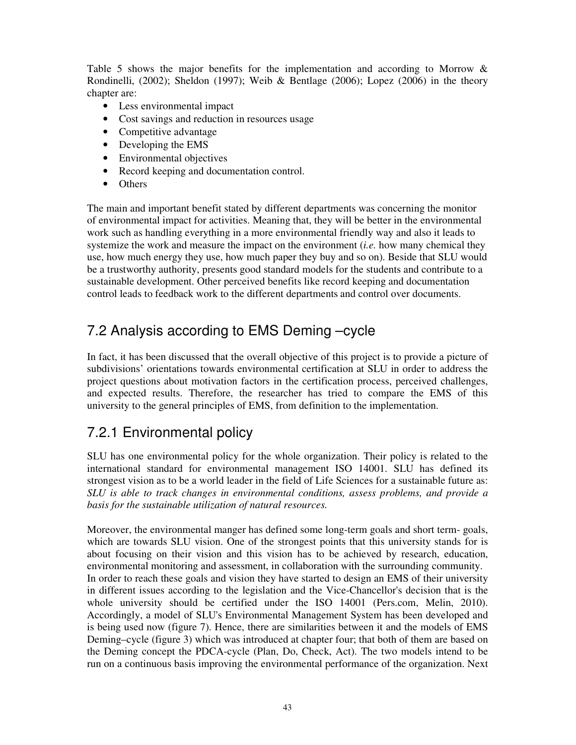Table 5 shows the major benefits for the implementation and according to Morrow & Rondinelli, (2002); Sheldon (1997); Weib & Bentlage (2006); Lopez (2006) in the theory chapter are:

- Less environmental impact
- Cost savings and reduction in resources usage
- Competitive advantage
- Developing the EMS
- Environmental objectives
- Record keeping and documentation control.
- Others

The main and important benefit stated by different departments was concerning the monitor of environmental impact for activities. Meaning that, they will be better in the environmental work such as handling everything in a more environmental friendly way and also it leads to systemize the work and measure the impact on the environment (*i.e.* how many chemical they use, how much energy they use, how much paper they buy and so on). Beside that SLU would be a trustworthy authority, presents good standard models for the students and contribute to a sustainable development. Other perceived benefits like record keeping and documentation control leads to feedback work to the different departments and control over documents.

## 7.2 Analysis according to EMS Deming –cycle

In fact, it has been discussed that the overall objective of this project is to provide a picture of subdivisions' orientations towards environmental certification at SLU in order to address the project questions about motivation factors in the certification process, perceived challenges, and expected results. Therefore, the researcher has tried to compare the EMS of this university to the general principles of EMS, from definition to the implementation.

## 7.2.1 Environmental policy

SLU has one environmental policy for the whole organization. Their policy is related to the international standard for environmental management ISO 14001. SLU has defined its strongest vision as to be a world leader in the field of Life Sciences for a sustainable future as: *SLU is able to track changes in environmental conditions, assess problems, and provide a basis for the sustainable utilization of natural resources.* 

Moreover, the environmental manger has defined some long-term goals and short term- goals, which are towards SLU vision. One of the strongest points that this university stands for is about focusing on their vision and this vision has to be achieved by research, education, environmental monitoring and assessment, in collaboration with the surrounding community. In order to reach these goals and vision they have started to design an EMS of their university in different issues according to the legislation and the Vice-Chancellor's decision that is the whole university should be certified under the ISO 14001 (Pers.com, Melin, 2010). Accordingly, a model of SLU's Environmental Management System has been developed and is being used now (figure 7). Hence, there are similarities between it and the models of EMS Deming–cycle (figure 3) which was introduced at chapter four; that both of them are based on the Deming concept the PDCA-cycle (Plan, Do, Check, Act). The two models intend to be run on a continuous basis improving the environmental performance of the organization. Next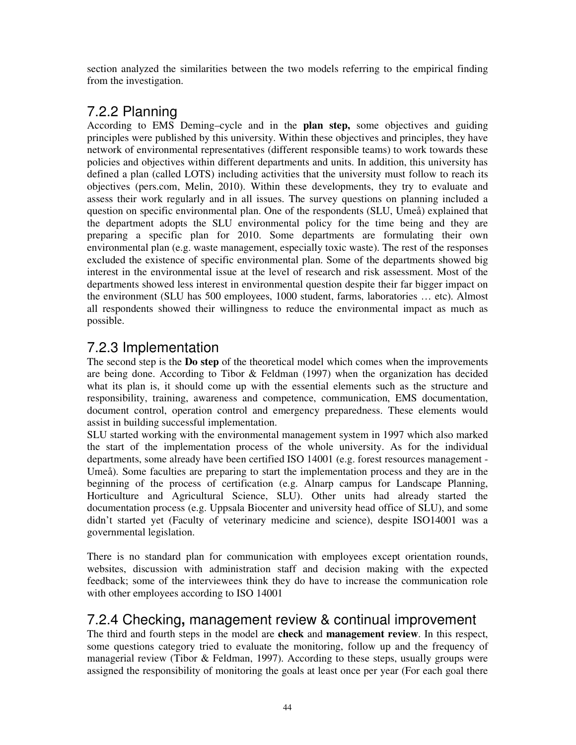section analyzed the similarities between the two models referring to the empirical finding from the investigation.

## 7.2.2 Planning

According to EMS Deming–cycle and in the **plan step,** some objectives and guiding principles were published by this university. Within these objectives and principles, they have network of environmental representatives (different responsible teams) to work towards these policies and objectives within different departments and units. In addition, this university has defined a plan (called LOTS) including activities that the university must follow to reach its objectives (pers.com, Melin, 2010). Within these developments, they try to evaluate and assess their work regularly and in all issues. The survey questions on planning included a question on specific environmental plan. One of the respondents (SLU, Umeå) explained that the department adopts the SLU environmental policy for the time being and they are preparing a specific plan for 2010. Some departments are formulating their own environmental plan (e.g. waste management, especially toxic waste). The rest of the responses excluded the existence of specific environmental plan. Some of the departments showed big interest in the environmental issue at the level of research and risk assessment. Most of the departments showed less interest in environmental question despite their far bigger impact on the environment (SLU has 500 employees, 1000 student, farms, laboratories … etc). Almost all respondents showed their willingness to reduce the environmental impact as much as possible.

## 7.2.3 Implementation

The second step is the **Do step** of the theoretical model which comes when the improvements are being done. According to Tibor & Feldman (1997) when the organization has decided what its plan is, it should come up with the essential elements such as the structure and responsibility, training, awareness and competence, communication, EMS documentation, document control, operation control and emergency preparedness. These elements would assist in building successful implementation.

SLU started working with the environmental management system in 1997 which also marked the start of the implementation process of the whole university. As for the individual departments, some already have been certified ISO 14001 (e.g. forest resources management - Umeå). Some faculties are preparing to start the implementation process and they are in the beginning of the process of certification (e.g. Alnarp campus for Landscape Planning, Horticulture and Agricultural Science, SLU). Other units had already started the documentation process (e.g. Uppsala Biocenter and university head office of SLU), and some didn't started yet (Faculty of veterinary medicine and science), despite ISO14001 was a governmental legislation.

There is no standard plan for communication with employees except orientation rounds, websites, discussion with administration staff and decision making with the expected feedback; some of the interviewees think they do have to increase the communication role with other employees according to ISO 14001

## 7.2.4 Checking**,** management review & continual improvement

The third and fourth steps in the model are **check** and **management review**. In this respect, some questions category tried to evaluate the monitoring, follow up and the frequency of managerial review (Tibor & Feldman, 1997). According to these steps, usually groups were assigned the responsibility of monitoring the goals at least once per year (For each goal there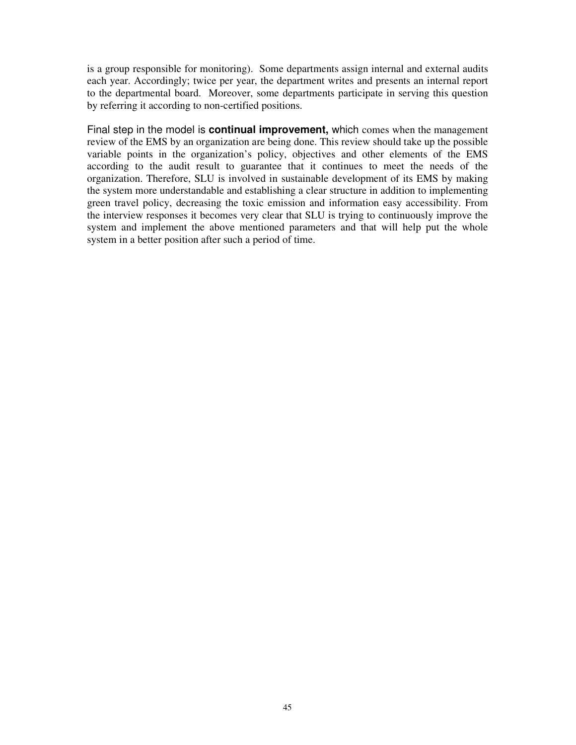is a group responsible for monitoring). Some departments assign internal and external audits each year. Accordingly; twice per year, the department writes and presents an internal report to the departmental board. Moreover, some departments participate in serving this question by referring it according to non-certified positions.

Final step in the model is **continual improvement,** which comes when the management review of the EMS by an organization are being done. This review should take up the possible variable points in the organization's policy, objectives and other elements of the EMS according to the audit result to guarantee that it continues to meet the needs of the organization. Therefore, SLU is involved in sustainable development of its EMS by making the system more understandable and establishing a clear structure in addition to implementing green travel policy, decreasing the toxic emission and information easy accessibility. From the interview responses it becomes very clear that SLU is trying to continuously improve the system and implement the above mentioned parameters and that will help put the whole system in a better position after such a period of time.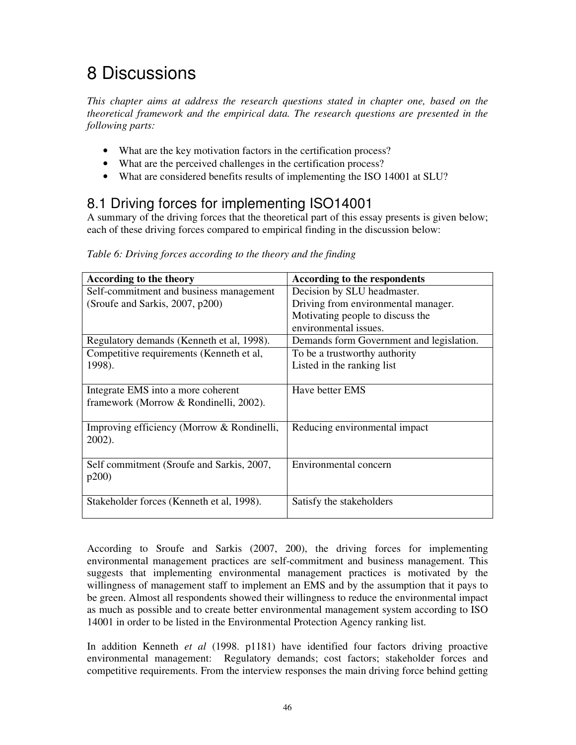# 8 Discussions

*This chapter aims at address the research questions stated in chapter one, based on the theoretical framework and the empirical data. The research questions are presented in the following parts:* 

- What are the key motivation factors in the certification process?
- What are the perceived challenges in the certification process?
- What are considered benefits results of implementing the ISO 14001 at SLU?

## 8.1 Driving forces for implementing ISO14001

A summary of the driving forces that the theoretical part of this essay presents is given below; each of these driving forces compared to empirical finding in the discussion below:

| According to the theory                    | According to the respondents             |
|--------------------------------------------|------------------------------------------|
| Self-commitment and business management    | Decision by SLU headmaster.              |
| (Sroufe and Sarkis, 2007, p200)            | Driving from environmental manager.      |
|                                            | Motivating people to discuss the         |
|                                            | environmental issues.                    |
| Regulatory demands (Kenneth et al, 1998).  | Demands form Government and legislation. |
| Competitive requirements (Kenneth et al,   | To be a trustworthy authority            |
| 1998).                                     | Listed in the ranking list               |
|                                            |                                          |
| Integrate EMS into a more coherent         | Have better EMS                          |
| framework (Morrow & Rondinelli, 2002).     |                                          |
|                                            |                                          |
| Improving efficiency (Morrow & Rondinelli, | Reducing environmental impact            |
| 2002).                                     |                                          |
|                                            |                                          |
| Self commitment (Sroufe and Sarkis, 2007,  | Environmental concern                    |
| p200                                       |                                          |
|                                            |                                          |
| Stakeholder forces (Kenneth et al, 1998).  | Satisfy the stakeholders                 |
|                                            |                                          |

*Table 6: Driving forces according to the theory and the finding* 

According to Sroufe and Sarkis (2007, 200), the driving forces for implementing environmental management practices are self-commitment and business management. This suggests that implementing environmental management practices is motivated by the willingness of management staff to implement an EMS and by the assumption that it pays to be green. Almost all respondents showed their willingness to reduce the environmental impact as much as possible and to create better environmental management system according to ISO 14001 in order to be listed in the Environmental Protection Agency ranking list.

In addition Kenneth *et al* (1998. p1181) have identified four factors driving proactive environmental management: Regulatory demands; cost factors; stakeholder forces and competitive requirements. From the interview responses the main driving force behind getting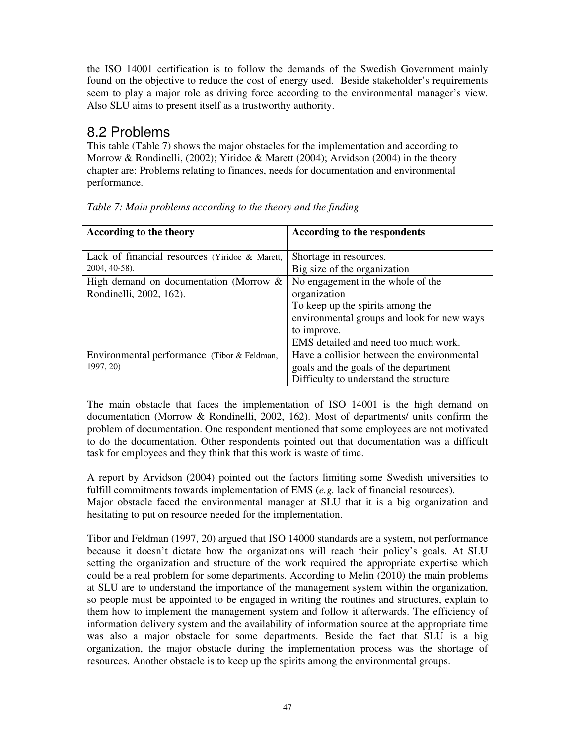the ISO 14001 certification is to follow the demands of the Swedish Government mainly found on the objective to reduce the cost of energy used. Beside stakeholder's requirements seem to play a major role as driving force according to the environmental manager's view. Also SLU aims to present itself as a trustworthy authority.

## 8.2 Problems

This table (Table 7) shows the major obstacles for the implementation and according to Morrow & Rondinelli, (2002); Yiridoe & Marett (2004); Arvidson (2004) in the theory chapter are: Problems relating to finances, needs for documentation and environmental performance.

| According to the theory                        | According to the respondents               |
|------------------------------------------------|--------------------------------------------|
| Lack of financial resources (Yiridoe & Marett, | Shortage in resources.                     |
| 2004, 40-58).                                  | Big size of the organization               |
| High demand on documentation (Morrow $\&$      | No engagement in the whole of the          |
| Rondinelli, 2002, 162).                        | organization                               |
|                                                | To keep up the spirits among the           |
|                                                | environmental groups and look for new ways |
|                                                | to improve.                                |
|                                                | EMS detailed and need too much work.       |
| Environmental performance (Tibor & Feldman,    | Have a collision between the environmental |
| 1997, 20)                                      | goals and the goals of the department      |
|                                                | Difficulty to understand the structure     |

*Table 7: Main problems according to the theory and the finding* 

The main obstacle that faces the implementation of ISO 14001 is the high demand on documentation (Morrow & Rondinelli, 2002, 162). Most of departments/ units confirm the problem of documentation. One respondent mentioned that some employees are not motivated to do the documentation. Other respondents pointed out that documentation was a difficult task for employees and they think that this work is waste of time.

A report by Arvidson (2004) pointed out the factors limiting some Swedish universities to fulfill commitments towards implementation of EMS (*e.g.* lack of financial resources).

Major obstacle faced the environmental manager at SLU that it is a big organization and hesitating to put on resource needed for the implementation.

Tibor and Feldman (1997, 20) argued that ISO 14000 standards are a system, not performance because it doesn't dictate how the organizations will reach their policy's goals. At SLU setting the organization and structure of the work required the appropriate expertise which could be a real problem for some departments. According to Melin (2010) the main problems at SLU are to understand the importance of the management system within the organization, so people must be appointed to be engaged in writing the routines and structures, explain to them how to implement the management system and follow it afterwards. The efficiency of information delivery system and the availability of information source at the appropriate time was also a major obstacle for some departments. Beside the fact that SLU is a big organization, the major obstacle during the implementation process was the shortage of resources. Another obstacle is to keep up the spirits among the environmental groups.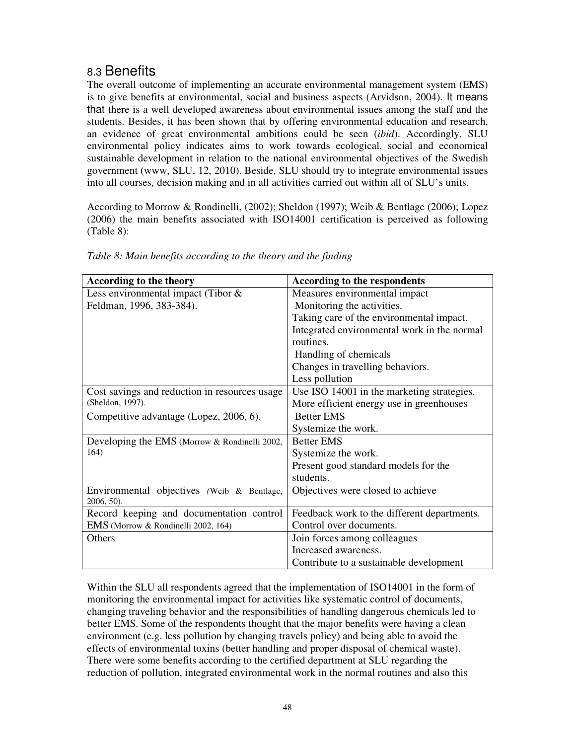## 8.3 Benefits

The overall outcome of implementing an accurate environmental management system (EMS) is to give benefits at environmental, social and business aspects (Arvidson, 2004). It means that there is a well developed awareness about environmental issues among the staff and the students. Besides, it has been shown that by offering environmental education and research, an evidence of great environmental ambitions could be seen (*ibid*). Accordingly, SLU environmental policy indicates aims to work towards ecological, social and economical sustainable development in relation to the national environmental objectives of the Swedish government (www, SLU, 12, 2010). Beside, SLU should try to integrate environmental issues into all courses, decision making and in all activities carried out within all of SLU`s units.

According to Morrow & Rondinelli, (2002); Sheldon (1997); Weib & Bentlage (2006); Lopez (2006) the main benefits associated with ISO14001 certification is perceived as following (Table 8):

| According to the theory                                  | According to the respondents                |
|----------------------------------------------------------|---------------------------------------------|
| Less environmental impact (Tibor $\&$                    | Measures environmental impact               |
| Feldman, 1996, 383-384).                                 | Monitoring the activities.                  |
|                                                          | Taking care of the environmental impact.    |
|                                                          | Integrated environmental work in the normal |
|                                                          | routines.                                   |
|                                                          | Handling of chemicals                       |
|                                                          | Changes in travelling behaviors.            |
|                                                          | Less pollution                              |
| Cost savings and reduction in resources usage            | Use ISO 14001 in the marketing strategies.  |
| (Sheldon, 1997).                                         | More efficient energy use in greenhouses    |
| Competitive advantage (Lopez, 2006, 6).                  | <b>Better EMS</b>                           |
|                                                          | Systemize the work.                         |
| Developing the EMS (Morrow & Rondinelli 2002,            | <b>Better EMS</b>                           |
| 164)                                                     | Systemize the work.                         |
|                                                          | Present good standard models for the        |
|                                                          | students.                                   |
| Environmental objectives (Weib & Bentlage,<br>2006, 50). | Objectives were closed to achieve           |
| Record keeping and documentation control                 | Feedback work to the different departments. |
| EMS (Morrow & Rondinelli 2002, 164)                      | Control over documents.                     |
| Others                                                   | Join forces among colleagues                |
|                                                          | Increased awareness.                        |
|                                                          | Contribute to a sustainable development     |

*Table 8: Main benefits according to the theory and the finding* 

Within the SLU all respondents agreed that the implementation of ISO14001 in the form of monitoring the environmental impact for activities like systematic control of documents, changing traveling behavior and the responsibilities of handling dangerous chemicals led to better EMS. Some of the respondents thought that the major benefits were having a clean environment (e.g. less pollution by changing travels policy) and being able to avoid the effects of environmental toxins (better handling and proper disposal of chemical waste). There were some benefits according to the certified department at SLU regarding the reduction of pollution, integrated environmental work in the normal routines and also this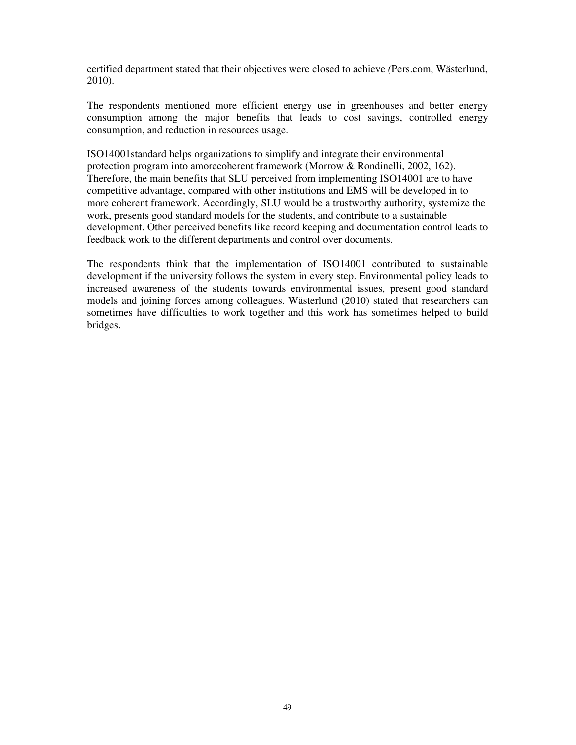certified department stated that their objectives were closed to achieve *(*Pers.com, Wästerlund, 2010).

The respondents mentioned more efficient energy use in greenhouses and better energy consumption among the major benefits that leads to cost savings, controlled energy consumption, and reduction in resources usage.

ISO14001standard helps organizations to simplify and integrate their environmental protection program into amorecoherent framework (Morrow & Rondinelli, 2002, 162). Therefore, the main benefits that SLU perceived from implementing ISO14001 are to have competitive advantage, compared with other institutions and EMS will be developed in to more coherent framework. Accordingly, SLU would be a trustworthy authority, systemize the work, presents good standard models for the students, and contribute to a sustainable development. Other perceived benefits like record keeping and documentation control leads to feedback work to the different departments and control over documents.

The respondents think that the implementation of ISO14001 contributed to sustainable development if the university follows the system in every step. Environmental policy leads to increased awareness of the students towards environmental issues, present good standard models and joining forces among colleagues. Wästerlund (2010) stated that researchers can sometimes have difficulties to work together and this work has sometimes helped to build bridges.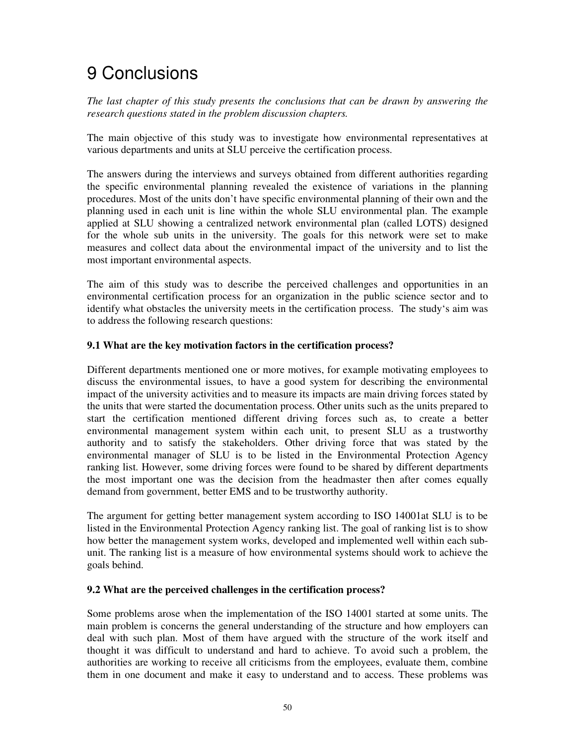# 9 Conclusions

*The last chapter of this study presents the conclusions that can be drawn by answering the research questions stated in the problem discussion chapters.* 

The main objective of this study was to investigate how environmental representatives at various departments and units at SLU perceive the certification process.

The answers during the interviews and surveys obtained from different authorities regarding the specific environmental planning revealed the existence of variations in the planning procedures. Most of the units don't have specific environmental planning of their own and the planning used in each unit is line within the whole SLU environmental plan. The example applied at SLU showing a centralized network environmental plan (called LOTS) designed for the whole sub units in the university. The goals for this network were set to make measures and collect data about the environmental impact of the university and to list the most important environmental aspects.

The aim of this study was to describe the perceived challenges and opportunities in an environmental certification process for an organization in the public science sector and to identify what obstacles the university meets in the certification process. The study's aim was to address the following research questions:

#### **9.1 What are the key motivation factors in the certification process?**

Different departments mentioned one or more motives, for example motivating employees to discuss the environmental issues, to have a good system for describing the environmental impact of the university activities and to measure its impacts are main driving forces stated by the units that were started the documentation process. Other units such as the units prepared to start the certification mentioned different driving forces such as, to create a better environmental management system within each unit, to present SLU as a trustworthy authority and to satisfy the stakeholders. Other driving force that was stated by the environmental manager of SLU is to be listed in the Environmental Protection Agency ranking list. However, some driving forces were found to be shared by different departments the most important one was the decision from the headmaster then after comes equally demand from government, better EMS and to be trustworthy authority.

The argument for getting better management system according to ISO 14001at SLU is to be listed in the Environmental Protection Agency ranking list. The goal of ranking list is to show how better the management system works, developed and implemented well within each subunit. The ranking list is a measure of how environmental systems should work to achieve the goals behind.

#### **9.2 What are the perceived challenges in the certification process?**

Some problems arose when the implementation of the ISO 14001 started at some units. The main problem is concerns the general understanding of the structure and how employers can deal with such plan. Most of them have argued with the structure of the work itself and thought it was difficult to understand and hard to achieve. To avoid such a problem, the authorities are working to receive all criticisms from the employees, evaluate them, combine them in one document and make it easy to understand and to access. These problems was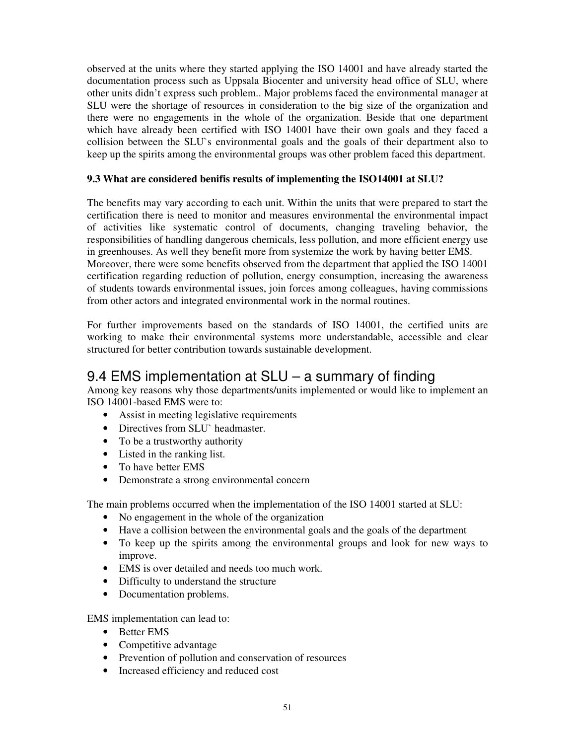observed at the units where they started applying the ISO 14001 and have already started the documentation process such as Uppsala Biocenter and university head office of SLU, where other units didn't express such problem.. Major problems faced the environmental manager at SLU were the shortage of resources in consideration to the big size of the organization and there were no engagements in the whole of the organization. Beside that one department which have already been certified with ISO 14001 have their own goals and they faced a collision between the SLU`s environmental goals and the goals of their department also to keep up the spirits among the environmental groups was other problem faced this department.

#### **9.3 What are considered benifis results of implementing the ISO14001 at SLU?**

The benefits may vary according to each unit. Within the units that were prepared to start the certification there is need to monitor and measures environmental the environmental impact of activities like systematic control of documents, changing traveling behavior, the responsibilities of handling dangerous chemicals, less pollution, and more efficient energy use in greenhouses. As well they benefit more from systemize the work by having better EMS. Moreover, there were some benefits observed from the department that applied the ISO 14001 certification regarding reduction of pollution, energy consumption, increasing the awareness of students towards environmental issues, join forces among colleagues, having commissions from other actors and integrated environmental work in the normal routines.

For further improvements based on the standards of ISO 14001, the certified units are working to make their environmental systems more understandable, accessible and clear structured for better contribution towards sustainable development.

## 9.4 EMS implementation at SLU – a summary of finding

Among key reasons why those departments/units implemented or would like to implement an ISO 14001-based EMS were to:

- Assist in meeting legislative requirements
- Directives from SLU` headmaster.
- To be a trustworthy authority
- Listed in the ranking list.
- To have better EMS
- Demonstrate a strong environmental concern

The main problems occurred when the implementation of the ISO 14001 started at SLU:

- No engagement in the whole of the organization
- Have a collision between the environmental goals and the goals of the department
- To keep up the spirits among the environmental groups and look for new ways to improve.
- EMS is over detailed and needs too much work.
- Difficulty to understand the structure
- Documentation problems.

EMS implementation can lead to:

- Better EMS
- Competitive advantage
- Prevention of pollution and conservation of resources
- Increased efficiency and reduced cost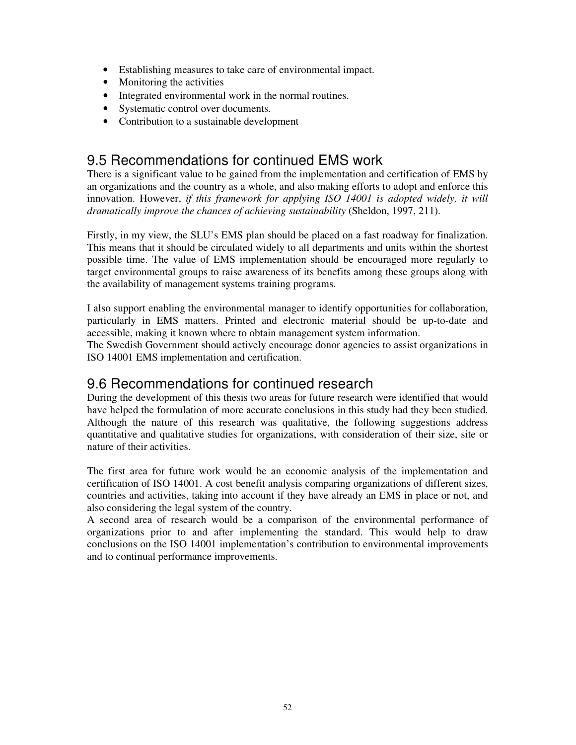- Establishing measures to take care of environmental impact.
- Monitoring the activities
- Integrated environmental work in the normal routines.
- Systematic control over documents.
- Contribution to a sustainable development

## 9.5 Recommendations for continued EMS work

There is a significant value to be gained from the implementation and certification of EMS by an organizations and the country as a whole, and also making efforts to adopt and enforce this innovation. However, *if this framework for applying ISO 14001 is adopted widely, it will dramatically improve the chances of achieving sustainability* (Sheldon, 1997, 211).

Firstly, in my view, the SLU's EMS plan should be placed on a fast roadway for finalization. This means that it should be circulated widely to all departments and units within the shortest possible time. The value of EMS implementation should be encouraged more regularly to target environmental groups to raise awareness of its benefits among these groups along with the availability of management systems training programs.

I also support enabling the environmental manager to identify opportunities for collaboration, particularly in EMS matters. Printed and electronic material should be up-to-date and accessible, making it known where to obtain management system information.

The Swedish Government should actively encourage donor agencies to assist organizations in ISO 14001 EMS implementation and certification.

## 9.6 Recommendations for continued research

During the development of this thesis two areas for future research were identified that would have helped the formulation of more accurate conclusions in this study had they been studied. Although the nature of this research was qualitative, the following suggestions address quantitative and qualitative studies for organizations, with consideration of their size, site or nature of their activities.

The first area for future work would be an economic analysis of the implementation and certification of ISO 14001. A cost benefit analysis comparing organizations of different sizes, countries and activities, taking into account if they have already an EMS in place or not, and also considering the legal system of the country.

A second area of research would be a comparison of the environmental performance of organizations prior to and after implementing the standard. This would help to draw conclusions on the ISO 14001 implementation's contribution to environmental improvements and to continual performance improvements.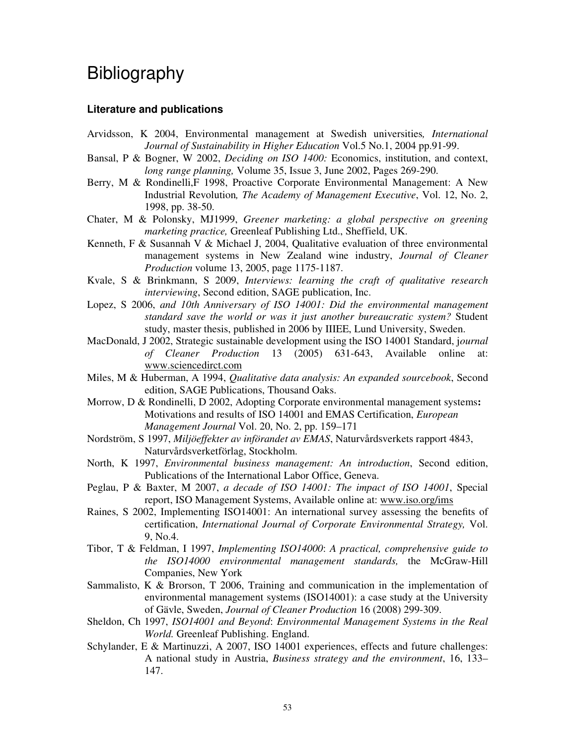## Bibliography

#### **Literature and publications**

- Arvidsson, K 2004, Environmental management at Swedish universities*, International Journal of Sustainability in Higher Education* Vol.5 No.1, 2004 pp.91-99.
- Bansal, P & Bogner, W 2002, *Deciding on ISO 1400:* Economics, institution, and context, *long range planning,* Volume 35, Issue 3, June 2002, Pages 269-290.
- Berry, M & Rondinelli,F 1998, Proactive Corporate Environmental Management: A New Industrial Revolution*, The Academy of Management Executive*, Vol. 12, No. 2, 1998, pp. 38-50.
- Chater, M & Polonsky, MJ1999, *Greener marketing: a global perspective on greening marketing practice,* Greenleaf Publishing Ltd., Sheffield, UK.
- Kenneth, F & Susannah V & Michael J, 2004, Qualitative evaluation of three environmental management systems in New Zealand wine industry, *Journal of Cleaner Production* volume 13, 2005, page 1175-1187.
- Kvale, S & Brinkmann, S 2009, *Interviews: learning the craft of qualitative research interviewing*, Second edition, SAGE publication, Inc.
- Lopez, S 2006, *and 10th Anniversary of ISO 14001: Did the environmental management standard save the world or was it just another bureaucratic system?* Student study, master thesis, published in 2006 by IIIEE, Lund University, Sweden.
- MacDonald, J 2002, Strategic sustainable development using the ISO 14001 Standard, j*ournal of Cleaner Production* 13 (2005) 631-643, Available online at: www.sciencedirct.com
- Miles, M & Huberman, A 1994, *Qualitative data analysis: An expanded sourcebook*, Second edition, SAGE Publications, Thousand Oaks.
- Morrow, D & Rondinelli, D 2002, Adopting Corporate environmental management systems**:**  Motivations and results of ISO 14001 and EMAS Certification, *European Management Journal* Vol. 20, No. 2, pp. 159–171
- Nordström, S 1997, *Miljöeffekter av införandet av EMAS*, Naturvårdsverkets rapport 4843, Naturvårdsverketförlag, Stockholm.
- North, K 1997, *Environmental business management: An introduction*, Second edition, Publications of the International Labor Office, Geneva.
- Peglau, P & Baxter, M 2007, *a decade of ISO 14001: The impact of ISO 14001*, Special report, ISO Management Systems, Available online at: www.iso.org/ims
- Raines, S 2002, Implementing ISO14001: An international survey assessing the benefits of certification, *International Journal of Corporate Environmental Strategy,* Vol. 9, No.4.
- Tibor, T & Feldman, I 1997, *Implementing ISO14000*: *A practical, comprehensive guide to the ISO14000 environmental management standards,* the McGraw-Hill Companies, New York
- Sammalisto, K & Brorson, T 2006, Training and communication in the implementation of environmental management systems (ISO14001): a case study at the University of Gävle, Sweden, *Journal of Cleaner Production* 16 (2008) 299-309.
- Sheldon, Ch 1997, *ISO14001 and Beyond*: *Environmental Management Systems in the Real World.* Greenleaf Publishing. England.
- Schylander, E & Martinuzzi, A 2007, ISO 14001 experiences, effects and future challenges: A national study in Austria, *Business strategy and the environment*, 16, 133– 147.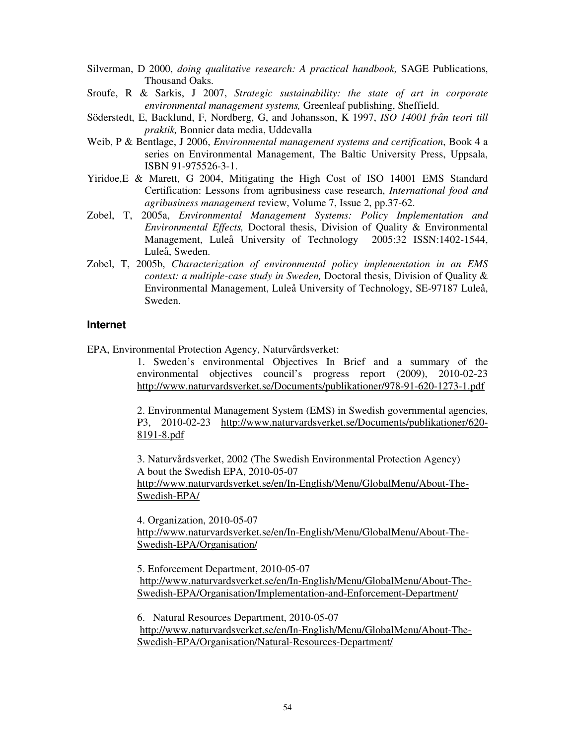- Silverman, D 2000, *doing qualitative research: A practical handbook,* SAGE Publications, Thousand Oaks.
- Sroufe, R & Sarkis, J 2007, *Strategic sustainability: the state of art in corporate environmental management systems,* Greenleaf publishing, Sheffield.
- Söderstedt, E, Backlund, F, Nordberg, G, and Johansson, K 1997, *ISO 14001 från teori till praktik,* Bonnier data media, Uddevalla
- Weib, P & Bentlage, J 2006, *Environmental management systems and certification*, Book 4 a series on Environmental Management, The Baltic University Press, Uppsala, ISBN 91-975526-3-1.
- Yiridoe,E & Marett, G 2004, Mitigating the High Cost of ISO 14001 EMS Standard Certification: Lessons from agribusiness case research, *International food and agribusiness management* review, Volume 7, Issue 2, pp.37-62.
- Zobel, T, 2005a, *Environmental Management Systems: Policy Implementation and Environmental Effects,* Doctoral thesis, Division of Quality & Environmental Management, Luleå University of Technology 2005:32 ISSN:1402-1544, Luleå, Sweden.
- Zobel, T, 2005b, *Characterization of environmental policy implementation in an EMS context: a multiple-case study in Sweden,* Doctoral thesis, Division of Quality & Environmental Management, Luleå University of Technology, SE-97187 Luleå, Sweden.

#### **Internet**

EPA, Environmental Protection Agency, Naturvårdsverket:

1. Sweden's environmental Objectives In Brief and a summary of the environmental objectives council's progress report (2009), 2010-02-23 http://www.naturvardsverket.se/Documents/publikationer/978-91-620-1273-1.pdf

2. Environmental Management System (EMS) in Swedish governmental agencies, P3, 2010-02-23 http://www.naturvardsverket.se/Documents/publikationer/620- 8191-8.pdf

3. Naturvårdsverket, 2002 (The Swedish Environmental Protection Agency) A bout the Swedish EPA, 2010-05-07 http://www.naturvardsverket.se/en/In-English/Menu/GlobalMenu/About-The-Swedish-EPA/

4. Organization, 2010-05-07 http://www.naturvardsverket.se/en/In-English/Menu/GlobalMenu/About-The-Swedish-EPA/Organisation/

5. Enforcement Department, 2010-05-07 http://www.naturvardsverket.se/en/In-English/Menu/GlobalMenu/About-The-Swedish-EPA/Organisation/Implementation-and-Enforcement-Department/

6. Natural Resources Department, 2010-05-07 http://www.naturvardsverket.se/en/In-English/Menu/GlobalMenu/About-The-Swedish-EPA/Organisation/Natural-Resources-Department/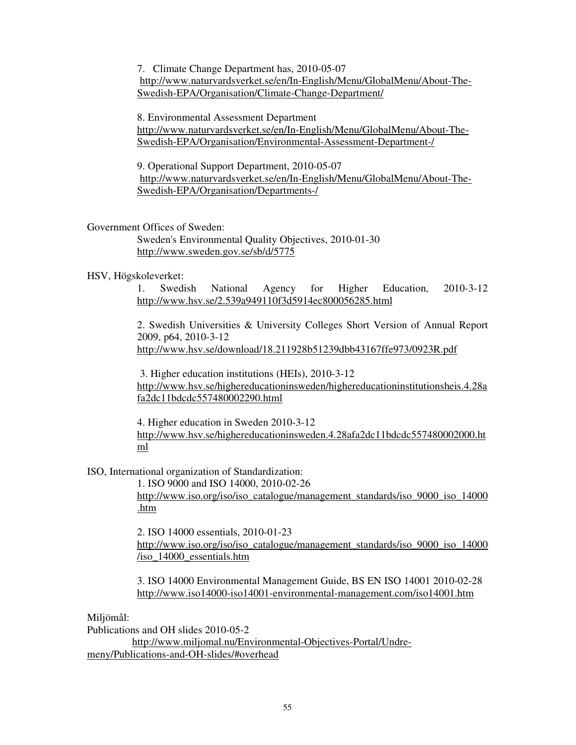7. Climate Change Department has, 2010-05-07 http://www.naturvardsverket.se/en/In-English/Menu/GlobalMenu/About-The-Swedish-EPA/Organisation/Climate-Change-Department/

8. Environmental Assessment Department http://www.naturvardsverket.se/en/In-English/Menu/GlobalMenu/About-The-Swedish-EPA/Organisation/Environmental-Assessment-Department-/

9. Operational Support Department, 2010-05-07 http://www.naturvardsverket.se/en/In-English/Menu/GlobalMenu/About-The-Swedish-EPA/Organisation/Departments-/

#### Government Offices of Sweden:

Sweden's Environmental Quality Objectives, 2010-01-30 http://www.sweden.gov.se/sb/d/5775

#### HSV, Högskoleverket:

1. Swedish National Agency for Higher Education, 2010-3-12 http://www.hsv.se/2.539a949110f3d5914ec800056285.html

2. Swedish Universities & University Colleges Short Version of Annual Report 2009, p64, 2010-3-12 http://www.hsv.se/download/18.211928b51239dbb43167ffe973/0923R.pdf

 3. Higher education institutions (HEIs), 2010-3-12 http://www.hsv.se/highereducationinsweden/highereducationinstitutionsheis.4.28a fa2dc11bdcdc557480002290.html

4. Higher education in Sweden 2010-3-12 http://www.hsv.se/highereducationinsweden.4.28afa2dc11bdcdc557480002000.ht ml

ISO, International organization of Standardization:

1. ISO 9000 and ISO 14000, 2010-02-26 http://www.iso.org/iso/iso\_catalogue/management\_standards/iso\_9000\_iso\_14000 .htm

2. ISO 14000 essentials, 2010-01-23 http://www.iso.org/iso/iso\_catalogue/management\_standards/iso\_9000\_iso\_14000 /iso\_14000\_essentials.htm

3. ISO 14000 Environmental Management Guide, BS EN ISO 14001 2010-02-28 http://www.iso14000-iso14001-environmental-management.com/iso14001.htm

Miljömål:

Publications and OH slides 2010-05-2 http://www.miljomal.nu/Environmental-Objectives-Portal/Undremeny/Publications-and-OH-slides/#overhead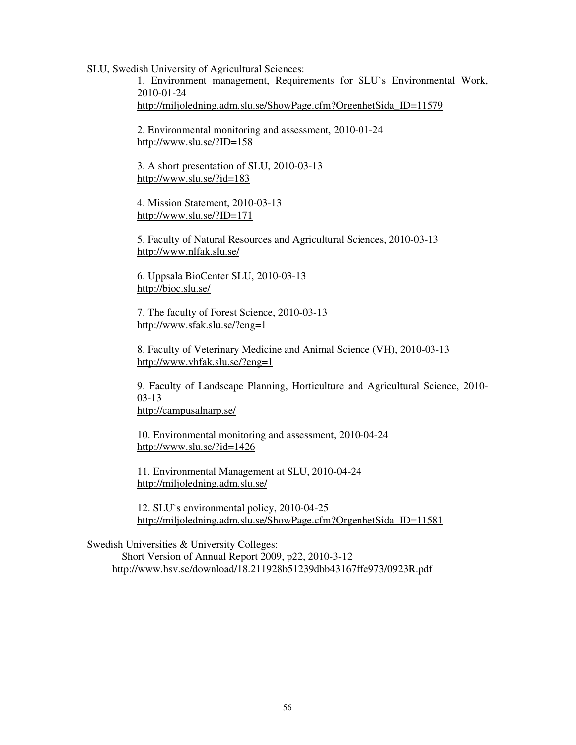SLU, Swedish University of Agricultural Sciences:

1. Environment management, Requirements for SLU`s Environmental Work, 2010-01-24 http://miljoledning.adm.slu.se/ShowPage.cfm?OrgenhetSida\_ID=11579

2. Environmental monitoring and assessment, 2010-01-24 http://www.slu.se/?ID=158

3. A short presentation of SLU, 2010-03-13 http://www.slu.se/?id=183

4. Mission Statement, 2010-03-13 http://www.slu.se/?ID=171

5. Faculty of Natural Resources and Agricultural Sciences, 2010-03-13 http://www.nlfak.slu.se/

6. Uppsala BioCenter SLU, 2010-03-13 http://bioc.slu.se/

7. The faculty of Forest Science, 2010-03-13 http://www.sfak.slu.se/?eng=1

8. Faculty of Veterinary Medicine and Animal Science (VH), 2010-03-13 http://www.vhfak.slu.se/?eng=1

9. Faculty of Landscape Planning, Horticulture and Agricultural Science, 2010- 03-13

http://campusalnarp.se/

10. Environmental monitoring and assessment, 2010-04-24 http://www.slu.se/?id=1426

11. Environmental Management at SLU, 2010-04-24 http://miljoledning.adm.slu.se/

12. SLU`s environmental policy, 2010-04-25 http://miljoledning.adm.slu.se/ShowPage.cfm?OrgenhetSida\_ID=11581

Swedish Universities & University Colleges: Short Version of Annual Report 2009, p22, 2010-3-12 http://www.hsv.se/download/18.211928b51239dbb43167ffe973/0923R.pdf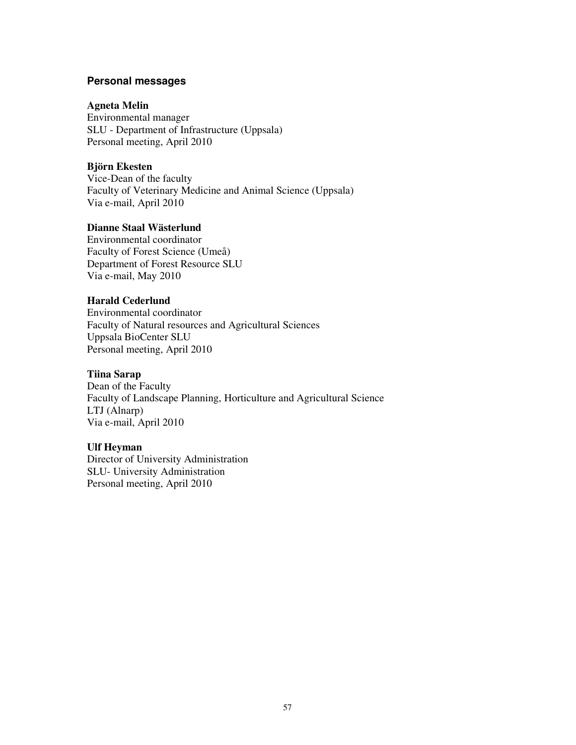#### **Personal messages**

#### **Agneta Melin**

Environmental manager SLU - Department of Infrastructure (Uppsala) Personal meeting, April 2010

#### **Björn Ekesten**

Vice-Dean of the faculty Faculty of Veterinary Medicine and Animal Science (Uppsala) Via e-mail, April 2010

#### **Dianne Staal Wästerlund**

Environmental coordinator Faculty of Forest Science (Umeå) Department of Forest Resource SLU Via e-mail, May 2010

#### **Harald Cederlund**

Environmental coordinator Faculty of Natural resources and Agricultural Sciences Uppsala BioCenter SLU Personal meeting, April 2010

#### **Tiina Sarap**

Dean of the Faculty Faculty of Landscape Planning, Horticulture and Agricultural Science LTJ (Alnarp) Via e-mail, April 2010

#### **Ulf Heyman**

Director of University Administration SLU- University Administration Personal meeting, April 2010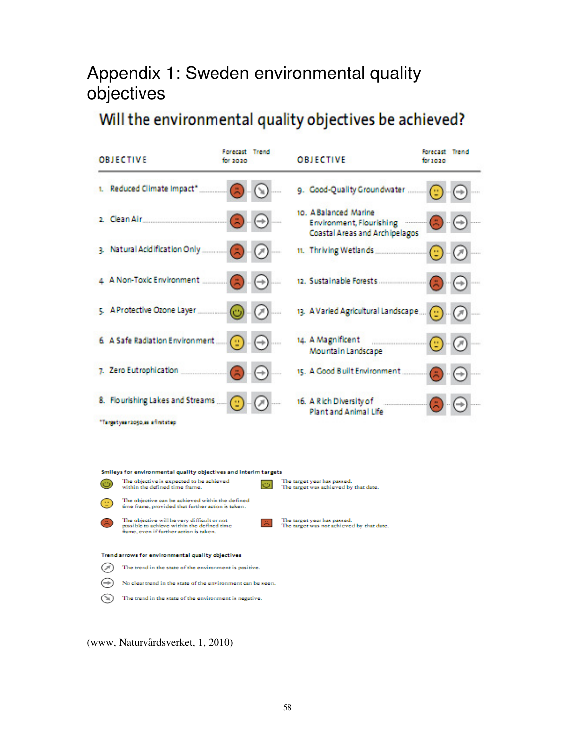# Appendix 1: Sweden environmental quality objectives

# Will the environmental quality objectives be achieved?



(www, Naturvårdsverket, 1, 2010)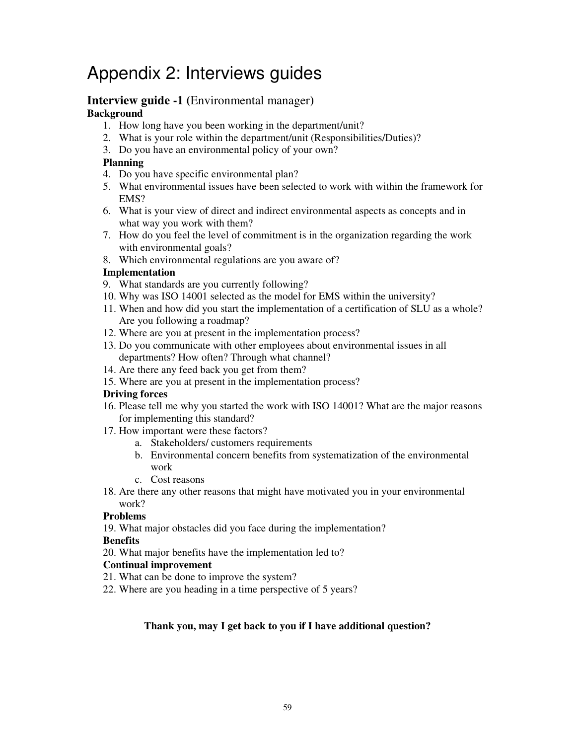# Appendix 2: Interviews guides

## **Interview guide -1 (**Environmental manager**)**

#### **Background**

- 1. How long have you been working in the department/unit?
- 2. What is your role within the department/unit (Responsibilities/Duties)?
- 3. Do you have an environmental policy of your own?

#### **Planning**

- 4. Do you have specific environmental plan?
- 5. What environmental issues have been selected to work with within the framework for EMS?
- 6. What is your view of direct and indirect environmental aspects as concepts and in what way you work with them?
- 7. How do you feel the level of commitment is in the organization regarding the work with environmental goals?
- 8. Which environmental regulations are you aware of?

#### **Implementation**

- 9. What standards are you currently following?
- 10. Why was ISO 14001 selected as the model for EMS within the university?
- 11. When and how did you start the implementation of a certification of SLU as a whole? Are you following a roadmap?
- 12. Where are you at present in the implementation process?
- 13. Do you communicate with other employees about environmental issues in all departments? How often? Through what channel?
- 14. Are there any feed back you get from them?
- 15. Where are you at present in the implementation process?

#### **Driving forces**

- 16. Please tell me why you started the work with ISO 14001? What are the major reasons for implementing this standard?
- 17. How important were these factors?
	- a. Stakeholders/ customers requirements
	- b. Environmental concern benefits from systematization of the environmental work
	- c. Cost reasons
- 18. Are there any other reasons that might have motivated you in your environmental work?

#### **Problems**

19. What major obstacles did you face during the implementation?

#### **Benefits**

20. What major benefits have the implementation led to?

#### **Continual improvement**

- 21. What can be done to improve the system?
- 22. Where are you heading in a time perspective of 5 years?

#### **Thank you, may I get back to you if I have additional question?**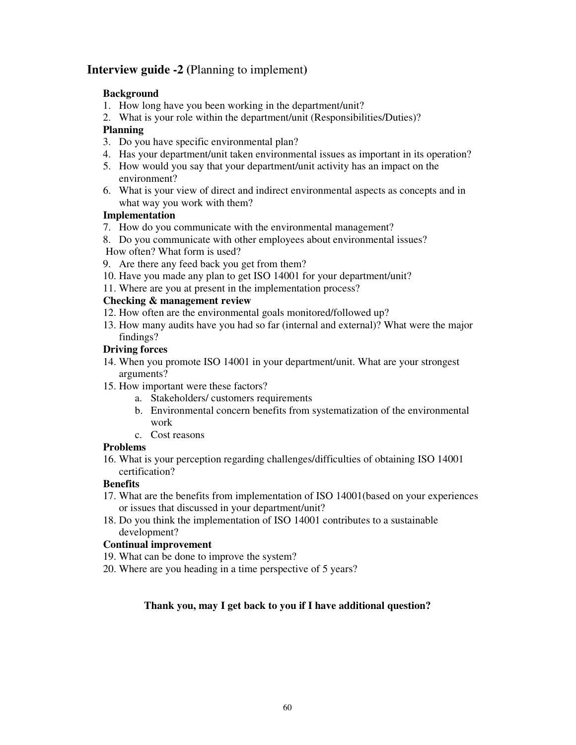#### **Interview guide -2 (**Planning to implement**)**

#### **Background**

- 1. How long have you been working in the department/unit?
- 2. What is your role within the department/unit (Responsibilities/Duties)?

#### **Planning**

- 3. Do you have specific environmental plan?
- 4. Has your department/unit taken environmental issues as important in its operation?
- 5. How would you say that your department/unit activity has an impact on the environment?
- 6. What is your view of direct and indirect environmental aspects as concepts and in what way you work with them?

#### **Implementation**

- 7. How do you communicate with the environmental management?
- 8. Do you communicate with other employees about environmental issues? How often? What form is used?
- 9. Are there any feed back you get from them?
- 10. Have you made any plan to get ISO 14001 for your department/unit?
- 11. Where are you at present in the implementation process?

#### **Checking & management review**

- 12. How often are the environmental goals monitored/followed up?
- 13. How many audits have you had so far (internal and external)? What were the major findings?

#### **Driving forces**

- 14. When you promote ISO 14001 in your department/unit. What are your strongest arguments?
- 15. How important were these factors?
	- a. Stakeholders/ customers requirements
	- b. Environmental concern benefits from systematization of the environmental work
	- c. Cost reasons

#### **Problems**

16. What is your perception regarding challenges/difficulties of obtaining ISO 14001 certification?

#### **Benefits**

- 17. What are the benefits from implementation of ISO 14001(based on your experiences or issues that discussed in your department/unit?
- 18. Do you think the implementation of ISO 14001 contributes to a sustainable development?

#### **Continual improvement**

- 19. What can be done to improve the system?
- 20. Where are you heading in a time perspective of 5 years?

#### **Thank you, may I get back to you if I have additional question?**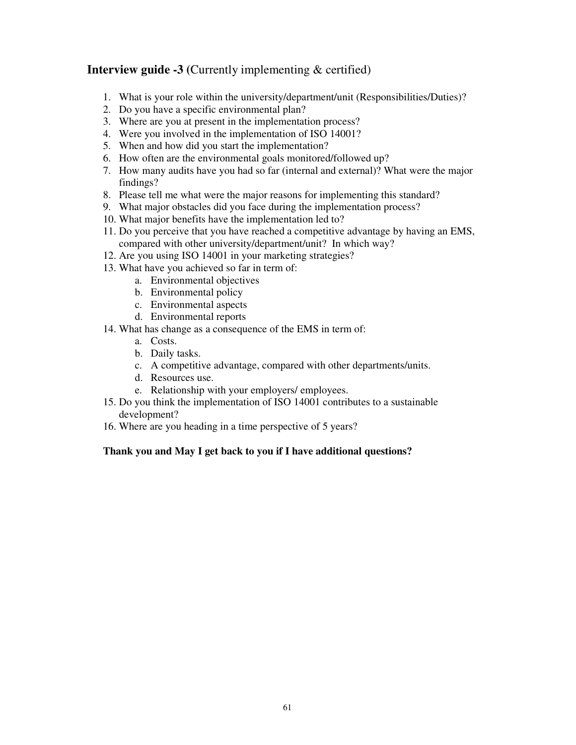#### **Interview guide -3 (Currently implementing & certified)**

- 1. What is your role within the university/department/unit (Responsibilities/Duties)?
- 2. Do you have a specific environmental plan?
- 3. Where are you at present in the implementation process?
- 4. Were you involved in the implementation of ISO 14001?
- 5. When and how did you start the implementation?
- 6. How often are the environmental goals monitored/followed up?
- 7. How many audits have you had so far (internal and external)? What were the major findings?
- 8. Please tell me what were the major reasons for implementing this standard?
- 9. What major obstacles did you face during the implementation process?
- 10. What major benefits have the implementation led to?
- 11. Do you perceive that you have reached a competitive advantage by having an EMS, compared with other university/department/unit? In which way?
- 12. Are you using ISO 14001 in your marketing strategies?
- 13. What have you achieved so far in term of:
	- a. Environmental objectives
	- b. Environmental policy
	- c. Environmental aspects
	- d. Environmental reports
- 14. What has change as a consequence of the EMS in term of:
	- a. Costs.
	- b. Daily tasks.
	- c. A competitive advantage, compared with other departments/units.
	- d. Resources use.
	- e. Relationship with your employers/ employees.
- 15. Do you think the implementation of ISO 14001 contributes to a sustainable development?
- 16. Where are you heading in a time perspective of 5 years?

#### **Thank you and May I get back to you if I have additional questions?**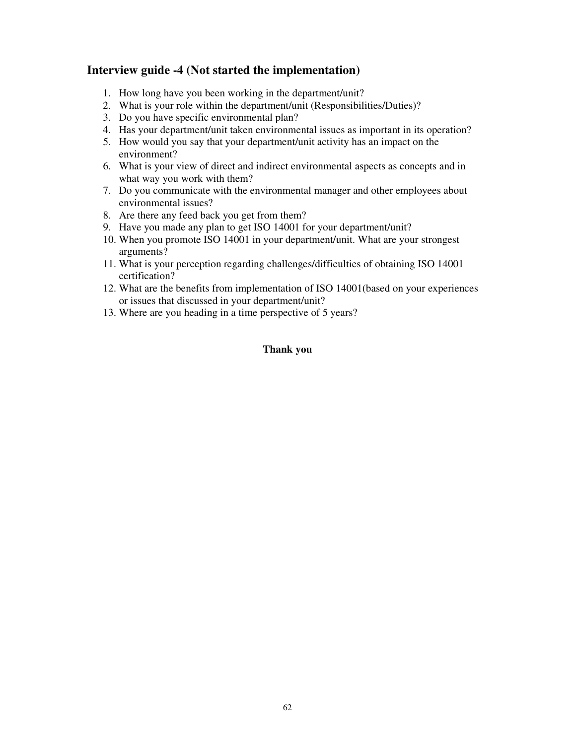#### **Interview guide -4 (Not started the implementation)**

- 1. How long have you been working in the department/unit?
- 2. What is your role within the department/unit (Responsibilities/Duties)?
- 3. Do you have specific environmental plan?
- 4. Has your department/unit taken environmental issues as important in its operation?
- 5. How would you say that your department/unit activity has an impact on the environment?
- 6. What is your view of direct and indirect environmental aspects as concepts and in what way you work with them?
- 7. Do you communicate with the environmental manager and other employees about environmental issues?
- 8. Are there any feed back you get from them?
- 9. Have you made any plan to get ISO 14001 for your department/unit?
- 10. When you promote ISO 14001 in your department/unit. What are your strongest arguments?
- 11. What is your perception regarding challenges/difficulties of obtaining ISO 14001 certification?
- 12. What are the benefits from implementation of ISO 14001(based on your experiences or issues that discussed in your department/unit?
- 13. Where are you heading in a time perspective of 5 years?

#### **Thank you**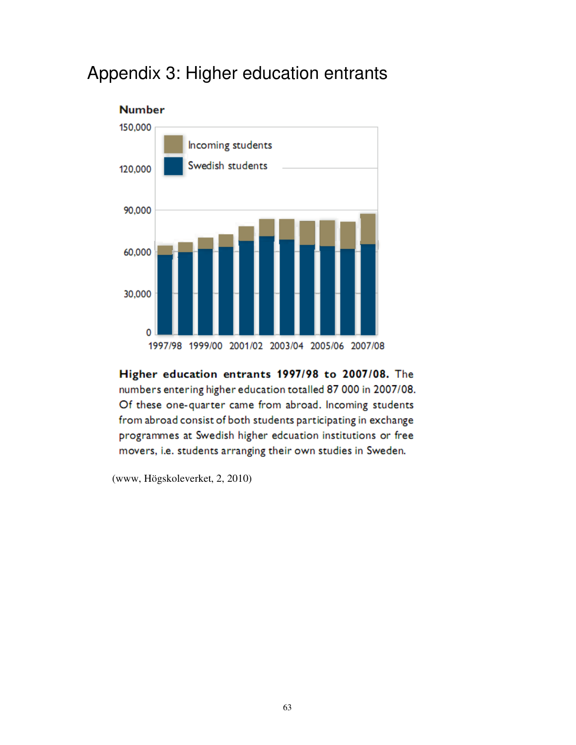## Appendix 3: Higher education entrants



Higher education entrants 1997/98 to 2007/08. The numbers entering higher education totalled 87 000 in 2007/08. Of these one-quarter came from abroad. Incoming students from abroad consist of both students participating in exchange programmes at Swedish higher edcuation institutions or free movers, i.e. students arranging their own studies in Sweden.

(www, Högskoleverket, 2, 2010)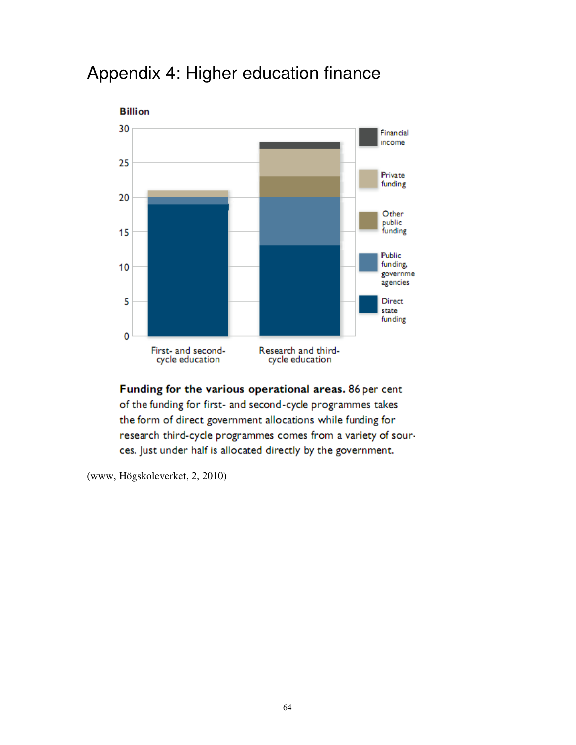

# Appendix 4: Higher education finance

Funding for the various operational areas. 86 per cent of the funding for first- and second-cycle programmes takes the form of direct government allocations while funding for research third-cycle programmes comes from a variety of sources. Just under half is allocated directly by the government.

(www, Högskoleverket, 2, 2010)